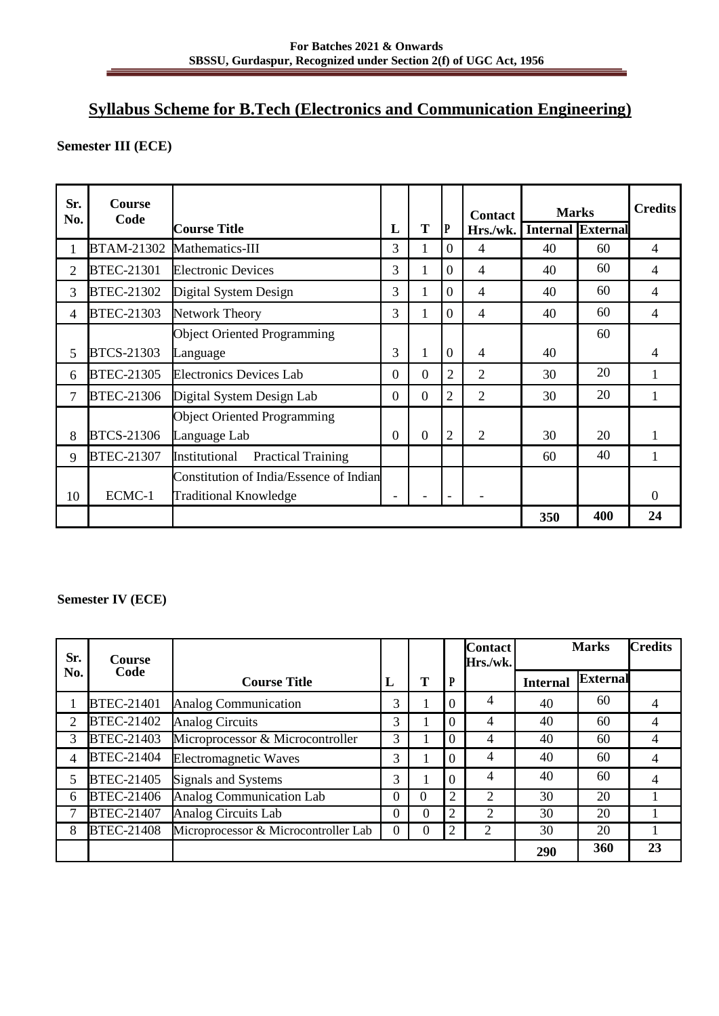# **Syllabus Scheme for B.Tech (Electronics and Communication Engineering)**

## **Semester III (ECE)**

| Sr.<br>No. | <b>Course</b><br>Code |                                            |                         |                |                | <b>Contact</b> | <b>Marks</b> |                          | <b>Credits</b> |
|------------|-----------------------|--------------------------------------------|-------------------------|----------------|----------------|----------------|--------------|--------------------------|----------------|
|            |                       | <b>Course Title</b>                        | L                       | T              | P              | Hrs./wk.       |              | <b>Internal External</b> |                |
| 1          | <b>BTAM-21302</b>     | Mathematics-III                            | 3                       | 1              | $\Omega$       | 4              | 40           | 60                       | $\overline{4}$ |
| 2          | <b>BTEC-21301</b>     | <b>Electronic Devices</b>                  |                         | 1              | $\Omega$       | $\overline{4}$ | 40           | 60                       | 4              |
| 3          | <b>BTEC-21302</b>     | Digital System Design                      | 3                       | 1              | $\Omega$       | $\overline{4}$ | 40           | 60                       | 4              |
| 4          | <b>BTEC-21303</b>     | <b>Network Theory</b>                      | 3                       | 1              | $\overline{0}$ | $\overline{4}$ | 40           | 60                       | 4              |
|            |                       | <b>Object Oriented Programming</b>         |                         |                |                |                |              | 60                       |                |
| 5          | <b>BTCS-21303</b>     | Language                                   |                         | 1              | $\Omega$       | $\overline{4}$ | 40           |                          | 4              |
| 6          | <b>BTEC-21305</b>     | <b>Electronics Devices Lab</b>             |                         | $\overline{0}$ | 2              | 2              | 30           | 20                       | 1              |
| 7          | <b>BTEC-21306</b>     | Digital System Design Lab                  | $\theta$                | $\overline{0}$ | 2              | $\overline{2}$ | 30           | 20                       | 1              |
|            |                       | <b>Object Oriented Programming</b>         |                         |                |                |                |              |                          |                |
| 8          | BTCS-21306            | Language Lab                               | $\theta$                | $\Omega$       | 2              | $\overline{2}$ | 30           | 20                       |                |
| 9          | <b>BTEC-21307</b>     | Institutional<br><b>Practical Training</b> |                         |                |                |                | 60           | 40                       |                |
|            |                       | Constitution of India/Essence of Indian    |                         |                |                |                |              |                          |                |
| 10         | ECMC-1                | <b>Traditional Knowledge</b>               |                         |                |                |                |              |                          | $\theta$       |
|            |                       |                                            | 400<br>24<br><b>350</b> |                |                |                |              |                          |                |

#### **Semester IV (ECE)**

| Sr. | Course            |                                      |                  |          |   | <b>Contact</b><br>Hrs./wk. |                 | <b>Marks</b>    | <b>Credits</b> |
|-----|-------------------|--------------------------------------|------------------|----------|---|----------------------------|-----------------|-----------------|----------------|
| No. | Code              | <b>Course Title</b>                  | L                | T        | D |                            | <b>Internal</b> | <b>External</b> |                |
|     | <b>BTEC-21401</b> | <b>Analog Communication</b>          | 3                |          | 0 | 4                          | 40              | 60              | 4              |
| 2   | BTEC-21402        | <b>Analog Circuits</b>               | 3                |          | 0 | 4                          | 40              | 60              | 4              |
| 3   | BTEC-21403        | Microprocessor & Microcontroller     | 3                |          | 0 | 4                          | 40              | 60              | 4              |
| 4   | <b>BTEC-21404</b> | <b>Electromagnetic Waves</b>         | 3                |          | 0 | 4                          | 40              | 60              | 4              |
| 5   | <b>BTEC-21405</b> | Signals and Systems                  | 3                |          | 0 | 4                          | 40              | 60              | 4              |
| 6   | <b>BTEC-21406</b> | Analog Communication Lab             | 0                | $\Omega$ | 2 | 2                          | 30              | 20              |                |
|     | <b>BTEC-21407</b> | <b>Analog Circuits Lab</b>           | 0                | 0        | 2 | 2                          | 30              | 20              |                |
| 8   | <b>BTEC-21408</b> | Microprocessor & Microcontroller Lab | $\boldsymbol{0}$ | 0        | 2 | $\overline{2}$             | 30              | 20              |                |
|     |                   |                                      |                  |          |   |                            | 290             | 360             | 23             |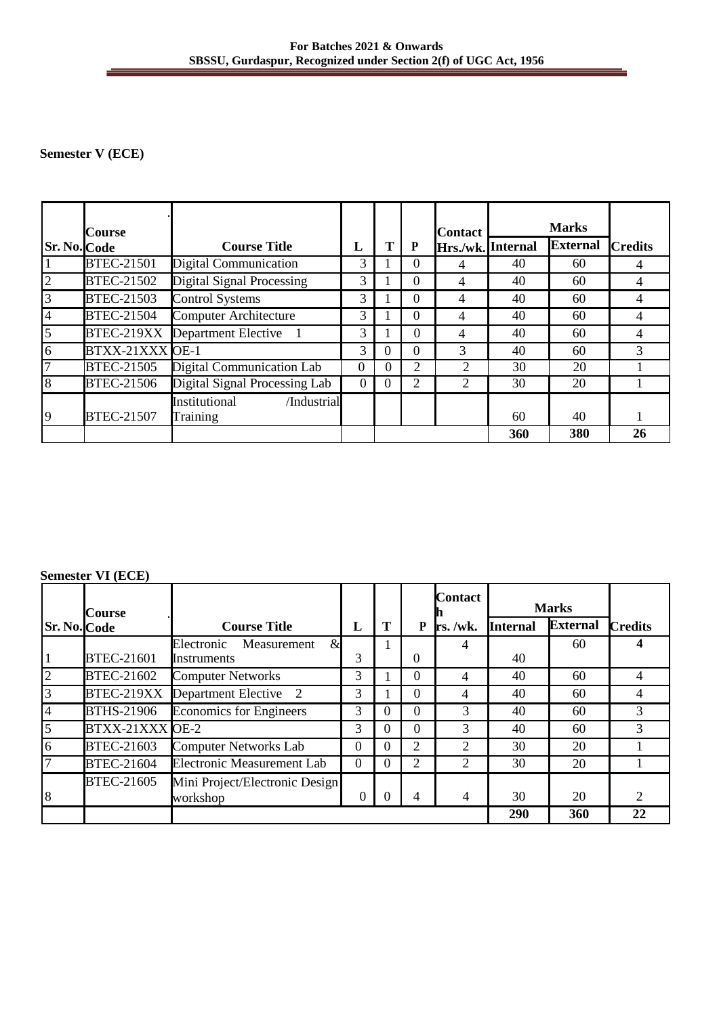#### **For Batches 2021 & Onwards SBSSU, Gurdaspur, Recognized under Section 2(f) of UGC Act, 1956**

## **Semester V (ECE)**

|                     | <b>Course</b>     |                                          |                |          |                | <b>Contact</b>    |     | <b>Marks</b>    |                |
|---------------------|-------------------|------------------------------------------|----------------|----------|----------------|-------------------|-----|-----------------|----------------|
| <b>Sr. No. Code</b> |                   | <b>Course Title</b>                      | L              | Т        | P              | Hrs./wk. Internal |     | <b>External</b> | <b>Credits</b> |
|                     | <b>BTEC-21501</b> | Digital Communication                    | 3              |          | $\theta$       | 4                 | 40  | 60              | 4              |
| $\overline{2}$      | <b>BTEC-21502</b> | Digital Signal Processing                |                |          | $\theta$       | 4                 | 40  | 60              |                |
| $\overline{3}$      | <b>BTEC-21503</b> | <b>Control Systems</b>                   |                |          | $\theta$       | $\overline{4}$    | 40  | 60              | 4              |
| $\overline{4}$      | <b>BTEC-21504</b> | <b>Computer Architecture</b>             | 3              |          | $\Omega$       | 4                 | 40  | 60              | 4              |
| $\overline{5}$      | BTEC-219XX        | Department Elective                      | 3              |          | $\Omega$       | 4                 | 40  | 60              |                |
| 6                   |                   | BTXX-21XXX OE-1                          |                | 0        | $\Omega$       | 3                 | 40  | 60              | 3              |
| $\overline{7}$      | <b>BTEC-21505</b> | Digital Communication Lab                | $\Omega$       | $\Omega$ | $\overline{2}$ | $\overline{2}$    | 30  | 20              |                |
| 8                   | <b>BTEC-21506</b> | Digital Signal Processing Lab            | $\overline{0}$ | 0        | 2              | $\overline{2}$    | 30  | 20              |                |
| 9                   | <b>BTEC-21507</b> | Institutional<br>/Industrial<br>Training |                |          |                |                   | 60  | 40              |                |
|                     |                   |                                          |                |          |                |                   | 360 | 380             | 26             |

## **Semester VI (ECE)**

|                     | <b>Course</b>     |                                            |          |          |          | Contact        |                 | <b>Marks</b>    |                |
|---------------------|-------------------|--------------------------------------------|----------|----------|----------|----------------|-----------------|-----------------|----------------|
| <b>Sr. No. Code</b> |                   | <b>Course Title</b>                        | L        | т        | P        | $rs.$ /wk.     | <b>Internal</b> | <b>External</b> | <b>Credits</b> |
|                     |                   | $\mathcal{R}$<br>Electronic<br>Measurement |          |          |          | 4              |                 | 60              |                |
|                     | <b>BTEC-21601</b> | Instruments                                | 3        |          | $\Omega$ |                | 40              |                 |                |
| $\overline{2}$      | BTEC-21602        | <b>Computer Networks</b>                   | 3        |          | 0        | 4              | 40              | 60              |                |
| $\overline{3}$      | BTEC-219XX        | Department Elective 2                      | 3        |          | $\Omega$ | 4              | 40              | 60              |                |
| 4                   | <b>BTHS-21906</b> | <b>Economics for Engineers</b>             | 3        | $_{0}$   | $\Omega$ | 3              | 40              | 60              | 3              |
| $\overline{5}$      | BTXX-21XXX OE-2   |                                            | 3        | $\theta$ | $\Omega$ | 3              | 40              | 60              | 3              |
| 6                   | <b>BTEC-21603</b> | <b>Computer Networks Lab</b>               | $\Omega$ | 0        | 2        | $\overline{2}$ | 30              | 20              |                |
| $\overline{7}$      | <b>BTEC-21604</b> | <b>Electronic Measurement Lab</b>          | $\Omega$ | 0        | 2        | 2              | 30              | 20              |                |
|                     | <b>BTEC-21605</b> | Mini Project/Electronic Design             |          |          |          |                |                 |                 |                |
| 8                   |                   | workshop                                   | $\theta$ |          | 4        | 4              | 30              | 20              | 2              |
|                     |                   |                                            |          |          |          |                | 290             | 360             | 22             |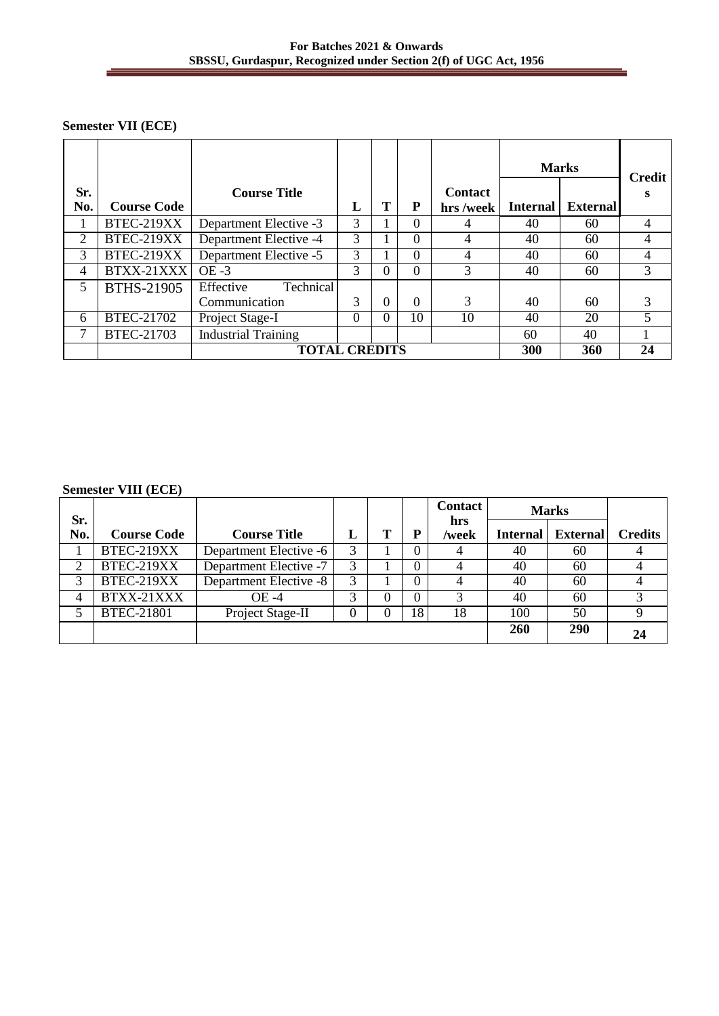## **Semester VII (ECE)**

|            |                    |                                    |          |          |          |                            | <b>Marks</b>    |          | Credit         |
|------------|--------------------|------------------------------------|----------|----------|----------|----------------------------|-----------------|----------|----------------|
| Sr.<br>No. | <b>Course Code</b> | <b>Course Title</b>                | L        | Т        | P        | <b>Contact</b><br>hrs/week | <b>Internal</b> | External | s              |
|            | BTEC-219XX         | Department Elective -3             | 3        |          | $\Omega$ | 4                          | 40              | 60       | $\overline{4}$ |
| 2          | BTEC-219XX         | Department Elective -4             | 3        |          | $\Omega$ | 4                          | 40              | 60       | 4              |
| 3          | BTEC-219XX         | Department Elective -5             | 3        |          | $\Omega$ | 4                          | 40              | 60       | $\overline{4}$ |
| 4          | BTXX-21XXX         | $OE - 3$                           | 3        | $^{(1)}$ | $\Omega$ | 3                          | 40              | 60       | 3              |
| 5          | BTHS-21905         | <b>Technical</b><br>Effective      |          |          |          |                            |                 |          |                |
|            |                    | Communication                      | 3        | $\Omega$ | $\Omega$ | 3                          | 40              | 60       | 3              |
| 6          | BTEC-21702         | Project Stage-I                    | $\Omega$ | $\Omega$ | 10       | 10                         | 40              | 20       | 5              |
| 7          | BTEC-21703         | <b>Industrial Training</b>         |          |          |          |                            | 60              | 40       |                |
|            |                    | <b>TOTAL CREDITS</b><br>300<br>360 |          |          |          |                            |                 | 24       |                |

#### **Semester VIII (ECE)**

|            |                    |                        |   |   |          | <b>Contact</b> |                 | <b>Marks</b>    |                |
|------------|--------------------|------------------------|---|---|----------|----------------|-----------------|-----------------|----------------|
| Sr.<br>No. | <b>Course Code</b> | <b>Course Title</b>    | L |   | P        | hrs<br>/week   | <b>Internal</b> | <b>External</b> | <b>Credits</b> |
|            | BTEC-219XX         | Department Elective -6 | 3 |   |          |                | 40              | 60              |                |
| 2          | BTEC-219XX         | Department Elective -7 | 3 |   | 0        |                | 40              | 60              |                |
| 3          | BTEC-219XX         | Department Elective -8 | 3 |   | 0        |                | 40              | 60              |                |
| 4          | BTXX-21XXX         | OE -4                  | 3 | 0 | $\Omega$ |                | 40              | 60              |                |
|            | <b>BTEC-21801</b>  | Project Stage-II       | 0 | 0 | 18       | 18             | 100             | 50              | Q              |
|            |                    |                        |   |   |          |                | 260             | <b>290</b>      |                |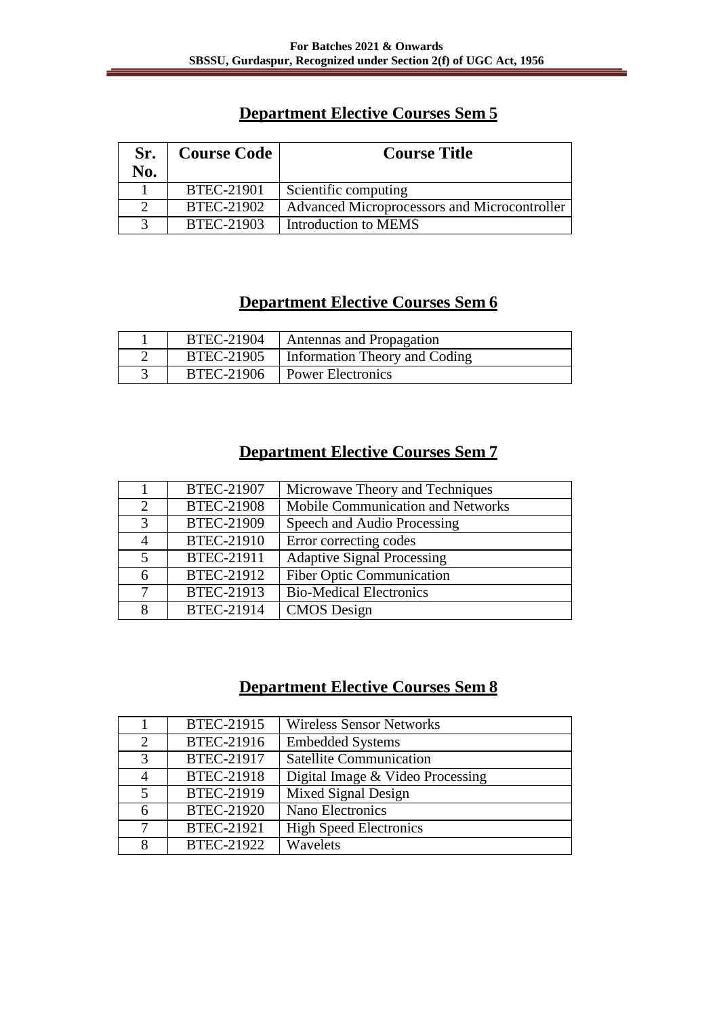# **Department Elective Courses Sem 5**

| Sr.<br>No. | <b>Course Code</b> | <b>Course Title</b>                          |
|------------|--------------------|----------------------------------------------|
|            | <b>BTEC-21901</b>  | Scientific computing                         |
|            | BTEC-21902         | Advanced Microprocessors and Microcontroller |
| 3          | BTEC-21903         | Introduction to MEMS                         |

# **Department Elective Courses Sem 6**

| BTEC-21904 | Antennas and Propagation      |
|------------|-------------------------------|
| BTEC-21905 | Information Theory and Coding |
| BTEC-21906 | <b>Power Electronics</b>      |

# **Department Elective Courses Sem 7**

|                             | <b>BTEC-21907</b> | Microwave Theory and Techniques   |
|-----------------------------|-------------------|-----------------------------------|
| $\mathcal{D}_{\mathcal{L}}$ | <b>BTEC-21908</b> | Mobile Communication and Networks |
| 3                           | <b>BTEC-21909</b> | Speech and Audio Processing       |
| 4                           | <b>BTEC-21910</b> | Error correcting codes            |
| 5                           | BTEC-21911        | <b>Adaptive Signal Processing</b> |
| 6                           | BTEC-21912        | <b>Fiber Optic Communication</b>  |
| 7                           | BTEC-21913        | <b>Bio-Medical Electronics</b>    |
| 8                           | BTEC-21914        | <b>CMOS</b> Design                |

# **Department Elective Courses Sem 8**

|                | BTEC-21915        | <b>Wireless Sensor Networks</b>  |
|----------------|-------------------|----------------------------------|
| $\overline{2}$ | BTEC-21916        | <b>Embedded Systems</b>          |
| 3              | BTEC-21917        | <b>Satellite Communication</b>   |
| $\overline{A}$ | <b>BTEC-21918</b> | Digital Image & Video Processing |
| 5              | BTEC-21919        | Mixed Signal Design              |
| 6              | <b>BTEC-21920</b> | Nano Electronics                 |
| 7              | <b>BTEC-21921</b> | <b>High Speed Electronics</b>    |
| 8              | BTEC-21922        | Wavelets                         |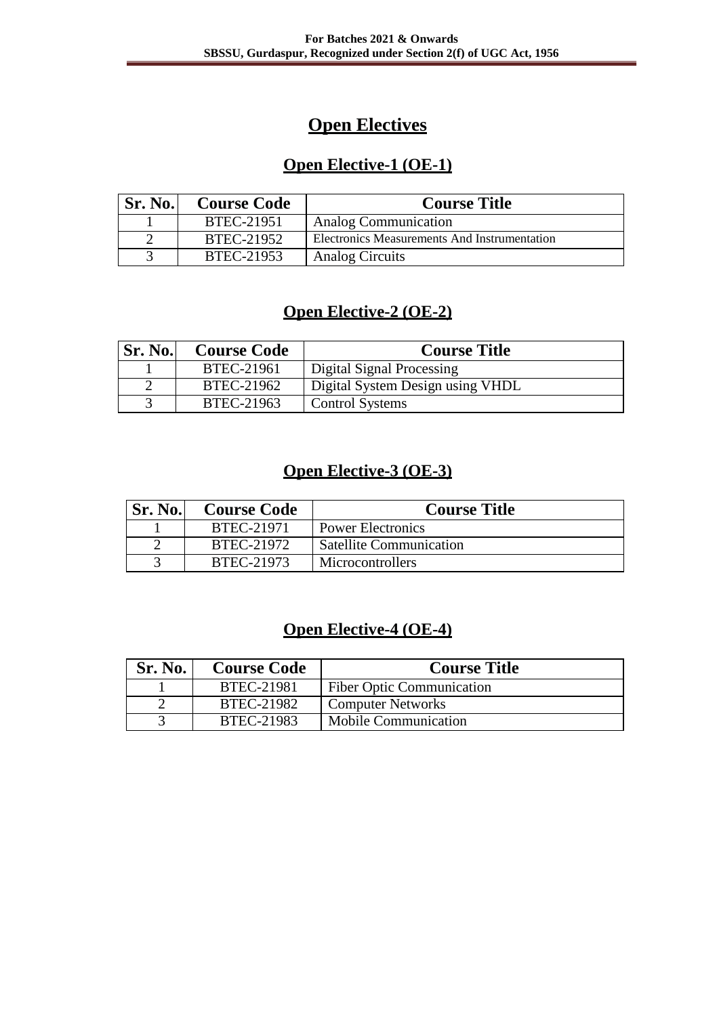# **Open Electives**

# **Open Elective-1 (OE-1)**

| Sr. No. | <b>Course Code</b> | <b>Course Title</b>                          |
|---------|--------------------|----------------------------------------------|
|         | BTEC-21951         | <b>Analog Communication</b>                  |
|         | BTEC-21952         | Electronics Measurements And Instrumentation |
|         | BTEC-21953         | Analog Circuits                              |

# **Open Elective-2 (OE-2)**

| <b>Sr. No.</b> | <b>Course Code</b> | <b>Course Title</b>              |
|----------------|--------------------|----------------------------------|
|                | BTEC-21961         | Digital Signal Processing        |
|                | BTEC-21962         | Digital System Design using VHDL |
|                | BTEC-21963         | <b>Control Systems</b>           |

# **Open Elective-3 (OE-3)**

| <b>Sr. No.</b> | <b>Course Code</b> | <b>Course Title</b>            |
|----------------|--------------------|--------------------------------|
|                | BTEC-21971         | Power Electronics              |
|                | BTEC-21972         | <b>Satellite Communication</b> |
|                | BTEC-21973         | Microcontrollers               |

# **Open Elective-4 (OE-4)**

| Sr. No. | <b>Course Code</b> | <b>Course Title</b>              |
|---------|--------------------|----------------------------------|
|         | <b>BTEC-21981</b>  | <b>Fiber Optic Communication</b> |
|         | BTEC-21982         | <b>Computer Networks</b>         |
|         | BTEC-21983         | <b>Mobile Communication</b>      |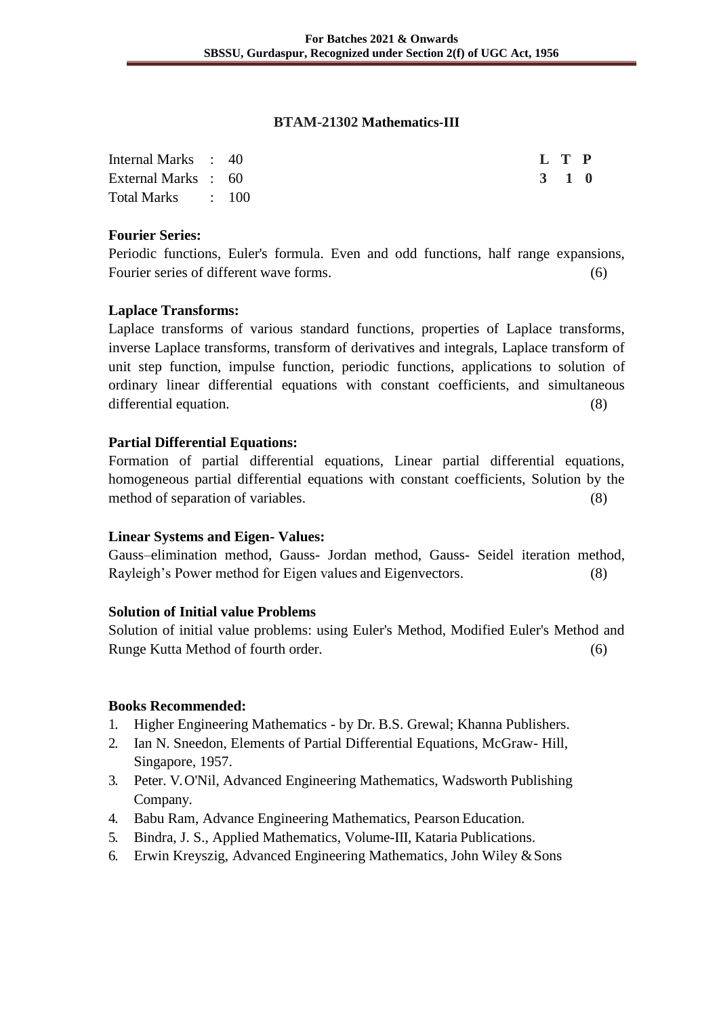#### **BTAM-21302 Mathematics-III**

| Internal Marks : 40 |  | L T P |  |  |
|---------------------|--|-------|--|--|
| External Marks : 60 |  | 3 1 0 |  |  |
| Total Marks : 100   |  |       |  |  |

#### **Fourier Series:**

Periodic functions, Euler's formula. Even and odd functions, half range expansions, Fourier series of different wave forms. (6)

## **Laplace Transforms:**

Laplace transforms of various standard functions, properties of Laplace transforms, inverse Laplace transforms, transform of derivatives and integrals, Laplace transform of unit step function, impulse function, periodic functions, applications to solution of ordinary linear differential equations with constant coefficients, and simultaneous differential equation. (8)

## **Partial Differential Equations:**

Formation of partial differential equations, Linear partial differential equations, homogeneous partial differential equations with constant coefficients, Solution by the method of separation of variables. (8)

#### **Linear Systems and Eigen- Values:**

Gauss–elimination method, Gauss- Jordan method, Gauss- Seidel iteration method, Rayleigh's Power method for Eigen values and Eigenvectors. (8)

#### **Solution of Initial value Problems**

Solution of initial value problems: using Euler's Method, Modified Euler's Method and Runge Kutta Method of fourth order. (6)

#### **Books Recommended:**

- 1. Higher Engineering Mathematics by Dr. B.S. Grewal; Khanna Publishers.
- 2. Ian N. Sneedon, Elements of Partial Differential Equations, McGraw- Hill, Singapore, 1957.
- 3. Peter. V. O'Nil, Advanced Engineering Mathematics, Wadsworth Publishing Company.
- 4. Babu Ram, Advance Engineering Mathematics, Pearson Education.
- 5. Bindra, J. S., Applied Mathematics, Volume-III, Kataria Publications.
- 6. Erwin Kreyszig, Advanced Engineering Mathematics, John Wiley &Sons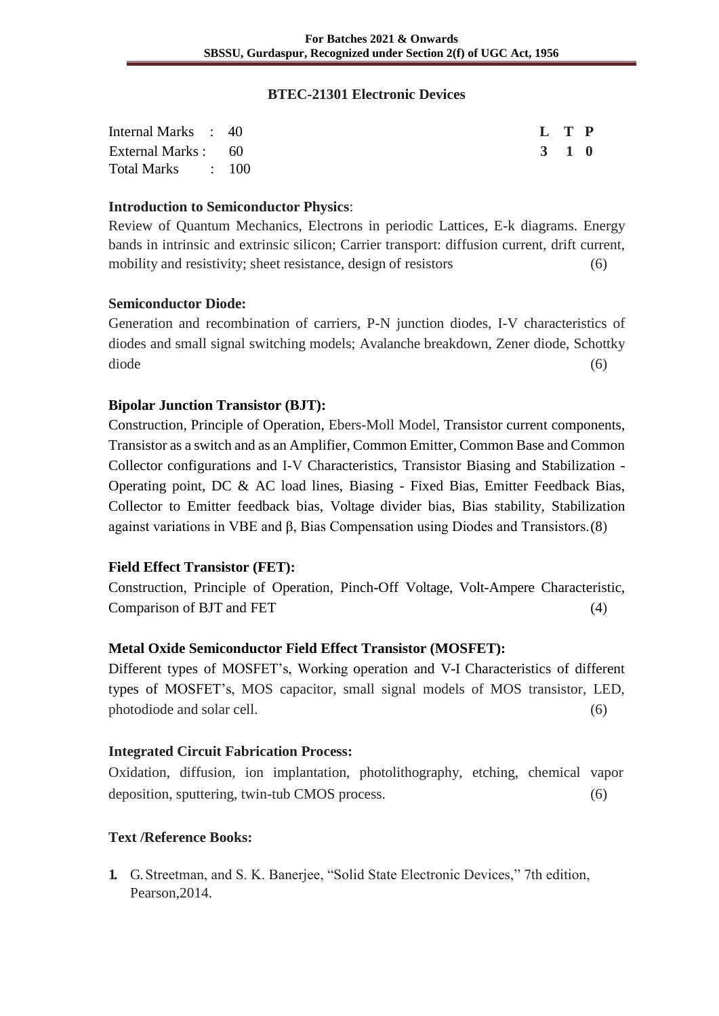#### **BTEC-21301 Electronic Devices**

| Internal Marks : 40 | L T P |  |
|---------------------|-------|--|
| External Marks : 60 | 3 1 0 |  |
| Total Marks : 100   |       |  |

#### **Introduction to Semiconductor Physics**:

Review of Quantum Mechanics, Electrons in periodic Lattices, E-k diagrams. Energy bands in intrinsic and extrinsic silicon; Carrier transport: diffusion current, drift current, mobility and resistivity; sheet resistance, design of resistors (6)

## **Semiconductor Diode:**

Generation and recombination of carriers, P-N junction diodes, I-V characteristics of diodes and small signal switching models; Avalanche breakdown, Zener diode, Schottky diode (6)

## **Bipolar Junction Transistor (BJT):**

Construction, Principle of Operation, Ebers-Moll Model, Transistor current components, Transistor as a switch and as an Amplifier, Common Emitter, Common Base and Common Collector configurations and I-V Characteristics, Transistor Biasing and Stabilization - Operating point, DC & AC load lines, Biasing - Fixed Bias, Emitter Feedback Bias, Collector to Emitter feedback bias, Voltage divider bias, Bias stability, Stabilization against variations in VBE and β, Bias Compensation using Diodes and Transistors.(8)

## **Field Effect Transistor (FET):**

Construction, Principle of Operation, Pinch-Off Voltage, Volt-Ampere Characteristic, Comparison of BJT and FET (4)

## **Metal Oxide Semiconductor Field Effect Transistor (MOSFET):**

Different types of MOSFET's, Working operation and V-I Characteristics of different types of MOSFET's, MOS capacitor, small signal models of MOS transistor, LED, photodiode and solar cell. (6)

#### **Integrated Circuit Fabrication Process:**

Oxidation, diffusion, ion implantation, photolithography, etching, chemical vapor deposition, sputtering, twin-tub CMOS process. (6)

## **Text /Reference Books:**

**1.** G. Streetman, and S. K. Banerjee, "Solid State Electronic Devices," 7th edition, Pearson,2014.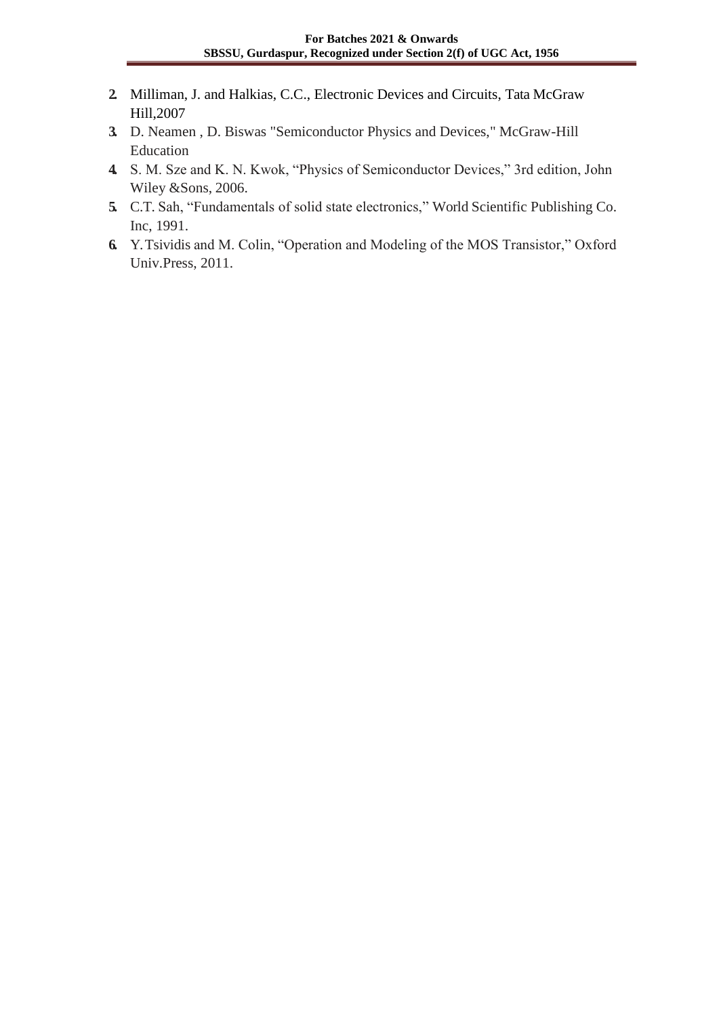- **2.** Milliman, J. and Halkias, C.C., Electronic Devices and Circuits, Tata McGraw Hill,2007
- **3.** D. Neamen , D. Biswas "Semiconductor Physics and Devices," McGraw-Hill Education
- **4.** S. M. Sze and K. N. Kwok, "Physics of Semiconductor Devices," 3rd edition, John Wiley &Sons, 2006.
- **5.** C.T. Sah, "Fundamentals of solid state electronics," World Scientific Publishing Co. Inc, 1991.
- **6.** Y. Tsividis and M. Colin, "Operation and Modeling of the MOS Transistor," Oxford Univ.Press, 2011.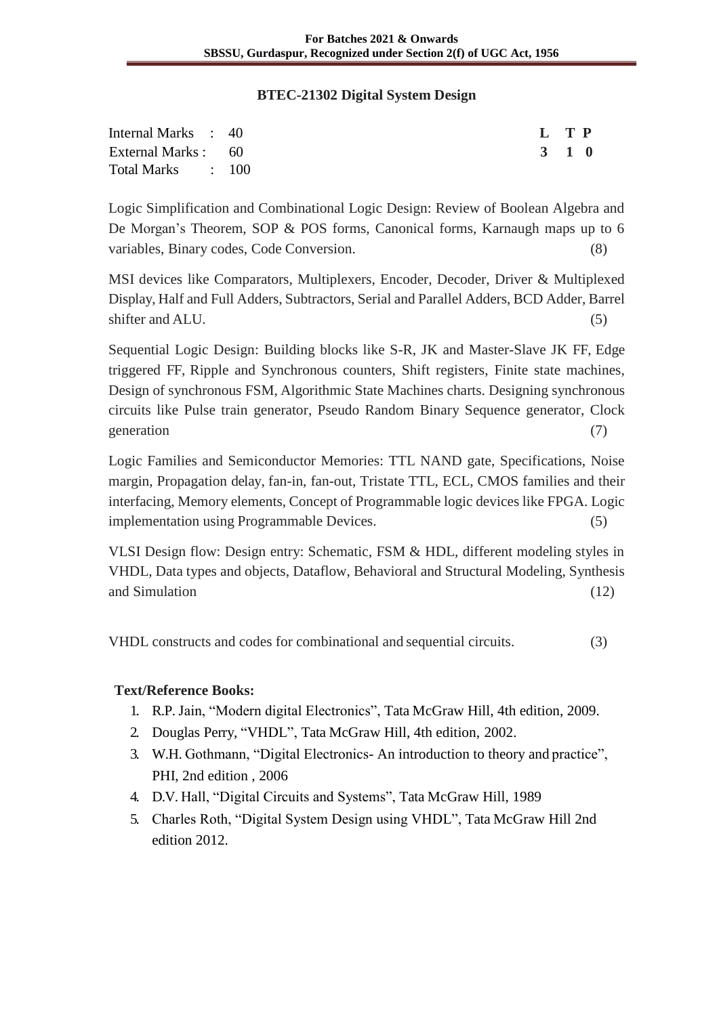#### **BTEC-21302 Digital System Design**

| Internal Marks : 40 |  | L TP  |  |  |
|---------------------|--|-------|--|--|
| External Marks : 60 |  | 3 1 0 |  |  |
| Total Marks : 100   |  |       |  |  |

Logic Simplification and Combinational Logic Design: Review of Boolean Algebra and De Morgan's Theorem, SOP & POS forms, Canonical forms, Karnaugh maps up to 6 variables, Binary codes, Code Conversion. (8)

MSI devices like Comparators, Multiplexers, Encoder, Decoder, Driver & Multiplexed Display, Half and Full Adders, Subtractors, Serial and Parallel Adders, BCD Adder, Barrel shifter and ALU. (5)

Sequential Logic Design: Building blocks like S-R, JK and Master-Slave JK FF, Edge triggered FF, Ripple and Synchronous counters, Shift registers, Finite state machines, Design of synchronous FSM, Algorithmic State Machines charts. Designing synchronous circuits like Pulse train generator, Pseudo Random Binary Sequence generator, Clock generation (7)

Logic Families and Semiconductor Memories: TTL NAND gate, Specifications, Noise margin, Propagation delay, fan-in, fan-out, Tristate TTL, ECL, CMOS families and their interfacing, Memory elements, Concept of Programmable logic devices like FPGA. Logic implementation using Programmable Devices. (5)

VLSI Design flow: Design entry: Schematic, FSM & HDL, different modeling styles in VHDL, Data types and objects, Dataflow, Behavioral and Structural Modeling, Synthesis and Simulation (12) (12)

VHDL constructs and codes for combinational and sequential circuits. (3)

- 1. R.P. Jain, "Modern digital Electronics", Tata McGraw Hill, 4th edition, 2009.
- 2. Douglas Perry, "VHDL", Tata McGraw Hill, 4th edition, 2002.
- 3. W.H. Gothmann, "Digital Electronics- An introduction to theory and practice", PHI, 2nd edition , 2006
- 4. D.V. Hall, "Digital Circuits and Systems", Tata McGraw Hill, 1989
- 5. Charles Roth, "Digital System Design using VHDL", Tata McGraw Hill 2nd edition 2012.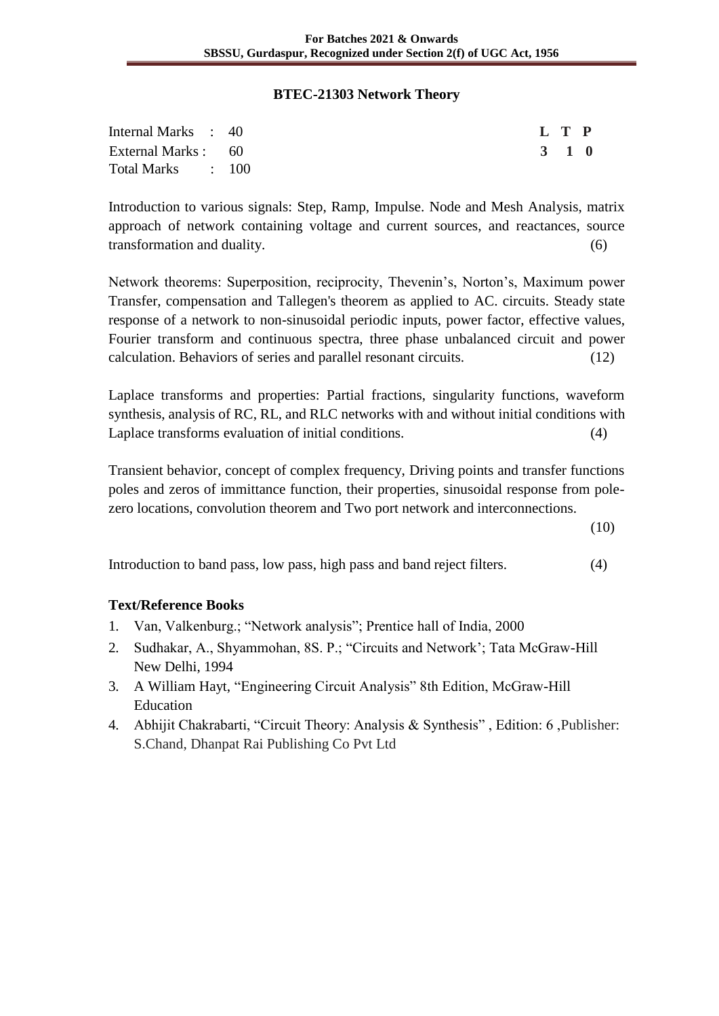#### **BTEC-21303 Network Theory**

| Internal Marks : 40 |  | L T P |  |
|---------------------|--|-------|--|
| External Marks : 60 |  | 3 1 0 |  |
| Total Marks : 100   |  |       |  |

Introduction to various signals: Step, Ramp, Impulse. Node and Mesh Analysis, matrix approach of network containing voltage and current sources, and reactances, source transformation and duality. (6)

Network theorems: Superposition, reciprocity, Thevenin's, Norton's, Maximum power Transfer, compensation and Tallegen's theorem as applied to AC. circuits. Steady state response of a network to non-sinusoidal periodic inputs, power factor, effective values, Fourier transform and continuous spectra, three phase unbalanced circuit and power calculation. Behaviors of series and parallel resonant circuits. (12)

Laplace transforms and properties: Partial fractions, singularity functions, waveform synthesis, analysis of RC, RL, and RLC networks with and without initial conditions with Laplace transforms evaluation of initial conditions. (4)

Transient behavior, concept of complex frequency, Driving points and transfer functions poles and zeros of immittance function, their properties, sinusoidal response from polezero locations, convolution theorem and Two port network and interconnections.

(10)

Introduction to band pass, low pass, high pass and band reject filters. (4)

- 1. Van, Valkenburg.; "Network analysis"; Prentice hall of India, 2000
- 2. Sudhakar, A., Shyammohan, 8S. P.; "Circuits and Network'; Tata McGraw-Hill New Delhi, 1994
- 3. A William Hayt, "Engineering Circuit Analysis" 8th Edition, McGraw-Hill Education
- 4. Abhijit Chakrabarti, "Circuit Theory: Analysis & Synthesis" , Edition: 6 ,Publisher: S.Chand, Dhanpat Rai Publishing Co Pvt Ltd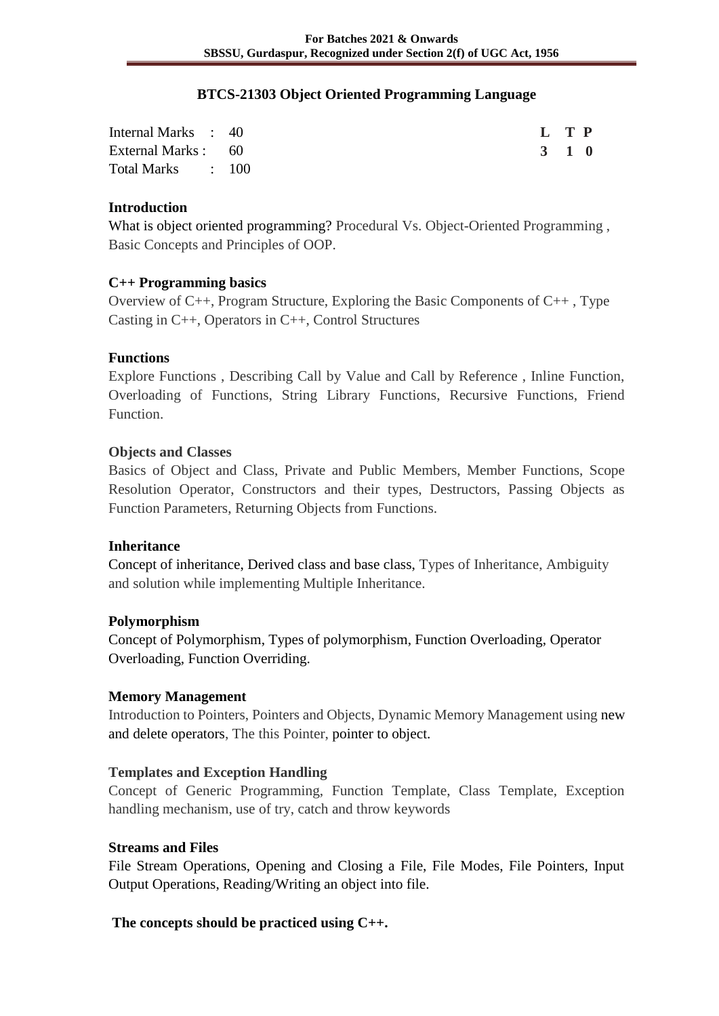#### **BTCS-21303 Object Oriented Programming Language**

| Internal Marks : 40 |  | L T P |  |
|---------------------|--|-------|--|
| External Marks : 60 |  | 3 1 0 |  |
| Total Marks : 100   |  |       |  |

## **Introduction**

What is object oriented programming? Procedural Vs. Object-Oriented Programming , Basic Concepts and Principles of OOP.

## **C++ Programming basics**

Overview of C++, Program Structure, Exploring the Basic Components of C++ , Type Casting in C++, Operators in C++, Control Structures

## **Functions**

Explore Functions , Describing Call by Value and Call by Reference , Inline Function, Overloading of Functions, String Library Functions, Recursive Functions, Friend Function.

## **Objects and Classes**

Basics of Object and Class, Private and Public Members, Member Functions, Scope Resolution Operator, Constructors and their types, Destructors, Passing Objects as Function Parameters, Returning Objects from Functions.

#### **Inheritance**

Concept of inheritance, Derived class and base class, Types of Inheritance, Ambiguity and solution while implementing Multiple Inheritance.

#### **Polymorphism**

Concept of Polymorphism, Types of polymorphism, Function Overloading, Operator Overloading, Function Overriding.

## **Memory Management**

Introduction to Pointers, Pointers and Objects, Dynamic Memory Management using new and delete operators, The this Pointer, pointer to object.

## **Templates and Exception Handling**

Concept of Generic Programming, Function Template, Class Template, Exception handling mechanism, use of try, catch and throw keywords

#### **Streams and Files**

File Stream Operations, Opening and Closing a File, File Modes, File Pointers, Input Output Operations, Reading/Writing an object into file.

## **The concepts should be practiced using C++.**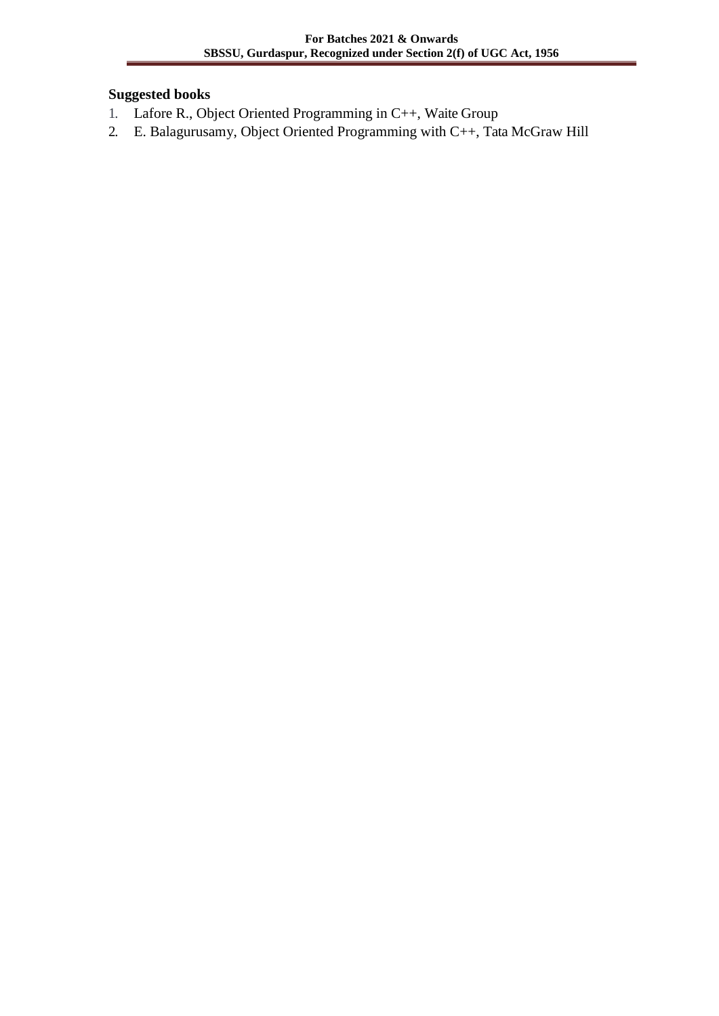## **Suggested books**

- 1. Lafore R., Object Oriented Programming in C++, Waite Group
- 2. E. Balagurusamy, Object Oriented Programming with C++, Tata McGraw Hill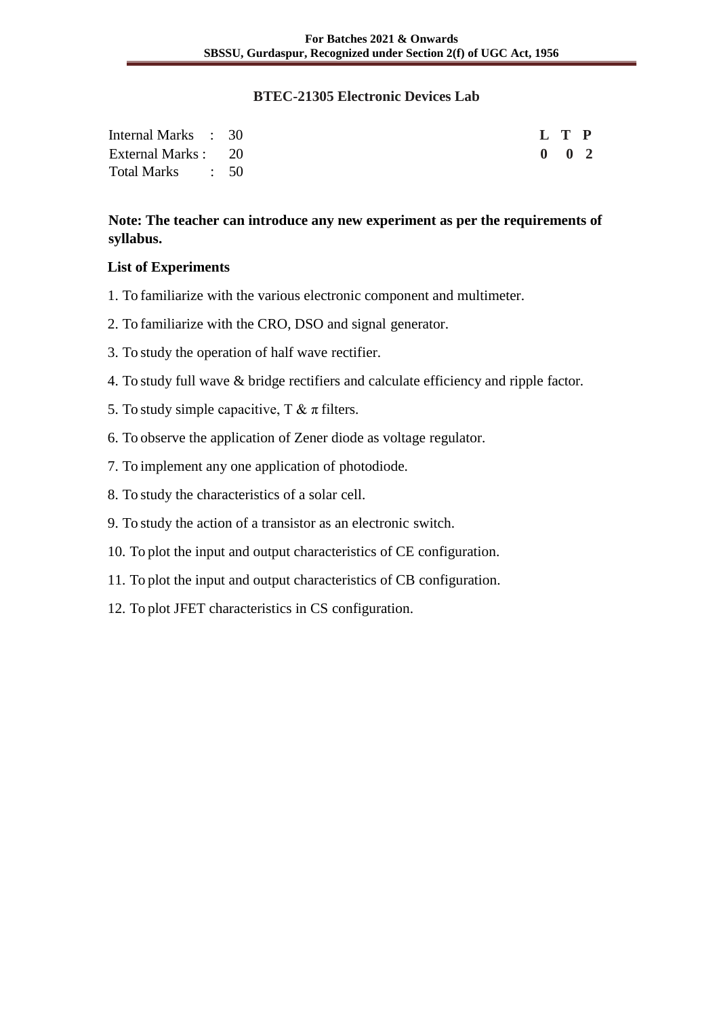#### **BTEC-21305 Electronic Devices Lab**

| Internal Marks : 30 |  |  | L T P               |  |
|---------------------|--|--|---------------------|--|
| External Marks : 20 |  |  | $0 \quad 0 \quad 2$ |  |
| Total Marks : 50    |  |  |                     |  |

## **Note: The teacher can introduce any new experiment as per the requirements of syllabus.**

## **List of Experiments**

- 1. To familiarize with the various electronic component and multimeter.
- 2. To familiarize with the CRO, DSO and signal generator.
- 3. To study the operation of half wave rectifier.
- 4. To study full wave & bridge rectifiers and calculate efficiency and ripple factor.
- 5. To study simple capacitive, T  $\& \pi$  filters.
- 6. To observe the application of Zener diode as voltage regulator.
- 7. To implement any one application of photodiode.
- 8. To study the characteristics of a solar cell.
- 9. To study the action of a transistor as an electronic switch.
- 10. To plot the input and output characteristics of CE configuration.
- 11. To plot the input and output characteristics of CB configuration.
- 12. To plot JFET characteristics in CS configuration.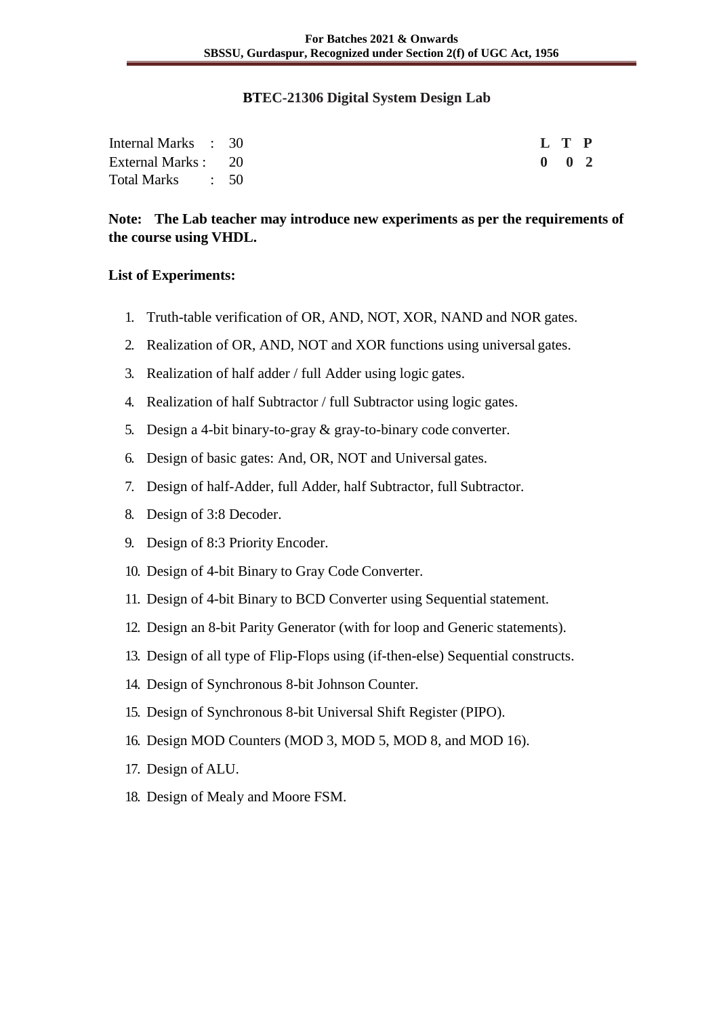#### **BTEC-21306 Digital System Design Lab**

| Internal Marks : 30 |  |  | L T P               |  |
|---------------------|--|--|---------------------|--|
| External Marks : 20 |  |  | $0 \quad 0 \quad 2$ |  |
| Total Marks : 50    |  |  |                     |  |

**Note: The Lab teacher may introduce new experiments as per the requirements of the course using VHDL.**

#### **List of Experiments:**

- 1. Truth-table verification of OR, AND, NOT, XOR, NAND and NOR gates.
- 2. Realization of OR, AND, NOT and XOR functions using universal gates.
- 3. Realization of half adder / full Adder using logic gates.
- 4. Realization of half Subtractor / full Subtractor using logic gates.
- 5. Design a 4-bit binary-to-gray & gray-to-binary code converter.
- 6. Design of basic gates: And, OR, NOT and Universal gates.
- 7. Design of half-Adder, full Adder, half Subtractor, full Subtractor.
- 8. Design of 3:8 Decoder.
- 9. Design of 8:3 Priority Encoder.
- 10. Design of 4-bit Binary to Gray Code Converter.
- 11. Design of 4-bit Binary to BCD Converter using Sequential statement.
- 12. Design an 8-bit Parity Generator (with for loop and Generic statements).
- 13. Design of all type of Flip-Flops using (if-then-else) Sequential constructs.
- 14. Design of Synchronous 8-bit Johnson Counter.
- 15. Design of Synchronous 8-bit Universal Shift Register (PIPO).
- 16. Design MOD Counters (MOD 3, MOD 5, MOD 8, and MOD 16).
- 17. Design of ALU.
- 18. Design of Mealy and Moore FSM.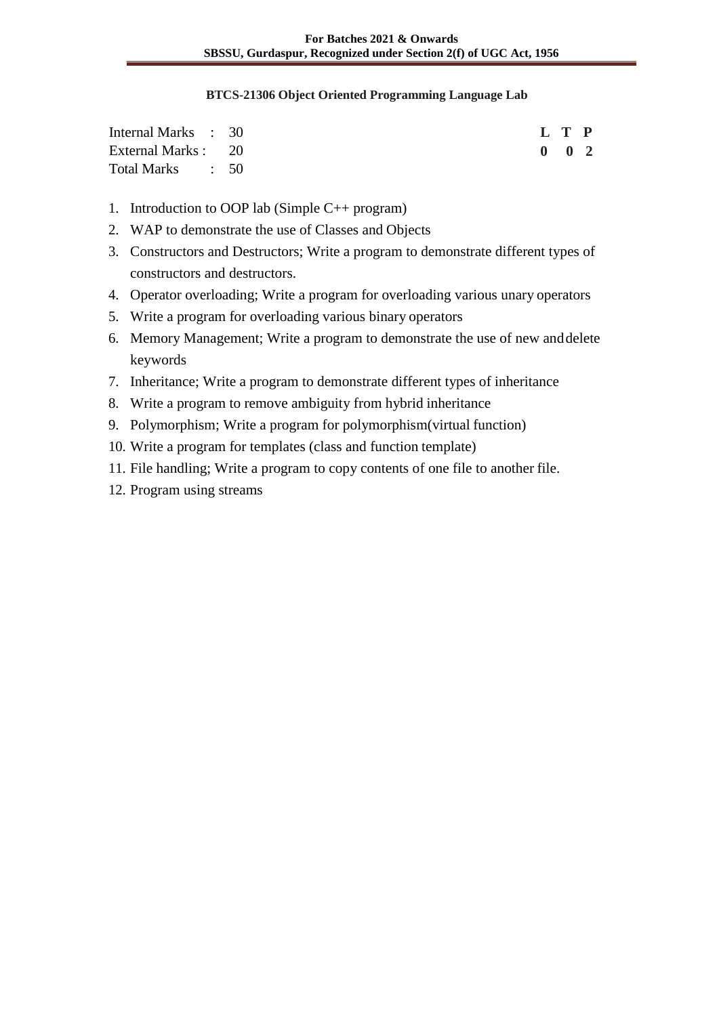#### **BTCS-21306 Object Oriented Programming Language Lab**

| Internal Marks : 30 |  |  | L T P         |  |
|---------------------|--|--|---------------|--|
| External Marks : 20 |  |  | $0 \t 0 \t 2$ |  |
| Total Marks : 50    |  |  |               |  |

- 1. Introduction to OOP lab (Simple C++ program)
- 2. WAP to demonstrate the use of Classes and Objects
- 3. Constructors and Destructors; Write a program to demonstrate different types of constructors and destructors.
- 4. Operator overloading; Write a program for overloading various unary operators
- 5. Write a program for overloading various binary operators
- 6. Memory Management; Write a program to demonstrate the use of new anddelete keywords
- 7. Inheritance; Write a program to demonstrate different types of inheritance
- 8. Write a program to remove ambiguity from hybrid inheritance
- 9. Polymorphism; Write a program for polymorphism(virtual function)
- 10. Write a program for templates (class and function template)
- 11. File handling; Write a program to copy contents of one file to another file.
- 12. Program using streams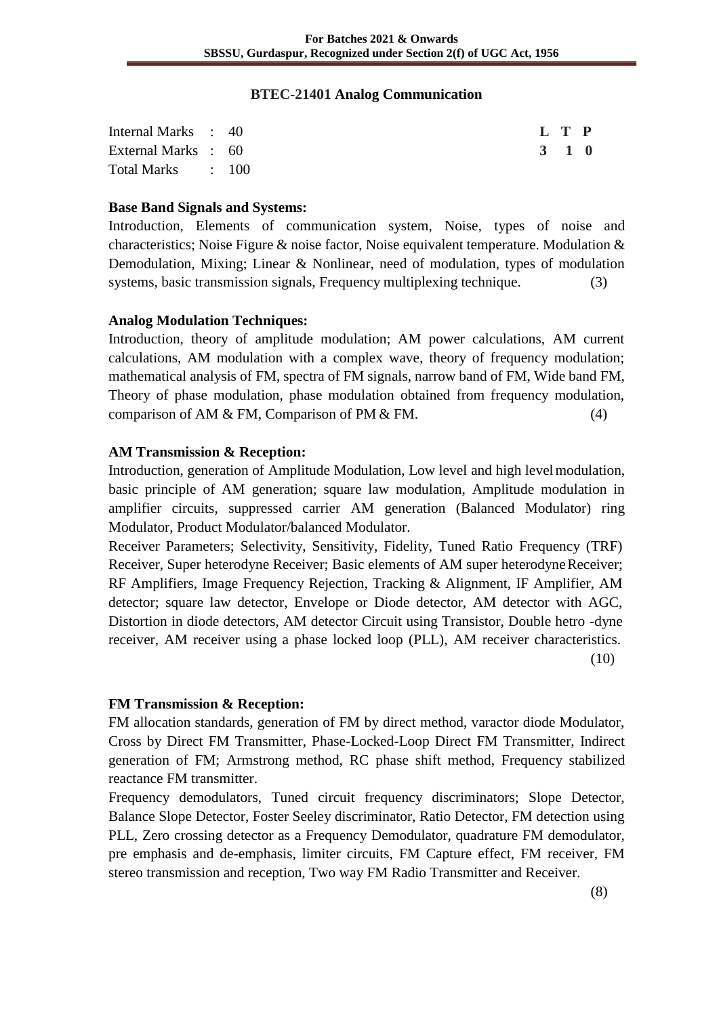#### **BTEC-21401 Analog Communication**

| Internal Marks : 40 |  | L T P |  |
|---------------------|--|-------|--|
| External Marks : 60 |  | 3 1 0 |  |
| Total Marks : 100   |  |       |  |

#### **Base Band Signals and Systems:**

Introduction, Elements of communication system, Noise, types of noise and characteristics; Noise Figure & noise factor, Noise equivalent temperature. Modulation & Demodulation, Mixing; Linear & Nonlinear, need of modulation, types of modulation systems, basic transmission signals, Frequency multiplexing technique. (3)

#### **Analog Modulation Techniques:**

Introduction, theory of amplitude modulation; AM power calculations, AM current calculations, AM modulation with a complex wave, theory of frequency modulation; mathematical analysis of FM, spectra of FM signals, narrow band of FM, Wide band FM, Theory of phase modulation, phase modulation obtained from frequency modulation, comparison of AM  $&$  FM, Comparison of PM  $&$  FM. (4)

## **AM Transmission & Reception:**

Introduction, generation of Amplitude Modulation, Low level and high levelmodulation, basic principle of AM generation; square law modulation, Amplitude modulation in amplifier circuits, suppressed carrier AM generation (Balanced Modulator) ring Modulator, Product Modulator/balanced Modulator.

Receiver Parameters; Selectivity, Sensitivity, Fidelity, Tuned Ratio Frequency (TRF) Receiver, Super heterodyne Receiver; Basic elements of AM super heterodyne Receiver; RF Amplifiers, Image Frequency Rejection, Tracking & Alignment, IF Amplifier, AM detector; square law detector, Envelope or Diode detector, AM detector with AGC, Distortion in diode detectors, AM detector Circuit using Transistor, Double hetro -dyne receiver, AM receiver using a phase locked loop (PLL), AM receiver characteristics. (10)

#### **FM Transmission & Reception:**

FM allocation standards, generation of FM by direct method, varactor diode Modulator, Cross by Direct FM Transmitter, Phase-Locked-Loop Direct FM Transmitter, Indirect generation of FM; Armstrong method, RC phase shift method, Frequency stabilized reactance FM transmitter.

Frequency demodulators, Tuned circuit frequency discriminators; Slope Detector, Balance Slope Detector, Foster Seeley discriminator, Ratio Detector, FM detection using PLL, Zero crossing detector as a Frequency Demodulator, quadrature FM demodulator, pre emphasis and de-emphasis, limiter circuits, FM Capture effect, FM receiver, FM stereo transmission and reception, Two way FM Radio Transmitter and Receiver.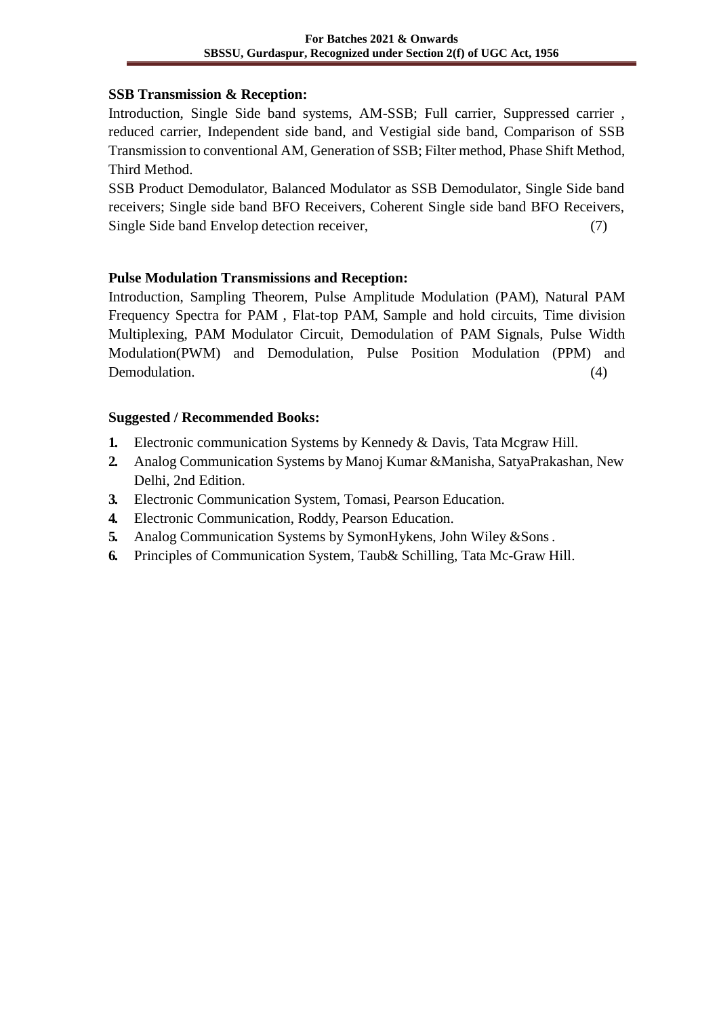#### **SSB Transmission & Reception:**

Introduction, Single Side band systems, AM-SSB; Full carrier, Suppressed carrier , reduced carrier, Independent side band, and Vestigial side band, Comparison of SSB Transmission to conventional AM, Generation of SSB; Filter method, Phase Shift Method, Third Method.

SSB Product Demodulator, Balanced Modulator as SSB Demodulator, Single Side band receivers; Single side band BFO Receivers, Coherent Single side band BFO Receivers, Single Side band Envelop detection receiver, (7)

## **Pulse Modulation Transmissions and Reception:**

Introduction, Sampling Theorem, Pulse Amplitude Modulation (PAM), Natural PAM Frequency Spectra for PAM , Flat-top PAM, Sample and hold circuits, Time division Multiplexing, PAM Modulator Circuit, Demodulation of PAM Signals, Pulse Width Modulation(PWM) and Demodulation, Pulse Position Modulation (PPM) and Demodulation. (4)

## **Suggested / Recommended Books:**

- **1.** Electronic communication Systems by Kennedy & Davis, Tata Mcgraw Hill.
- **2.** Analog Communication Systems by Manoj Kumar &Manisha, SatyaPrakashan, New Delhi, 2nd Edition.
- **3.** Electronic Communication System, Tomasi, Pearson Education.
- **4.** Electronic Communication, Roddy, Pearson Education.
- **5.** Analog Communication Systems by SymonHykens, John Wiley &Sons.
- **6.** Principles of Communication System, Taub& Schilling, Tata Mc-Graw Hill.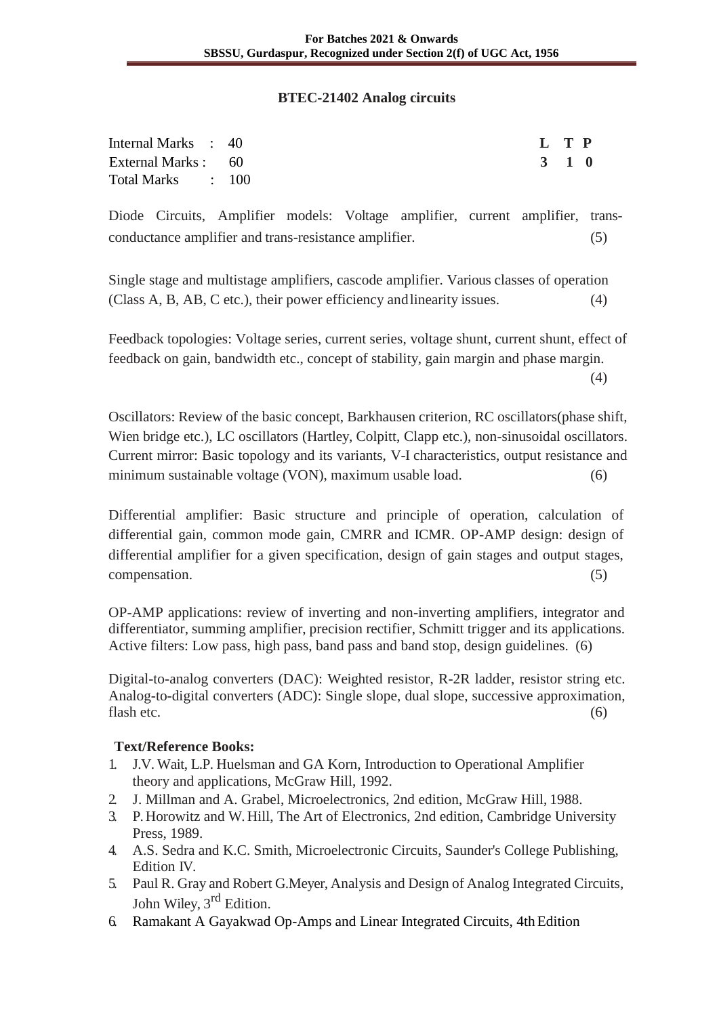#### **BTEC-21402 Analog circuits**

| Internal Marks : 40 | L T P |  |
|---------------------|-------|--|
| External Marks : 60 | 3 1 0 |  |
| Total Marks : 100   |       |  |

Diode Circuits, Amplifier models: Voltage amplifier, current amplifier, transconductance amplifier and trans-resistance amplifier. (5)

Single stage and multistage amplifiers, cascode amplifier. Various classes of operation (Class A, B, AB, C etc.), their power efficiency andlinearity issues. (4)

Feedback topologies: Voltage series, current series, voltage shunt, current shunt, effect of feedback on gain, bandwidth etc., concept of stability, gain margin and phase margin.

(4)

Oscillators: Review of the basic concept, Barkhausen criterion, RC oscillators(phase shift, Wien bridge etc.), LC oscillators (Hartley, Colpitt, Clapp etc.), non-sinusoidal oscillators. Current mirror: Basic topology and its variants, V-I characteristics, output resistance and minimum sustainable voltage (VON), maximum usable load. (6)

Differential amplifier: Basic structure and principle of operation, calculation of differential gain, common mode gain, CMRR and ICMR. OP-AMP design: design of differential amplifier for a given specification, design of gain stages and output stages, compensation. (5)

OP-AMP applications: review of inverting and non-inverting amplifiers, integrator and differentiator, summing amplifier, precision rectifier, Schmitt trigger and its applications. Active filters: Low pass, high pass, band pass and band stop, design guidelines. (6)

Digital-to-analog converters (DAC): Weighted resistor, R-2R ladder, resistor string etc. Analog-to-digital converters (ADC): Single slope, dual slope, successive approximation, flash etc.  $(6)$ 

- 1. J.V. Wait, L.P. Huelsman and GA Korn, Introduction to Operational Amplifier theory and applications, McGraw Hill, 1992.
- 2. J. Millman and A. Grabel, Microelectronics, 2nd edition, McGraw Hill, 1988.
- 3. P. Horowitz and W. Hill, The Art of Electronics, 2nd edition, Cambridge University Press, 1989.
- 4. A.S. Sedra and K.C. Smith, Microelectronic Circuits, Saunder's College Publishing, Edition IV.
- 5. Paul R. Gray and Robert G.Meyer, Analysis and Design of Analog Integrated Circuits, John Wiley, 3<sup>rd</sup> Edition.
- 6. Ramakant A Gayakwad Op-Amps and Linear Integrated Circuits, 4thEdition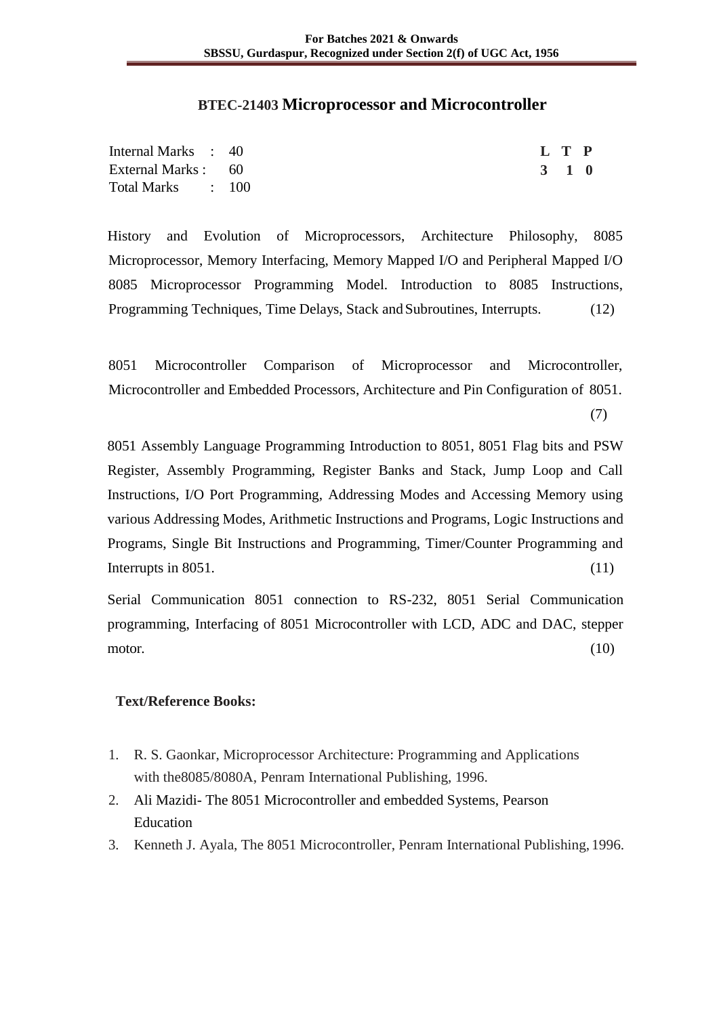#### **BTEC-21403 Microprocessor and Microcontroller**

| Internal Marks : 40 |  | L T P               |  |
|---------------------|--|---------------------|--|
| External Marks : 60 |  | $3 \quad 1 \quad 0$ |  |
| Total Marks : 100   |  |                     |  |

History and Evolution of Microprocessors, Architecture Philosophy, 8085 Microprocessor, Memory Interfacing, Memory Mapped I/O and Peripheral Mapped I/O 8085 Microprocessor Programming Model. Introduction to 8085 Instructions, Programming Techniques, Time Delays, Stack and Subroutines, Interrupts. (12)

8051 Microcontroller Comparison of Microprocessor and Microcontroller, Microcontroller and Embedded Processors, Architecture and Pin Configuration of 8051.

(7)

8051 Assembly Language Programming Introduction to 8051, 8051 Flag bits and PSW Register, Assembly Programming, Register Banks and Stack, Jump Loop and Call Instructions, I/O Port Programming, Addressing Modes and Accessing Memory using various Addressing Modes, Arithmetic Instructions and Programs, Logic Instructions and Programs, Single Bit Instructions and Programming, Timer/Counter Programming and Interrupts in 8051. (11)

Serial Communication 8051 connection to RS-232, 8051 Serial Communication programming, Interfacing of 8051 Microcontroller with LCD, ADC and DAC, stepper motor.  $(10)$ 

- 1. R. S. Gaonkar, Microprocessor Architecture: Programming and Applications with the8085/8080A, Penram International Publishing, 1996.
- 2. Ali Mazidi- The 8051 Microcontroller and embedded Systems, Pearson Education
- 3. Kenneth J. Ayala, The 8051 Microcontroller, Penram International Publishing, 1996.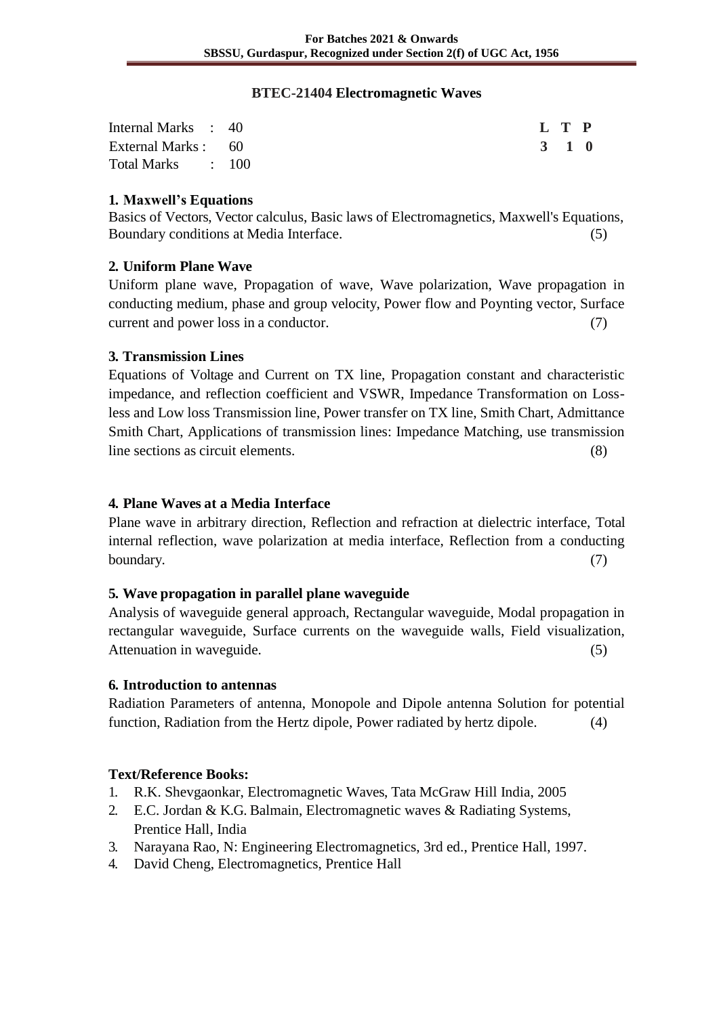#### **BTEC-21404 Electromagnetic Waves**

| Internal Marks : 40 |  | L T P |  |
|---------------------|--|-------|--|
| External Marks : 60 |  | 3 1 0 |  |
| Total Marks : 100   |  |       |  |

## **1. Maxwell's Equations**

Basics of Vectors, Vector calculus, Basic laws of Electromagnetics, Maxwell's Equations, Boundary conditions at Media Interface. (5)

## **2. Uniform Plane Wave**

Uniform plane wave, Propagation of wave, Wave polarization, Wave propagation in conducting medium, phase and group velocity, Power flow and Poynting vector, Surface current and power loss in a conductor. (7)

## **3. Transmission Lines**

Equations of Voltage and Current on TX line, Propagation constant and characteristic impedance, and reflection coefficient and VSWR, Impedance Transformation on Lossless and Low loss Transmission line, Power transfer on TX line, Smith Chart, Admittance Smith Chart, Applications of transmission lines: Impedance Matching, use transmission line sections as circuit elements. (8)

#### **4. Plane Waves at a Media Interface**

Plane wave in arbitrary direction, Reflection and refraction at dielectric interface, Total internal reflection, wave polarization at media interface, Reflection from a conducting boundary. (7)

#### **5. Wave propagation in parallel plane waveguide**

Analysis of waveguide general approach, Rectangular waveguide, Modal propagation in rectangular waveguide, Surface currents on the waveguide walls, Field visualization, Attenuation in waveguide. (5)

#### **6. Introduction to antennas**

Radiation Parameters of antenna, Monopole and Dipole antenna Solution for potential function, Radiation from the Hertz dipole, Power radiated by hertz dipole. (4)

- 1. R.K. Shevgaonkar, Electromagnetic Waves, Tata McGraw Hill India, 2005
- 2. E.C. Jordan & K.G. Balmain, Electromagnetic waves & Radiating Systems, Prentice Hall, India
- 3. Narayana Rao, N: Engineering Electromagnetics, 3rd ed., Prentice Hall, 1997.
- 4. David Cheng, Electromagnetics, Prentice Hall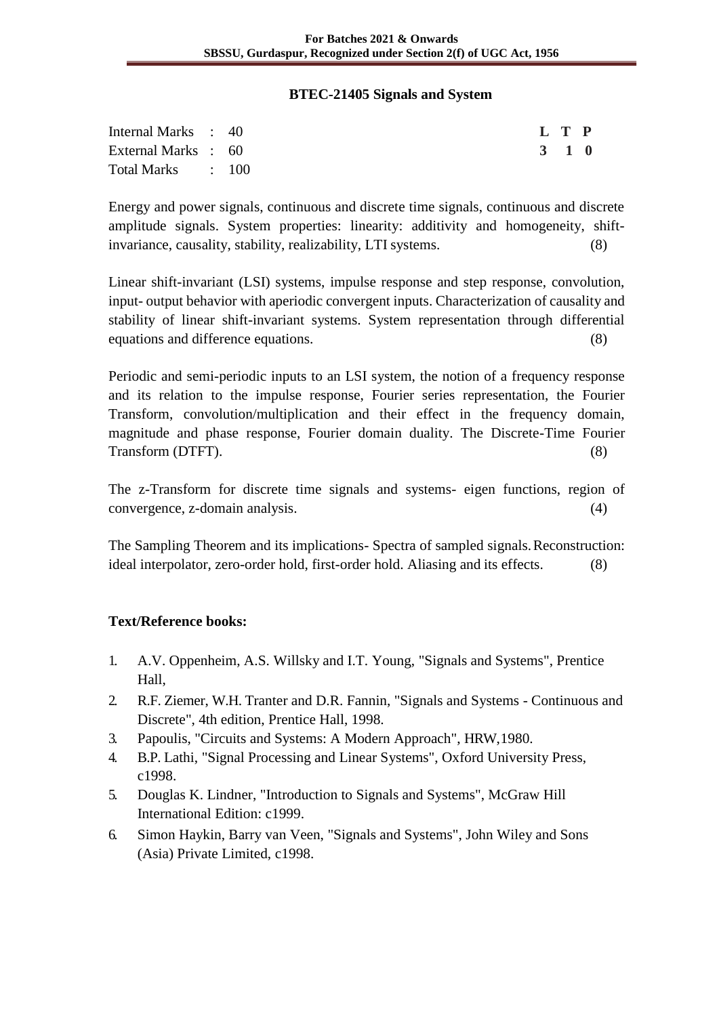#### **BTEC-21405 Signals and System**

| Internal Marks : 40 |  |  |  |  | L T P |  |
|---------------------|--|--|--|--|-------|--|
| External Marks : 60 |  |  |  |  | 3 1 0 |  |
| Total Marks : 100   |  |  |  |  |       |  |

Energy and power signals, continuous and discrete time signals, continuous and discrete amplitude signals. System properties: linearity: additivity and homogeneity, shiftinvariance, causality, stability, realizability, LTI systems. (8)

Linear shift-invariant (LSI) systems, impulse response and step response, convolution, input- output behavior with aperiodic convergent inputs. Characterization of causality and stability of linear shift-invariant systems. System representation through differential equations and difference equations. (8)

Periodic and semi-periodic inputs to an LSI system, the notion of a frequency response and its relation to the impulse response, Fourier series representation, the Fourier Transform, convolution/multiplication and their effect in the frequency domain, magnitude and phase response, Fourier domain duality. The Discrete-Time Fourier Transform (DTFT). (8)

The z-Transform for discrete time signals and systems- eigen functions, region of convergence, z-domain analysis. (4)

The Sampling Theorem and its implications- Spectra of sampled signals.Reconstruction: ideal interpolator, zero-order hold, first-order hold. Aliasing and its effects. (8)

- 1. A.V. Oppenheim, A.S. Willsky and I.T. Young, "Signals and Systems", Prentice Hall,
- 2. R.F. Ziemer, W.H. Tranter and D.R. Fannin, "Signals and Systems Continuous and Discrete", 4th edition, Prentice Hall, 1998.
- 3. Papoulis, "Circuits and Systems: A Modern Approach", HRW,1980.
- 4. B.P. Lathi, "Signal Processing and Linear Systems", Oxford University Press, c1998.
- 5. Douglas K. Lindner, "Introduction to Signals and Systems", McGraw Hill International Edition: c1999.
- 6. Simon Haykin, Barry van Veen, "Signals and Systems", John Wiley and Sons (Asia) Private Limited, c1998.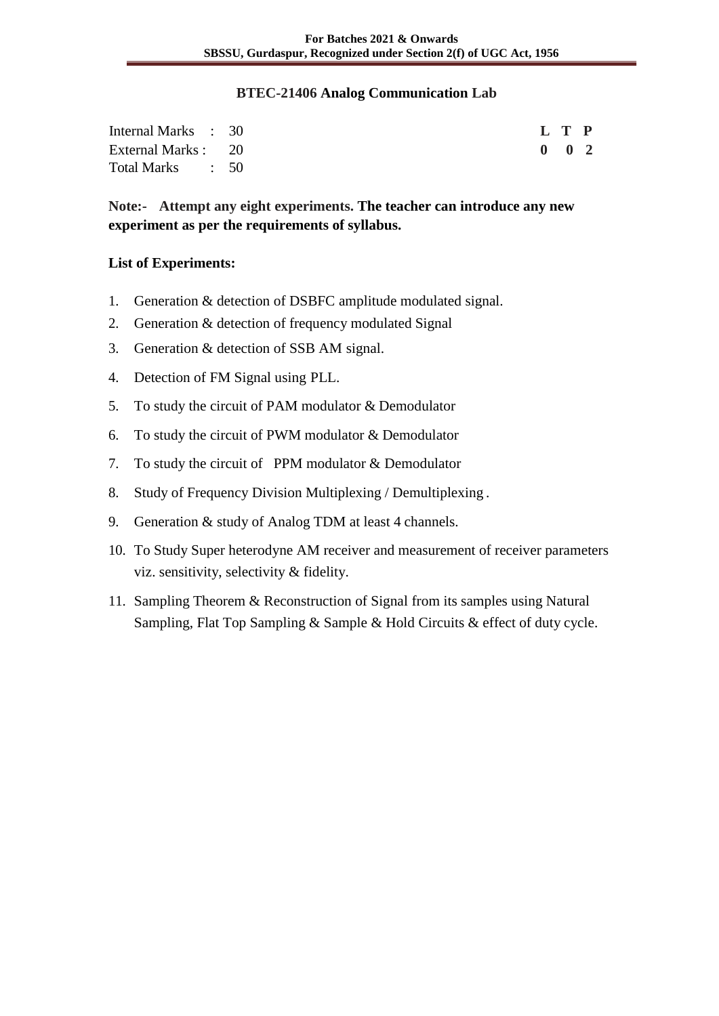#### **BTEC-21406 Analog Communication Lab**

| Internal Marks : 30 |  |  | L T P         |  |
|---------------------|--|--|---------------|--|
| External Marks : 20 |  |  | $0 \t 0 \t 2$ |  |
| Total Marks : 50    |  |  |               |  |

**Note:- Attempt any eight experiments. The teacher can introduce any new experiment as per the requirements of syllabus.**

#### **List of Experiments:**

- 1. Generation & detection of DSBFC amplitude modulated signal.
- 2. Generation & detection of frequency modulated Signal
- 3. Generation & detection of SSB AM signal.
- 4. Detection of FM Signal using PLL.
- 5. To study the circuit of PAM modulator & Demodulator
- 6. To study the circuit of PWM modulator & Demodulator
- 7. To study the circuit of PPM modulator & Demodulator
- 8. Study of Frequency Division Multiplexing / Demultiplexing .
- 9. Generation & study of Analog TDM at least 4 channels.
- 10. To Study Super heterodyne AM receiver and measurement of receiver parameters viz. sensitivity, selectivity & fidelity.
- 11. Sampling Theorem & Reconstruction of Signal from its samples using Natural Sampling, Flat Top Sampling & Sample & Hold Circuits & effect of duty cycle.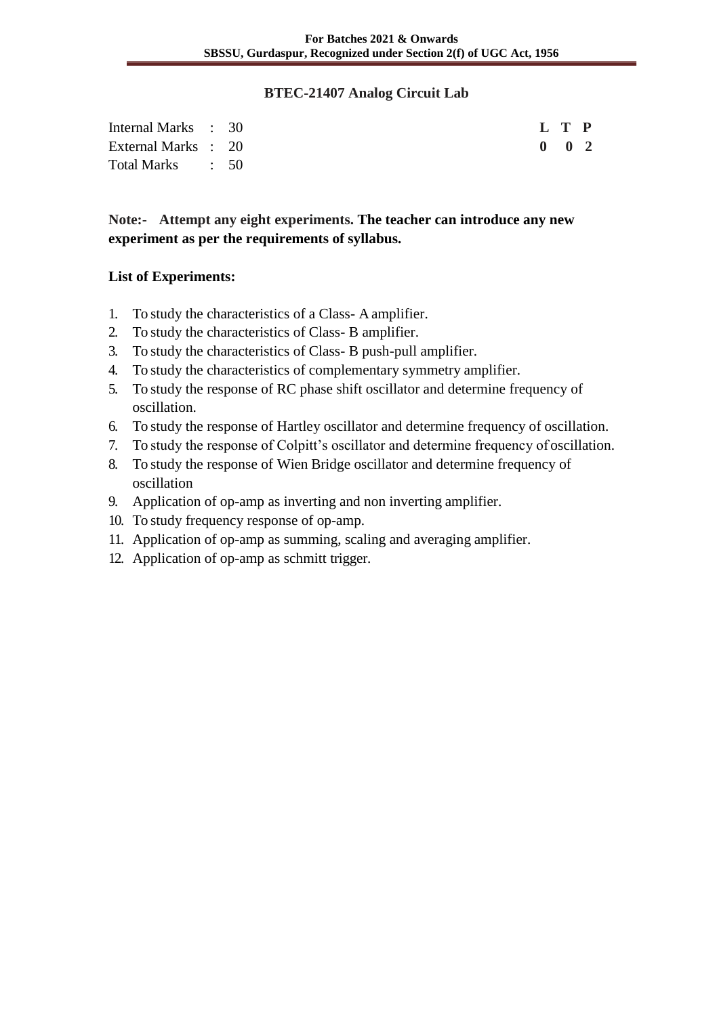#### **BTEC-21407 Analog Circuit Lab**

| Internal Marks : 30 |  |  | L T P         |  |
|---------------------|--|--|---------------|--|
| External Marks : 20 |  |  | $0 \t 0 \t 2$ |  |
| Total Marks : 50    |  |  |               |  |

## **Note:- Attempt any eight experiments. The teacher can introduce any new experiment as per the requirements of syllabus.**

## **List of Experiments:**

- 1. To study the characteristics of a Class- A amplifier.
- 2. To study the characteristics of Class- B amplifier.
- 3. To study the characteristics of Class- B push-pull amplifier.
- 4. To study the characteristics of complementary symmetry amplifier.
- 5. To study the response of RC phase shift oscillator and determine frequency of oscillation.
- 6. To study the response of Hartley oscillator and determine frequency of oscillation.
- 7. To study the response of Colpitt's oscillator and determine frequency of oscillation.
- 8. To study the response of Wien Bridge oscillator and determine frequency of oscillation
- 9. Application of op-amp as inverting and non inverting amplifier.
- 10. To study frequency response of op-amp.
- 11. Application of op-amp as summing, scaling and averaging amplifier.
- 12. Application of op-amp as schmitt trigger.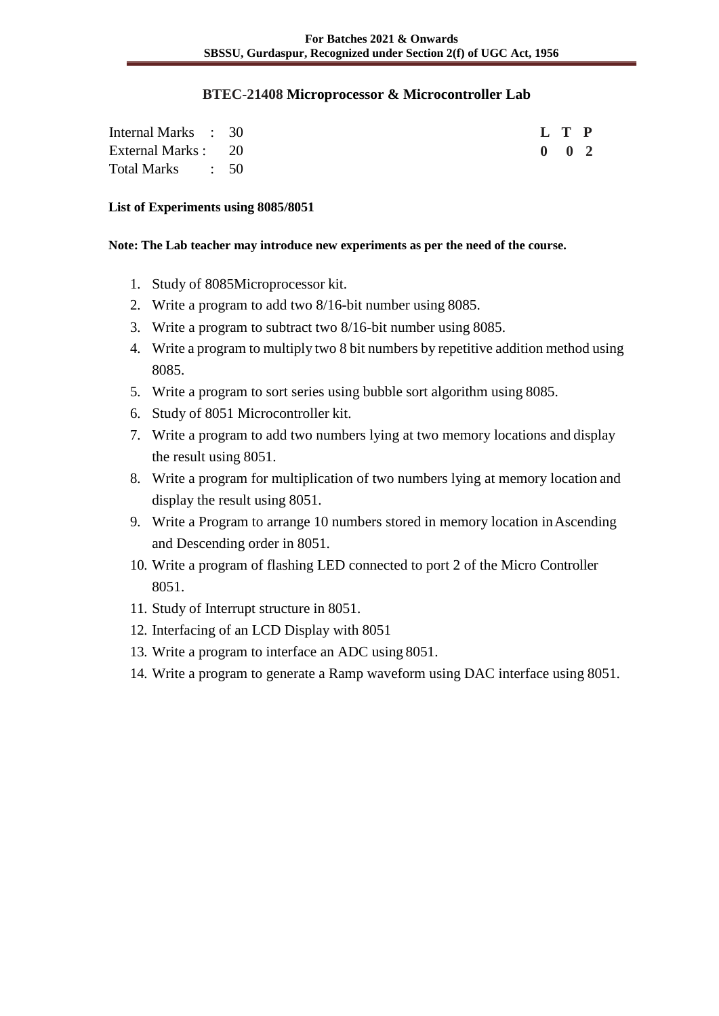#### **BTEC-21408 Microprocessor & Microcontroller Lab**

| Internal Marks : 30 |  |  |  |  | L T P               |  |
|---------------------|--|--|--|--|---------------------|--|
| External Marks : 20 |  |  |  |  | $0 \quad 0 \quad 2$ |  |
| Total Marks : 50    |  |  |  |  |                     |  |

#### **List of Experiments using 8085/8051**

#### **Note: The Lab teacher may introduce new experiments as per the need of the course.**

- 1. Study of 8085Microprocessor kit.
- 2. Write a program to add two 8/16-bit number using 8085.
- 3. Write a program to subtract two 8/16-bit number using 8085.
- 4. Write a program to multiply two 8 bit numbers by repetitive addition method using 8085.
- 5. Write a program to sort series using bubble sort algorithm using 8085.
- 6. Study of 8051 Microcontroller kit.
- 7. Write a program to add two numbers lying at two memory locations and display the result using 8051.
- 8. Write a program for multiplication of two numbers lying at memory location and display the result using 8051.
- 9. Write a Program to arrange 10 numbers stored in memory location inAscending and Descending order in 8051.
- 10. Write a program of flashing LED connected to port 2 of the Micro Controller 8051.
- 11. Study of Interrupt structure in 8051.
- 12. Interfacing of an LCD Display with 8051
- 13. Write a program to interface an ADC using 8051.
- 14. Write a program to generate a Ramp waveform using DAC interface using 8051.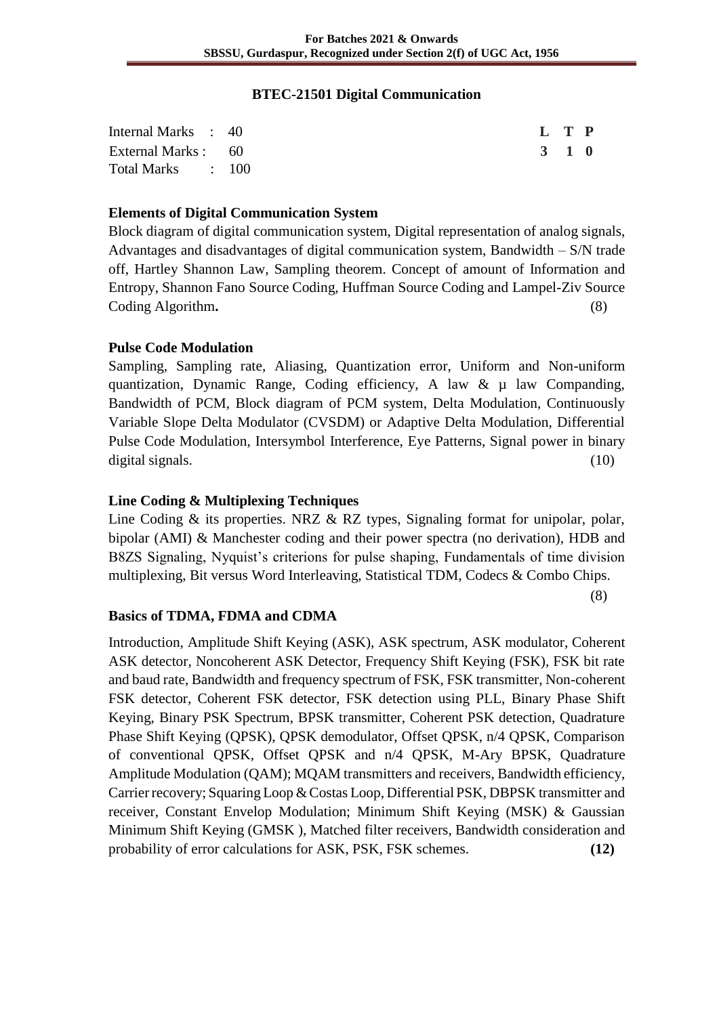#### **BTEC-21501 Digital Communication**

| Internal Marks : 40 | L T P |  |
|---------------------|-------|--|
| External Marks : 60 | 3 1 0 |  |
| Total Marks : 100   |       |  |

#### **Elements of Digital Communication System**

Block diagram of digital communication system, Digital representation of analog signals, Advantages and disadvantages of digital communication system, Bandwidth – S/N trade off, Hartley Shannon Law, Sampling theorem. Concept of amount of Information and Entropy, Shannon Fano Source Coding, Huffman Source Coding and Lampel-Ziv Source Coding Algorithm. (8)

#### **Pulse Code Modulation**

Sampling, Sampling rate, Aliasing, Quantization error, Uniform and Non-uniform quantization, Dynamic Range, Coding efficiency, A law  $\& \mu$  law Companding, Bandwidth of PCM, Block diagram of PCM system, Delta Modulation, Continuously Variable Slope Delta Modulator (CVSDM) or Adaptive Delta Modulation, Differential Pulse Code Modulation, Intersymbol Interference, Eye Patterns, Signal power in binary digital signals. (10) (10)

#### **Line Coding & Multiplexing Techniques**

Line Coding & its properties. NRZ & RZ types, Signaling format for unipolar, polar, bipolar (AMI) & Manchester coding and their power spectra (no derivation), HDB and B8ZS Signaling, Nyquist's criterions for pulse shaping, Fundamentals of time division multiplexing, Bit versus Word Interleaving, Statistical TDM, Codecs & Combo Chips.

(8)

#### **Basics of TDMA, FDMA and CDMA**

Introduction, Amplitude Shift Keying (ASK), ASK spectrum, ASK modulator, Coherent ASK detector, Noncoherent ASK Detector, Frequency Shift Keying (FSK), FSK bit rate and baud rate, Bandwidth and frequency spectrum of FSK, FSK transmitter, Non-coherent FSK detector, Coherent FSK detector, FSK detection using PLL, Binary Phase Shift Keying, Binary PSK Spectrum, BPSK transmitter, Coherent PSK detection, Quadrature Phase Shift Keying (QPSK), QPSK demodulator, Offset QPSK, n/4 QPSK, Comparison of conventional QPSK, Offset QPSK and n/4 QPSK, M-Ary BPSK, Quadrature Amplitude Modulation (QAM); MQAM transmitters and receivers, Bandwidth efficiency, Carrier recovery; Squaring Loop & Costas Loop, Differential PSK, DBPSK transmitter and receiver, Constant Envelop Modulation; Minimum Shift Keying (MSK) & Gaussian Minimum Shift Keying (GMSK ), Matched filter receivers, Bandwidth consideration and probability of error calculations for ASK, PSK, FSK schemes. **(12)**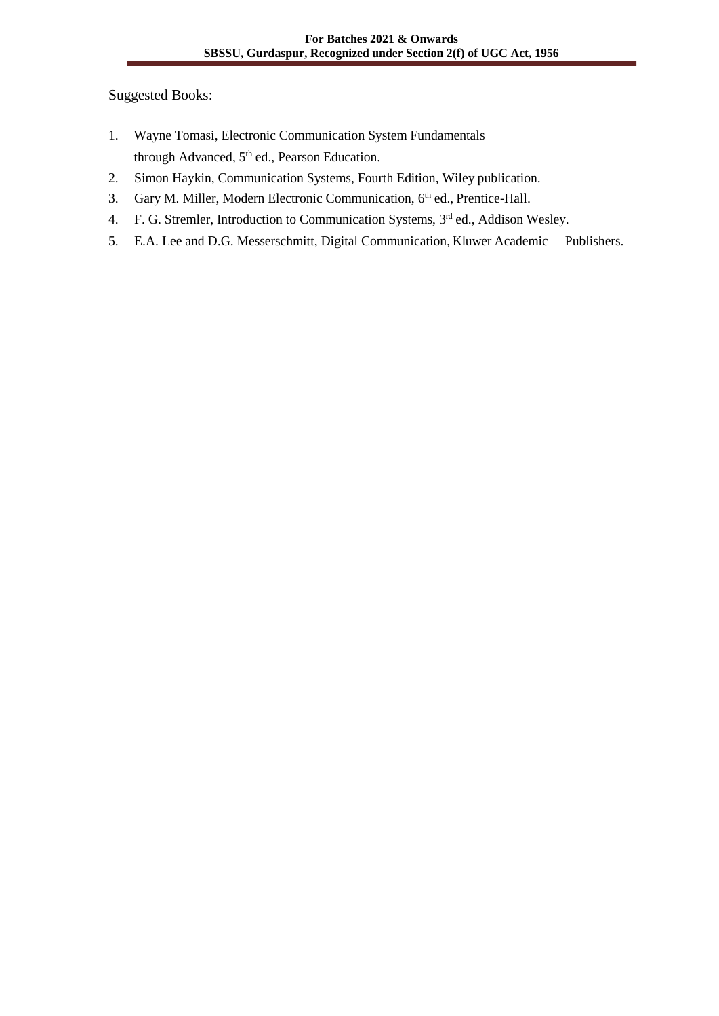Suggested Books:

- 1. Wayne Tomasi, Electronic Communication System Fundamentals through Advanced,  $5<sup>th</sup>$  ed., Pearson Education.
- 2. Simon Haykin, Communication Systems, Fourth Edition, Wiley publication.
- 3. Gary M. Miller, Modern Electronic Communication, 6<sup>th</sup> ed., Prentice-Hall.
- 4. F. G. Stremler, Introduction to Communication Systems, 3<sup>rd</sup> ed., Addison Wesley.
- 5. E.A. Lee and D.G. Messerschmitt, Digital Communication, Kluwer Academic Publishers.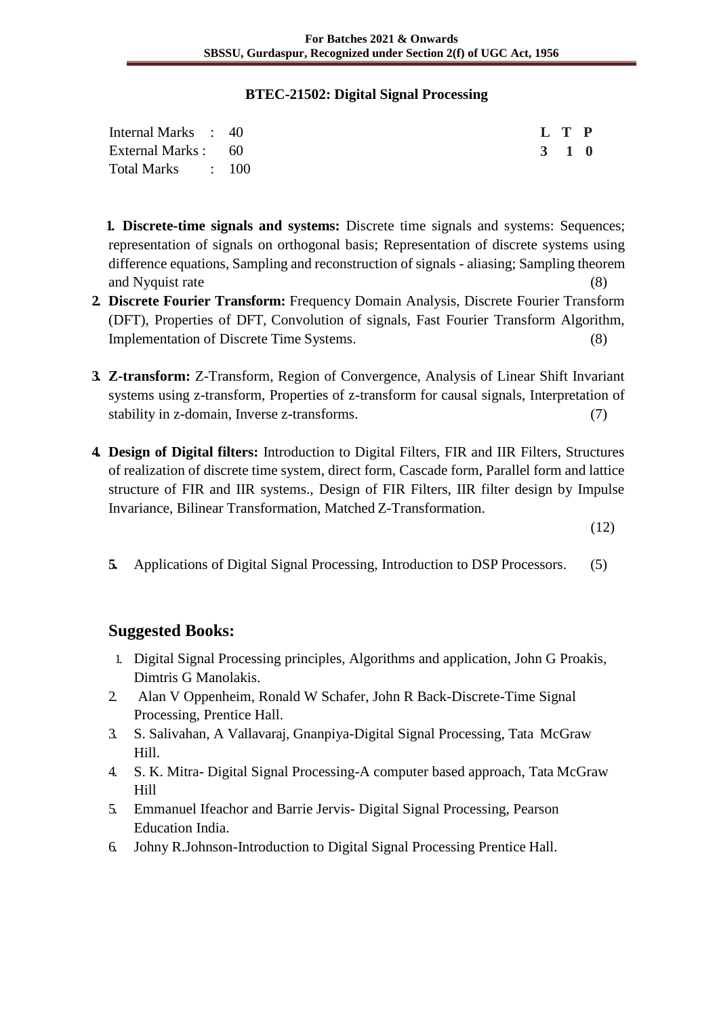#### **BTEC-21502: Digital Signal Processing**

| Internal Marks : 40 |  |  | L T P |  |
|---------------------|--|--|-------|--|
| External Marks : 60 |  |  | 3 1 0 |  |
| Total Marks : 100   |  |  |       |  |

**1. Discrete-time signals and systems:** Discrete time signals and systems: Sequences; representation of signals on orthogonal basis; Representation of discrete systems using difference equations, Sampling and reconstruction of signals - aliasing; Sampling theorem and Nyquist rate (8)

- **2. Discrete Fourier Transform:** Frequency Domain Analysis, Discrete Fourier Transform (DFT), Properties of DFT, Convolution of signals, Fast Fourier Transform Algorithm, Implementation of Discrete Time Systems. (8)
- **3. Z-transform:** Z-Transform, Region of Convergence, Analysis of Linear Shift Invariant systems using z-transform, Properties of z-transform for causal signals, Interpretation of stability in z-domain, Inverse z-transforms. (7)
- **4. Design of Digital filters:** Introduction to Digital Filters, FIR and IIR Filters, Structures of realization of discrete time system, direct form, Cascade form, Parallel form and lattice structure of FIR and IIR systems., Design of FIR Filters, IIR filter design by Impulse Invariance, Bilinear Transformation, Matched Z-Transformation.

(12)

**5.** Applications of Digital Signal Processing, Introduction to DSP Processors. (5)

## **Suggested Books:**

- 1. Digital Signal Processing principles, Algorithms and application, John G Proakis, Dimtris G Manolakis.
- 2. Alan V Oppenheim, Ronald W Schafer, John R Back-Discrete-Time Signal Processing, Prentice Hall.
- 3. S. Salivahan, A Vallavaraj, Gnanpiya-Digital Signal Processing, Tata McGraw Hill.
- 4. S. K. Mitra- Digital Signal Processing-A computer based approach, Tata McGraw Hill
- 5. Emmanuel Ifeachor and Barrie Jervis- Digital Signal Processing, Pearson Education India.
- 6. Johny R.Johnson-Introduction to Digital Signal Processing Prentice Hall.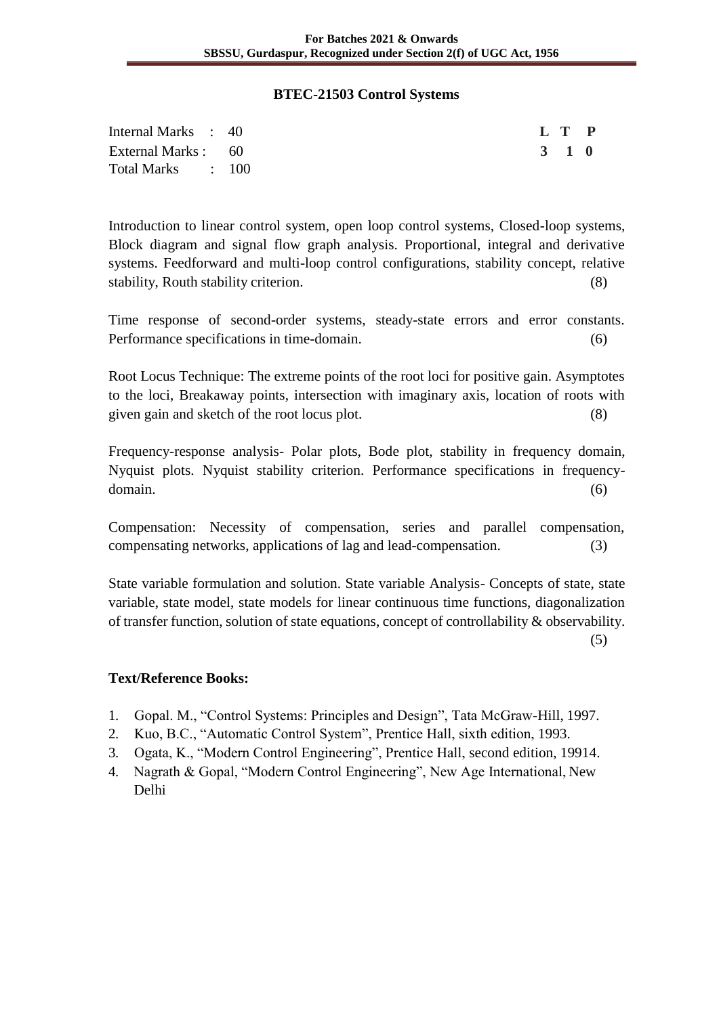#### **BTEC-21503 Control Systems**

| Internal Marks : 40 | L T P |  |
|---------------------|-------|--|
| External Marks : 60 | 3 1 0 |  |
| Total Marks : 100   |       |  |

Introduction to linear control system, open loop control systems, Closed-loop systems, Block diagram and signal flow graph analysis. Proportional, integral and derivative systems. Feedforward and multi-loop control configurations, stability concept, relative stability, Routh stability criterion. (8)

Time response of second-order systems, steady-state errors and error constants. Performance specifications in time-domain. (6)

Root Locus Technique: The extreme points of the root loci for positive gain. Asymptotes to the loci, Breakaway points, intersection with imaginary axis, location of roots with given gain and sketch of the root locus plot. (8)

Frequency-response analysis- Polar plots, Bode plot, stability in frequency domain, Nyquist plots. Nyquist stability criterion. Performance specifications in frequencydomain. (6)

Compensation: Necessity of compensation, series and parallel compensation, compensating networks, applications of lag and lead-compensation. (3)

State variable formulation and solution. State variable Analysis- Concepts of state, state variable, state model, state models for linear continuous time functions, diagonalization of transfer function, solution of state equations, concept of controllability & observability.

(5)

- 1. Gopal. M., "Control Systems: Principles and Design", Tata McGraw-Hill, 1997.
- 2. Kuo, B.C., "Automatic Control System", Prentice Hall, sixth edition, 1993.
- 3. Ogata, K., "Modern Control Engineering", Prentice Hall, second edition, 19914.
- 4. Nagrath & Gopal, "Modern Control Engineering", New Age International, New Delhi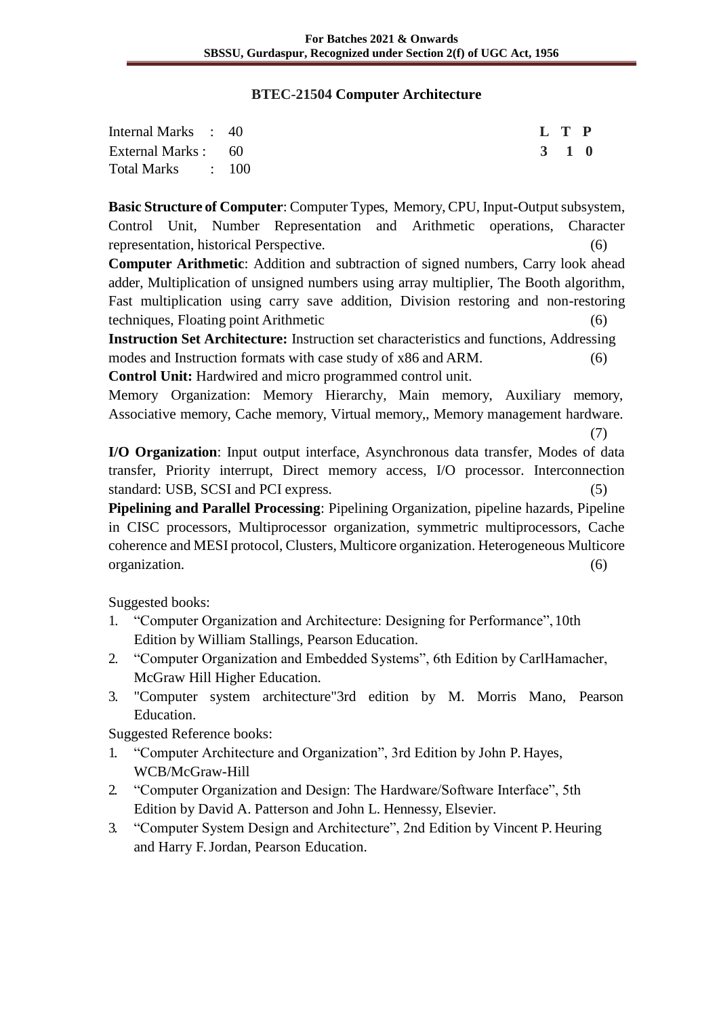#### **BTEC-21504 Computer Architecture**

| Internal Marks : 40 |  | L T P |  |
|---------------------|--|-------|--|
| External Marks : 60 |  | 3 1 0 |  |
| Total Marks : 100   |  |       |  |

**Basic Structure of Computer**: Computer Types, Memory, CPU, Input-Output subsystem, Control Unit, Number Representation and Arithmetic operations, Character representation, historical Perspective. (6)

**Computer Arithmetic**: Addition and subtraction of signed numbers, Carry look ahead adder, Multiplication of unsigned numbers using array multiplier, The Booth algorithm, Fast multiplication using carry save addition, Division restoring and non-restoring techniques, Floating point Arithmetic (6)

**Instruction Set Architecture:** Instruction set characteristics and functions, Addressing modes and Instruction formats with case study of x86 and ARM. (6) **Control Unit:** Hardwired and micro programmed control unit.

Memory Organization: Memory Hierarchy, Main memory, Auxiliary memory, Associative memory, Cache memory, Virtual memory,, Memory management hardware.

(7)

**I/O Organization**: Input output interface, Asynchronous data transfer, Modes of data transfer, Priority interrupt, Direct memory access, I/O processor. Interconnection standard: USB, SCSI and PCI express. (5)

**Pipelining and Parallel Processing**: Pipelining Organization, pipeline hazards, Pipeline in CISC processors, Multiprocessor organization, symmetric multiprocessors, Cache coherence and MESI protocol, Clusters, Multicore organization. Heterogeneous Multicore organization. (6)

Suggested books:

- 1. "Computer Organization and Architecture: Designing for Performance", 10th Edition by William Stallings, Pearson Education.
- 2. "Computer Organization and Embedded Systems", 6th Edition by CarlHamacher, McGraw Hill Higher Education.
- 3. "Computer system architecture"3rd edition by M. Morris Mano, Pearson Education.

Suggested Reference books:

- 1. "Computer Architecture and Organization", 3rd Edition by John P. Hayes, WCB/McGraw-Hill
- 2. "Computer Organization and Design: The Hardware/Software Interface", 5th Edition by David A. Patterson and John L. Hennessy, Elsevier.
- 3. "Computer System Design and Architecture", 2nd Edition by Vincent P. Heuring and Harry F. Jordan, Pearson Education.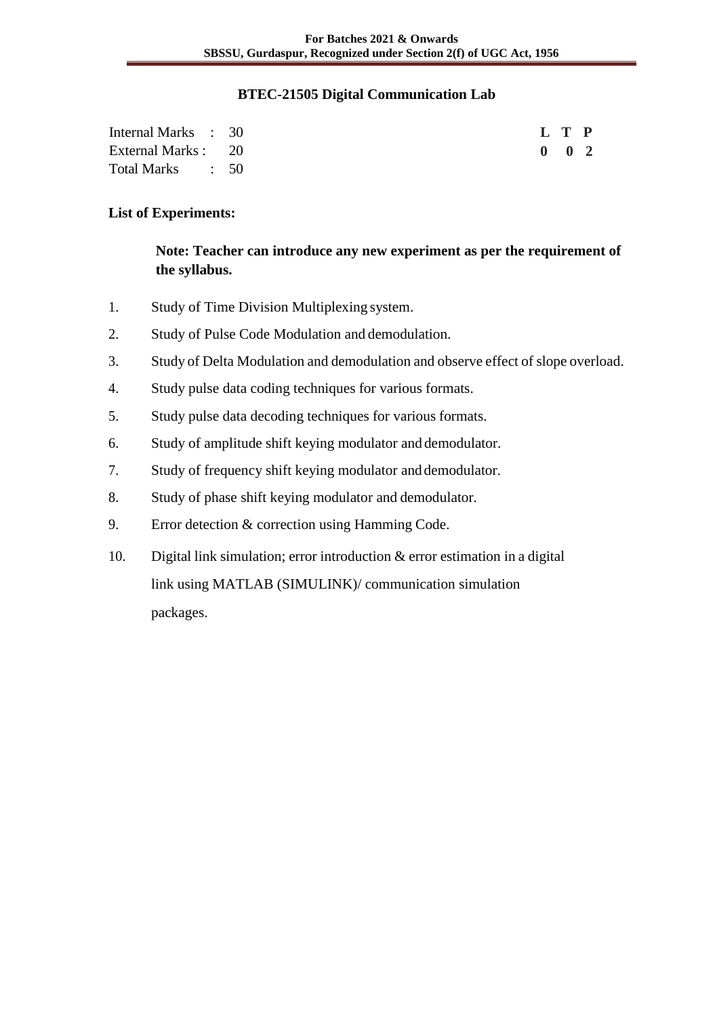#### **BTEC-21505 Digital Communication Lab**

| Internal Marks : 30 |  |  | L T P         |  |
|---------------------|--|--|---------------|--|
| External Marks : 20 |  |  | $0 \t 0 \t 2$ |  |
| Total Marks (50)    |  |  |               |  |

#### **List of Experiments:**

**Note: Teacher can introduce any new experiment as per the requirement of the syllabus.**

- 1. Study of Time Division Multiplexing system.
- 2. Study of Pulse Code Modulation and demodulation.
- 3. Study of Delta Modulation and demodulation and observe effect of slope overload.
- 4. Study pulse data coding techniques for various formats.
- 5. Study pulse data decoding techniques for various formats.
- 6. Study of amplitude shift keying modulator and demodulator.
- 7. Study of frequency shift keying modulator and demodulator.
- 8. Study of phase shift keying modulator and demodulator.
- 9. Error detection & correction using Hamming Code.
- 10. Digital link simulation; error introduction & error estimation in a digital link using MATLAB (SIMULINK)/ communication simulation packages.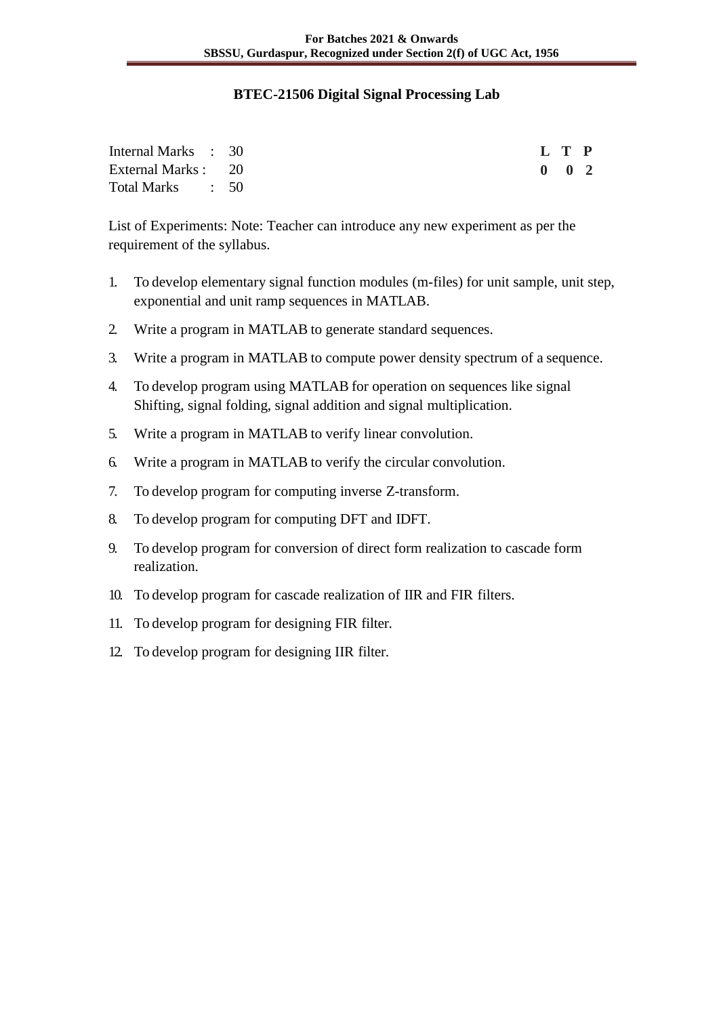#### **BTEC-21506 Digital Signal Processing Lab**

| Internal Marks : 30 |  |  | L T P |                     |  |
|---------------------|--|--|-------|---------------------|--|
| External Marks : 20 |  |  |       | $0 \quad 0 \quad 2$ |  |
| Total Marks : 50    |  |  |       |                     |  |

List of Experiments: Note: Teacher can introduce any new experiment as per the requirement of the syllabus.

- 1. To develop elementary signal function modules (m-files) for unit sample, unit step, exponential and unit ramp sequences in MATLAB.
- 2. Write a program in MATLAB to generate standard sequences.
- 3. Write a program in MATLAB to compute power density spectrum of a sequence.
- 4. To develop program using MATLAB for operation on sequences like signal Shifting, signal folding, signal addition and signal multiplication.
- 5. Write a program in MATLAB to verify linear convolution.
- 6. Write a program in MATLAB to verify the circular convolution.
- 7. To develop program for computing inverse Z-transform.
- 8. To develop program for computing DFT and IDFT.
- 9. To develop program for conversion of direct form realization to cascade form realization.
- 10. To develop program for cascade realization of IIR and FIR filters.
- 11. To develop program for designing FIR filter.
- 12. To develop program for designing IIR filter.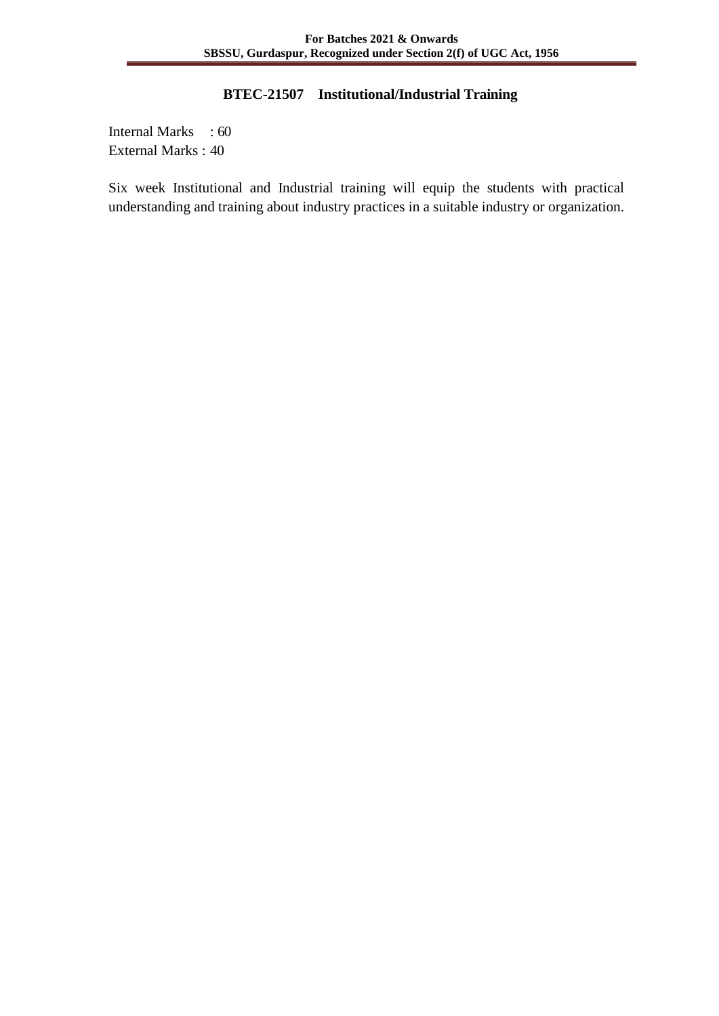## **BTEC-21507 Institutional/Industrial Training**

Internal Marks : 60 External Marks : 40

Six week Institutional and Industrial training will equip the students with practical understanding and training about industry practices in a suitable industry or organization.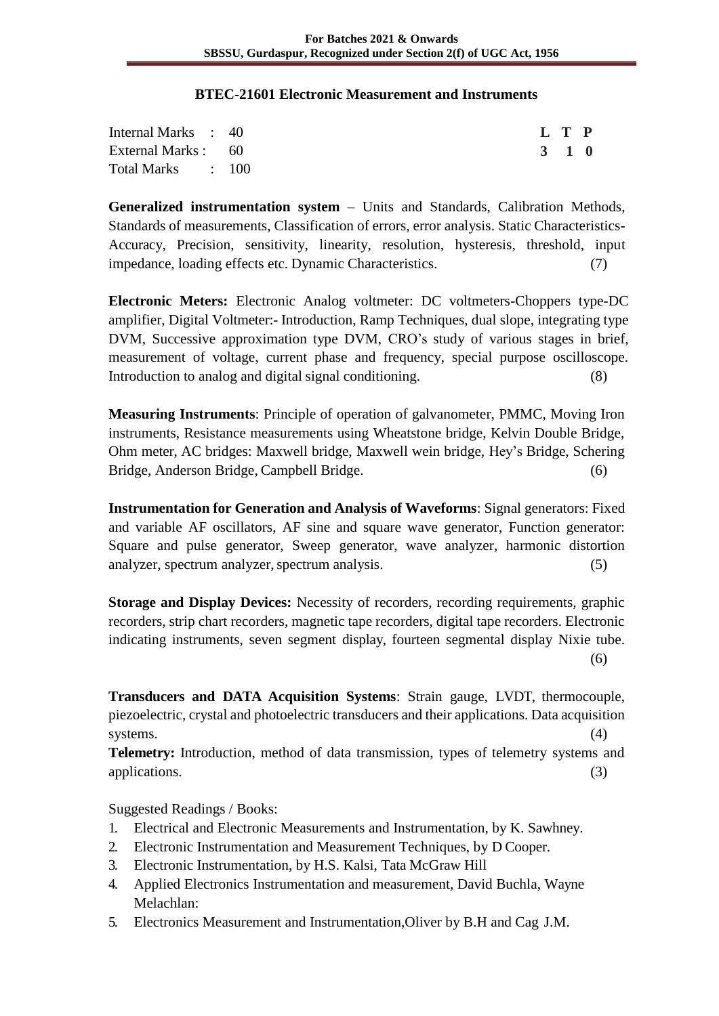#### **BTEC-21601 Electronic Measurement and Instruments**

| Internal Marks : 40 |  |  | L T P |  |
|---------------------|--|--|-------|--|
| External Marks : 60 |  |  | 3 1 0 |  |
| Total Marks : 100   |  |  |       |  |

**Generalized instrumentation system** – Units and Standards, Calibration Methods, Standards of measurements, Classification of errors, error analysis. Static Characteristics-Accuracy, Precision, sensitivity, linearity, resolution, hysteresis, threshold, input impedance, loading effects etc. Dynamic Characteristics. (7)

**Electronic Meters:** Electronic Analog voltmeter: DC voltmeters-Choppers type-DC amplifier, Digital Voltmeter:- Introduction, Ramp Techniques, dual slope, integrating type DVM, Successive approximation type DVM, CRO's study of various stages in brief, measurement of voltage, current phase and frequency, special purpose oscilloscope. Introduction to analog and digital signal conditioning. (8)

**Measuring Instruments**: Principle of operation of galvanometer, PMMC, Moving Iron instruments, Resistance measurements using Wheatstone bridge, Kelvin Double Bridge, Ohm meter, AC bridges: Maxwell bridge, Maxwell wein bridge, Hey's Bridge, Schering Bridge, Anderson Bridge, Campbell Bridge. (6)

**Instrumentation for Generation and Analysis of Waveforms**: Signal generators: Fixed and variable AF oscillators, AF sine and square wave generator, Function generator: Square and pulse generator, Sweep generator, wave analyzer, harmonic distortion analyzer, spectrum analyzer, spectrum analysis. (5)

**Storage and Display Devices:** Necessity of recorders, recording requirements, graphic recorders, strip chart recorders, magnetic tape recorders, digital tape recorders. Electronic indicating instruments, seven segment display, fourteen segmental display Nixie tube.  $(6)$ 

**Transducers and DATA Acquisition Systems**: Strain gauge, LVDT, thermocouple, piezoelectric, crystal and photoelectric transducers and their applications. Data acquisition systems. (4)

**Telemetry:** Introduction, method of data transmission, types of telemetry systems and applications. (3)

Suggested Readings / Books:

- 1. Electrical and Electronic Measurements and Instrumentation, by K. Sawhney.
- 2. Electronic Instrumentation and Measurement Techniques, by D Cooper.
- 3. Electronic Instrumentation, by H.S. Kalsi, Tata McGraw Hill
- 4. Applied Electronics Instrumentation and measurement, David Buchla, Wayne Melachlan:
- 5. Electronics Measurement and Instrumentation,Oliver by B.H and Cag J.M.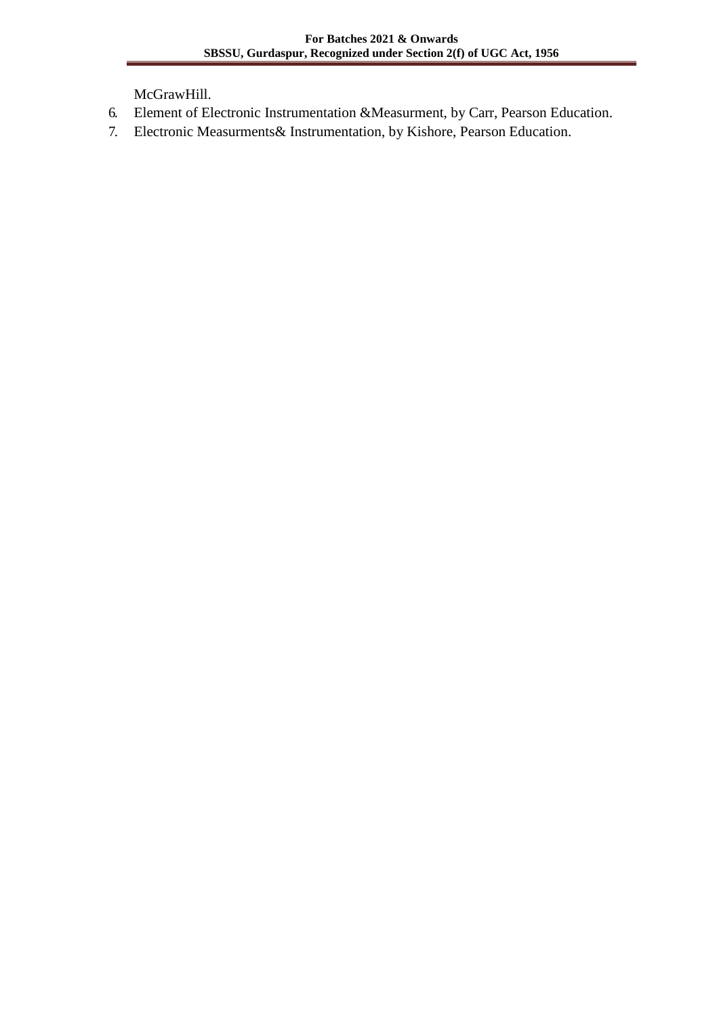McGrawHill.

- 6. Element of Electronic Instrumentation &Measurment, by Carr, Pearson Education.
- 7. Electronic Measurments& Instrumentation, by Kishore, Pearson Education.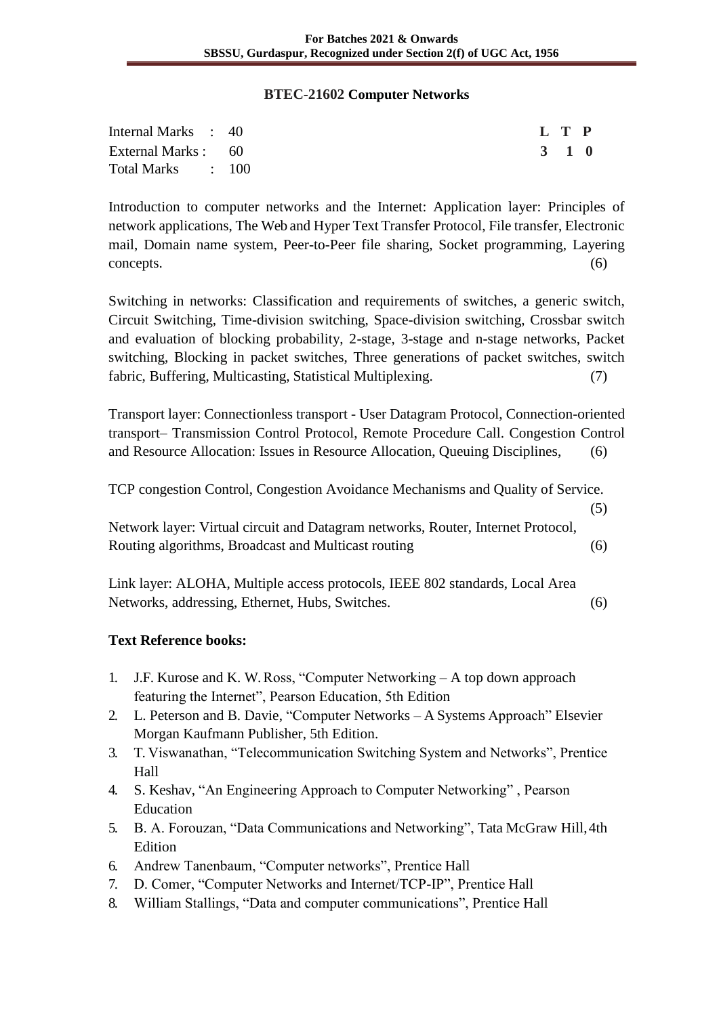#### **BTEC-21602 Computer Networks**

| Internal Marks : 40 |  | L T P |  |
|---------------------|--|-------|--|
| External Marks : 60 |  | 3 1 0 |  |
| Total Marks : 100   |  |       |  |

Introduction to computer networks and the Internet: Application layer: Principles of network applications, The Web and Hyper Text Transfer Protocol, File transfer, Electronic mail, Domain name system, Peer-to-Peer file sharing, Socket programming, Layering concepts. (6)

Switching in networks: Classification and requirements of switches, a generic switch, Circuit Switching, Time-division switching, Space-division switching, Crossbar switch and evaluation of blocking probability, 2-stage, 3-stage and n-stage networks, Packet switching, Blocking in packet switches, Three generations of packet switches, switch fabric, Buffering, Multicasting, Statistical Multiplexing. (7)

Transport layer: Connectionless transport - User Datagram Protocol, Connection-oriented transport– Transmission Control Protocol, Remote Procedure Call. Congestion Control and Resource Allocation: Issues in Resource Allocation, Queuing Disciplines, (6)

TCP congestion Control, Congestion Avoidance Mechanisms and Quality of Service.

(5)

Network layer: Virtual circuit and Datagram networks, Router, Internet Protocol, Routing algorithms, Broadcast and Multicast routing (6)

Link layer: ALOHA, Multiple access protocols, IEEE 802 standards, Local Area Networks, addressing, Ethernet, Hubs, Switches. (6)

- 1. J.F. Kurose and K. W. Ross, "Computer Networking A top down approach featuring the Internet", Pearson Education, 5th Edition
- 2. L. Peterson and B. Davie, "Computer Networks A Systems Approach" Elsevier Morgan Kaufmann Publisher, 5th Edition.
- 3. T. Viswanathan, "Telecommunication Switching System and Networks", Prentice Hall
- 4. S. Keshav, "An Engineering Approach to Computer Networking" , Pearson Education
- 5. B. A. Forouzan, "Data Communications and Networking", Tata McGraw Hill,4th Edition
- 6. Andrew Tanenbaum, "Computer networks", Prentice Hall
- 7. D. Comer, "Computer Networks and Internet/TCP-IP", Prentice Hall
- 8. William Stallings, "Data and computer communications", Prentice Hall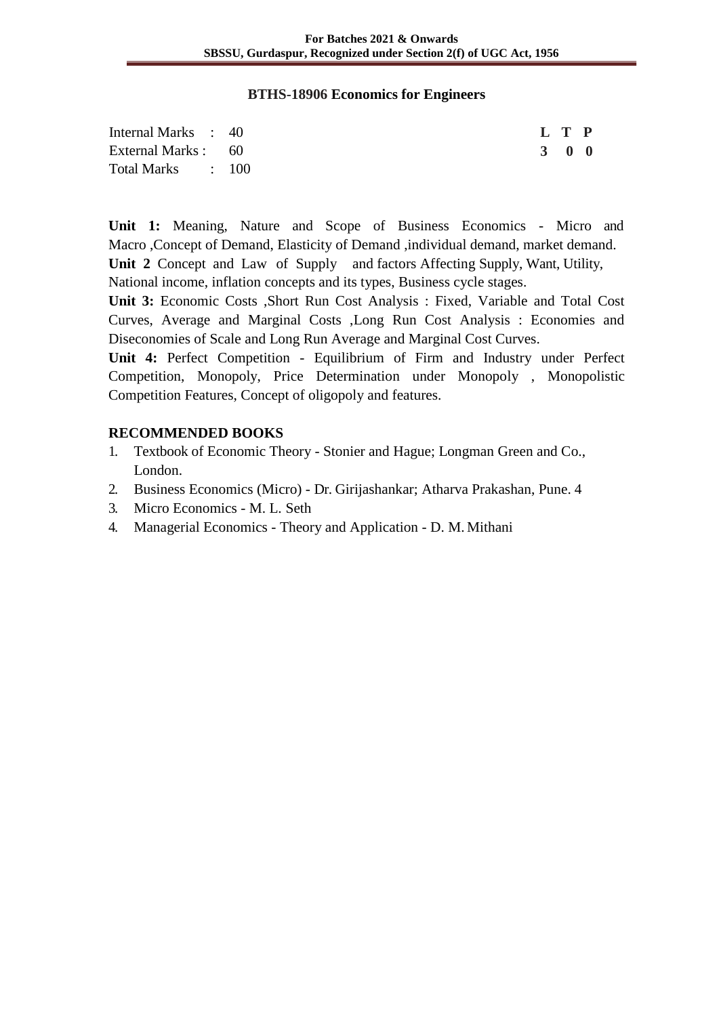#### **BTHS-18906 Economics for Engineers**

| Internal Marks : 40 | L T P |  |
|---------------------|-------|--|
| External Marks : 60 | 3 0 0 |  |
| Total Marks : 100   |       |  |

**Unit 1:** Meaning, Nature and Scope of Business Economics - Micro and Macro ,Concept of Demand, Elasticity of Demand ,individual demand, market demand. **Unit 2** Concept and Law of Supply and factors Affecting Supply, Want, Utility, National income, inflation concepts and its types, Business cycle stages.

**Unit 3:** Economic Costs ,Short Run Cost Analysis : Fixed, Variable and Total Cost Curves, Average and Marginal Costs ,Long Run Cost Analysis : Economies and Diseconomies of Scale and Long Run Average and Marginal Cost Curves.

**Unit 4:** Perfect Competition - Equilibrium of Firm and Industry under Perfect Competition, Monopoly, Price Determination under Monopoly , Monopolistic Competition Features, Concept of oligopoly and features.

#### **RECOMMENDED BOOKS**

- 1. Textbook of Economic Theory Stonier and Hague; Longman Green and Co., London.
- 2. Business Economics (Micro) Dr. Girijashankar; Atharva Prakashan, Pune. 4
- 3. Micro Economics M. L. Seth
- 4. Managerial Economics Theory and Application D. M. Mithani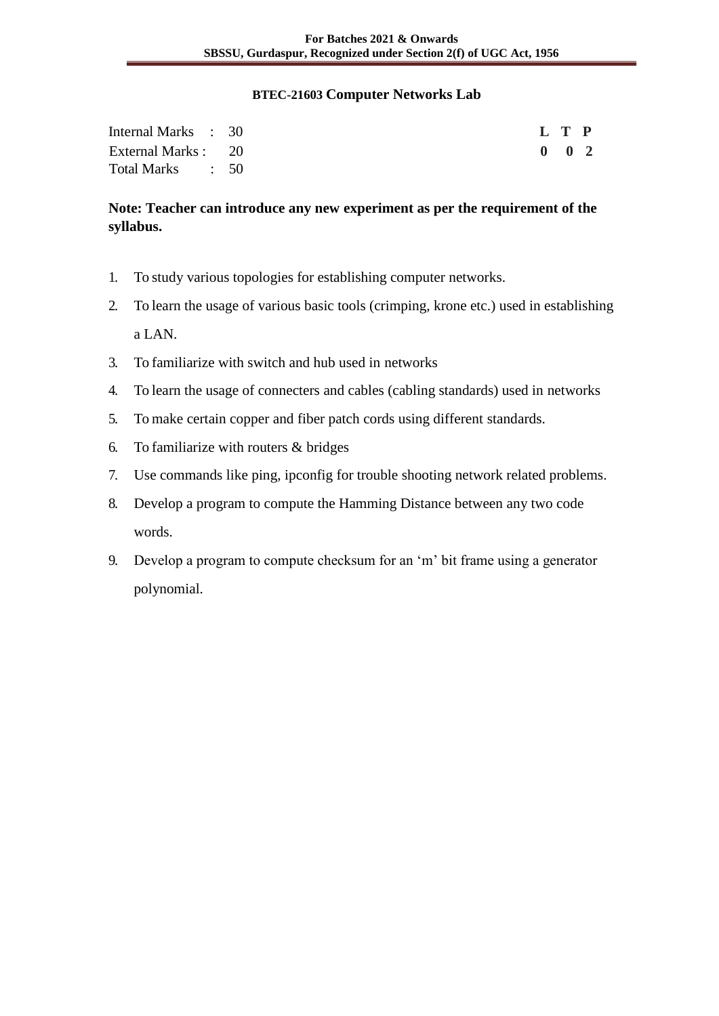#### **BTEC-21603 Computer Networks Lab**

| Internal Marks : 30 |  |  | L T P               |  |
|---------------------|--|--|---------------------|--|
| External Marks : 20 |  |  | $0 \quad 0 \quad 2$ |  |
| Total Marks : 50    |  |  |                     |  |

# **Note: Teacher can introduce any new experiment as per the requirement of the syllabus.**

- 1. To study various topologies for establishing computer networks.
- 2. To learn the usage of various basic tools (crimping, krone etc.) used in establishing a LAN.
- 3. To familiarize with switch and hub used in networks
- 4. To learn the usage of connecters and cables (cabling standards) used in networks
- 5. To make certain copper and fiber patch cords using different standards.
- 6. To familiarize with routers & bridges
- 7. Use commands like ping, ipconfig for trouble shooting network related problems.
- 8. Develop a program to compute the Hamming Distance between any two code words.
- 9. Develop a program to compute checksum for an 'm' bit frame using a generator polynomial.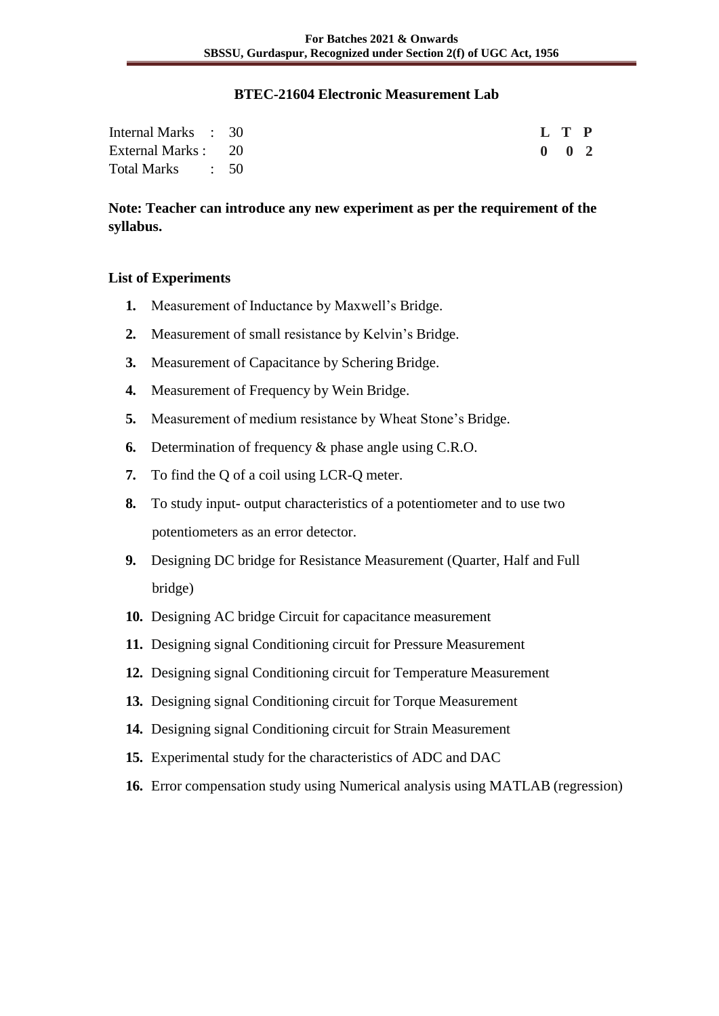#### **BTEC-21604 Electronic Measurement Lab**

| Internal Marks : 30 |  |  | L T P         |  |
|---------------------|--|--|---------------|--|
| External Marks : 20 |  |  | $0 \t 0 \t 2$ |  |
| Total Marks : 50    |  |  |               |  |

**Note: Teacher can introduce any new experiment as per the requirement of the syllabus.**

#### **List of Experiments**

- **1.** Measurement of Inductance by Maxwell's Bridge.
- **2.** Measurement of small resistance by Kelvin's Bridge.
- **3.** Measurement of Capacitance by Schering Bridge.
- **4.** Measurement of Frequency by Wein Bridge.
- **5.** Measurement of medium resistance by Wheat Stone's Bridge.
- **6.** Determination of frequency & phase angle using C.R.O.
- **7.** To find the Q of a coil using LCR-Q meter.
- **8.** To study input- output characteristics of a potentiometer and to use two potentiometers as an error detector.
- **9.** Designing DC bridge for Resistance Measurement (Quarter, Half and Full bridge)
- **10.** Designing AC bridge Circuit for capacitance measurement
- **11.** Designing signal Conditioning circuit for Pressure Measurement
- **12.** Designing signal Conditioning circuit for Temperature Measurement
- **13.** Designing signal Conditioning circuit for Torque Measurement
- **14.** Designing signal Conditioning circuit for Strain Measurement
- **15.** Experimental study for the characteristics of ADC and DAC
- **16.** Error compensation study using Numerical analysis using MATLAB (regression)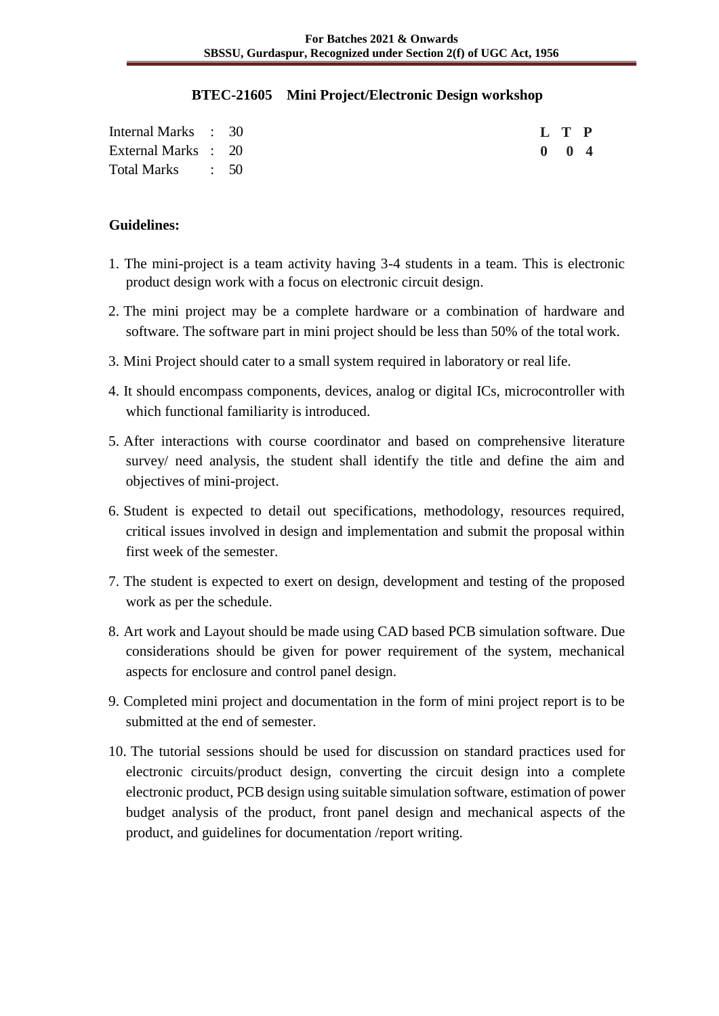#### **BTEC-21605 Mini Project/Electronic Design workshop**

| Internal Marks : 30 |  |  |  |  |  | L T P               |  |
|---------------------|--|--|--|--|--|---------------------|--|
| External Marks : 20 |  |  |  |  |  | $0 \quad 0 \quad 4$ |  |
| Total Marks : 50    |  |  |  |  |  |                     |  |

#### **Guidelines:**

- 1. The mini-project is a team activity having 3-4 students in a team. This is electronic product design work with a focus on electronic circuit design.
- 2. The mini project may be a complete hardware or a combination of hardware and software. The software part in mini project should be less than 50% of the total work.
- 3. Mini Project should cater to a small system required in laboratory or real life.
- 4. It should encompass components, devices, analog or digital ICs, microcontroller with which functional familiarity is introduced.
- 5. After interactions with course coordinator and based on comprehensive literature survey/ need analysis, the student shall identify the title and define the aim and objectives of mini-project.
- 6. Student is expected to detail out specifications, methodology, resources required, critical issues involved in design and implementation and submit the proposal within first week of the semester.
- 7. The student is expected to exert on design, development and testing of the proposed work as per the schedule.
- 8. Art work and Layout should be made using CAD based PCB simulation software. Due considerations should be given for power requirement of the system, mechanical aspects for enclosure and control panel design.
- 9. Completed mini project and documentation in the form of mini project report is to be submitted at the end of semester.
- 10. The tutorial sessions should be used for discussion on standard practices used for electronic circuits/product design, converting the circuit design into a complete electronic product, PCB design using suitable simulation software, estimation of power budget analysis of the product, front panel design and mechanical aspects of the product, and guidelines for documentation /report writing.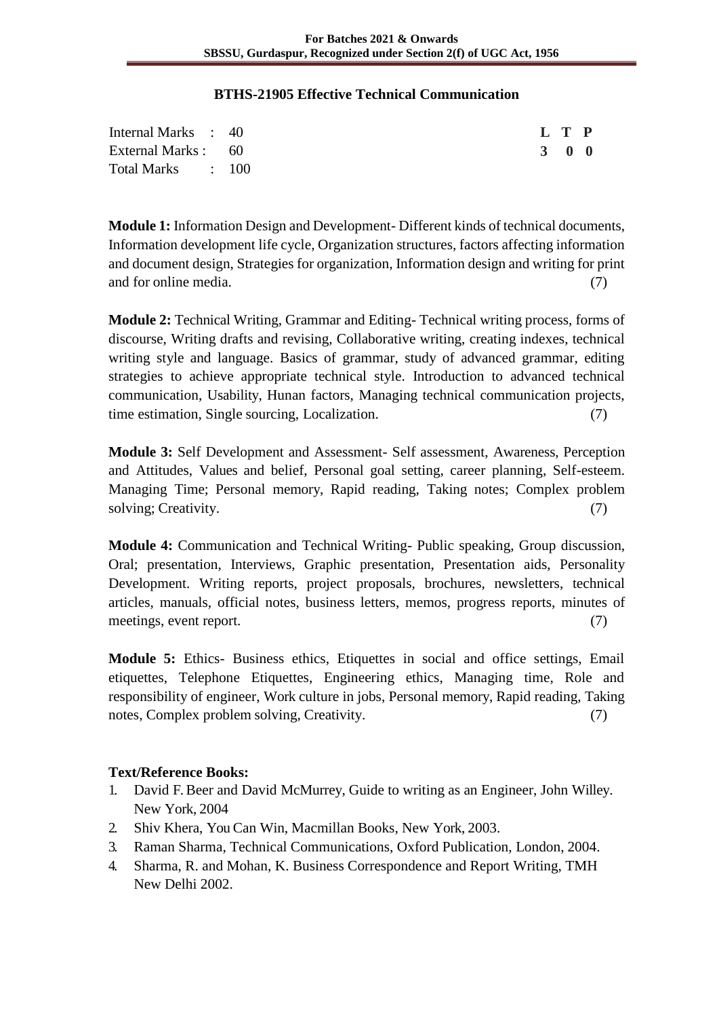#### **BTHS-21905 Effective Technical Communication**

| Internal Marks : 40 |  |  | L T P               |  |
|---------------------|--|--|---------------------|--|
| External Marks : 60 |  |  | $3 \quad 0 \quad 0$ |  |
| Total Marks : 100   |  |  |                     |  |

**Module 1:** Information Design and Development- Different kinds of technical documents, Information development life cycle, Organization structures, factors affecting information and document design, Strategies for organization, Information design and writing for print and for online media. (7) (3) and for online media. (3)

**Module 2:** Technical Writing, Grammar and Editing- Technical writing process, forms of discourse, Writing drafts and revising, Collaborative writing, creating indexes, technical writing style and language. Basics of grammar, study of advanced grammar, editing strategies to achieve appropriate technical style. Introduction to advanced technical communication, Usability, Hunan factors, Managing technical communication projects, time estimation, Single sourcing, Localization. (7)

**Module 3:** Self Development and Assessment- Self assessment, Awareness, Perception and Attitudes, Values and belief, Personal goal setting, career planning, Self-esteem. Managing Time; Personal memory, Rapid reading, Taking notes; Complex problem solving; Creativity. (7)

**Module 4:** Communication and Technical Writing- Public speaking, Group discussion, Oral; presentation, Interviews, Graphic presentation, Presentation aids, Personality Development. Writing reports, project proposals, brochures, newsletters, technical articles, manuals, official notes, business letters, memos, progress reports, minutes of meetings, event report. (7)

**Module 5:** Ethics- Business ethics, Etiquettes in social and office settings, Email etiquettes, Telephone Etiquettes, Engineering ethics, Managing time, Role and responsibility of engineer, Work culture in jobs, Personal memory, Rapid reading, Taking notes, Complex problem solving, Creativity. (7)

- 1. David F. Beer and David McMurrey, Guide to writing as an Engineer, John Willey. New York, 2004
- 2. Shiv Khera, You Can Win, Macmillan Books, New York, 2003.
- 3. Raman Sharma, Technical Communications, Oxford Publication, London, 2004.
- 4. Sharma, R. and Mohan, K. Business Correspondence and Report Writing, TMH New Delhi 2002.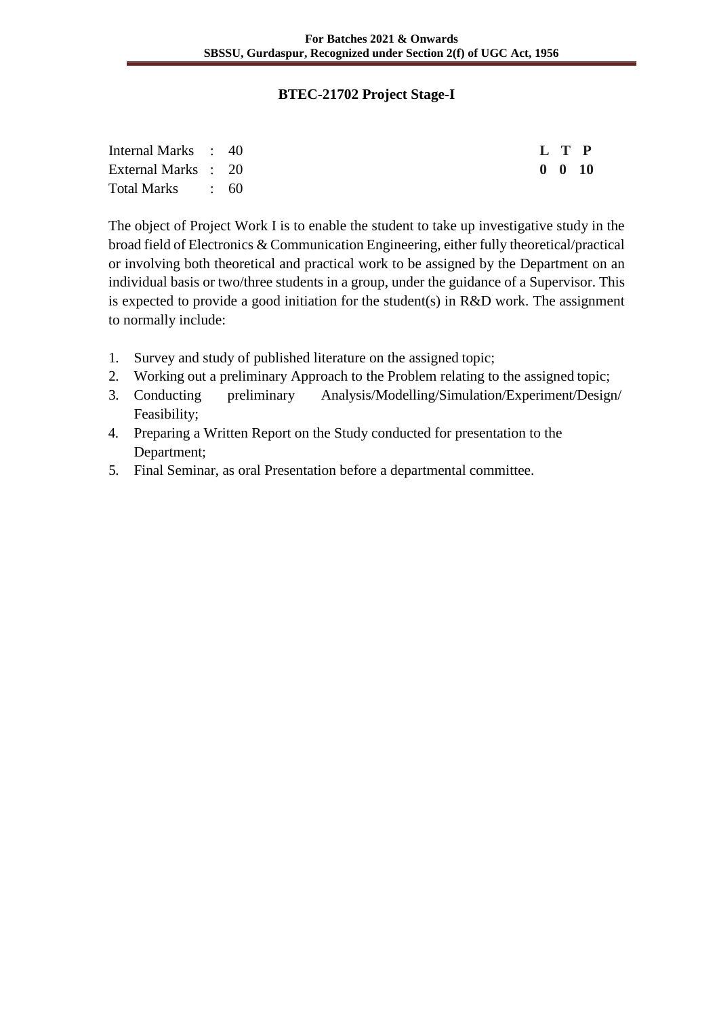### **BTEC-21702 Project Stage-I**

| Internal Marks : 40 |  |  | L T P          |  |
|---------------------|--|--|----------------|--|
| External Marks : 20 |  |  | $0 \t 0 \t 10$ |  |
| Total Marks : 60    |  |  |                |  |

The object of Project Work I is to enable the student to take up investigative study in the broad field of Electronics & Communication Engineering, either fully theoretical/practical or involving both theoretical and practical work to be assigned by the Department on an individual basis or two/three students in a group, under the guidance of a Supervisor. This is expected to provide a good initiation for the student(s) in R&D work. The assignment to normally include:

- 1. Survey and study of published literature on the assigned topic;
- 2. Working out a preliminary Approach to the Problem relating to the assigned topic;
- 3. Conducting preliminary Analysis/Modelling/Simulation/Experiment/Design/ Feasibility;
- 4. Preparing a Written Report on the Study conducted for presentation to the Department;
- 5. Final Seminar, as oral Presentation before a departmental committee.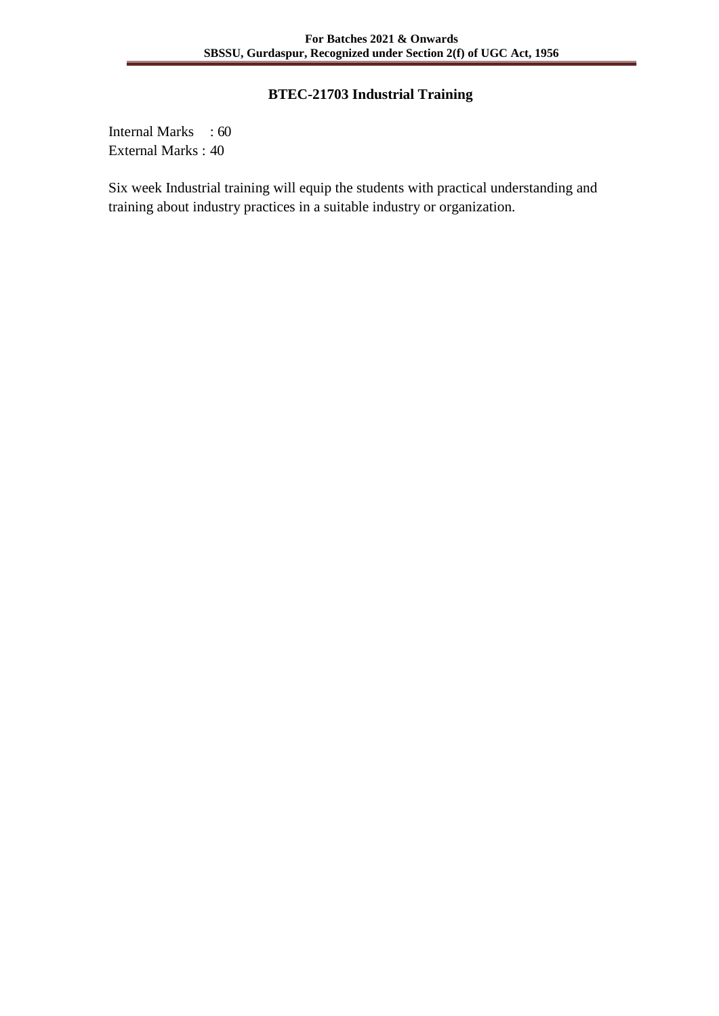## **BTEC-21703 Industrial Training**

Internal Marks : 60 External Marks : 40

Six week Industrial training will equip the students with practical understanding and training about industry practices in a suitable industry or organization.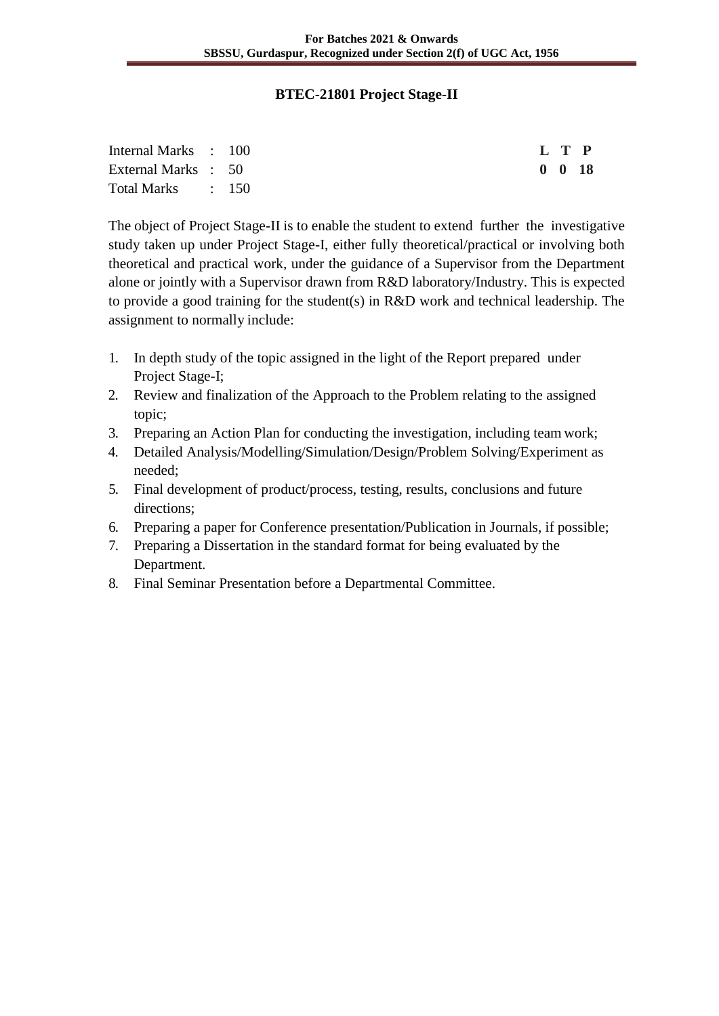### **BTEC-21801 Project Stage-II**

| Internal Marks : 100 |  |  | L T P              |
|----------------------|--|--|--------------------|
| External Marks : 50  |  |  | $0\quad 0\quad 18$ |
| Total Marks : 150    |  |  |                    |

The object of Project Stage-II is to enable the student to extend further the investigative study taken up under Project Stage-I, either fully theoretical/practical or involving both theoretical and practical work, under the guidance of a Supervisor from the Department alone or jointly with a Supervisor drawn from R&D laboratory/Industry. This is expected to provide a good training for the student(s) in R&D work and technical leadership. The assignment to normally include:

- 1. In depth study of the topic assigned in the light of the Report prepared under Project Stage-I;
- 2. Review and finalization of the Approach to the Problem relating to the assigned topic;
- 3. Preparing an Action Plan for conducting the investigation, including team work;
- 4. Detailed Analysis/Modelling/Simulation/Design/Problem Solving/Experiment as needed;
- 5. Final development of product/process, testing, results, conclusions and future directions;
- 6. Preparing a paper for Conference presentation/Publication in Journals, if possible;
- 7. Preparing a Dissertation in the standard format for being evaluated by the Department.
- 8. Final Seminar Presentation before a Departmental Committee.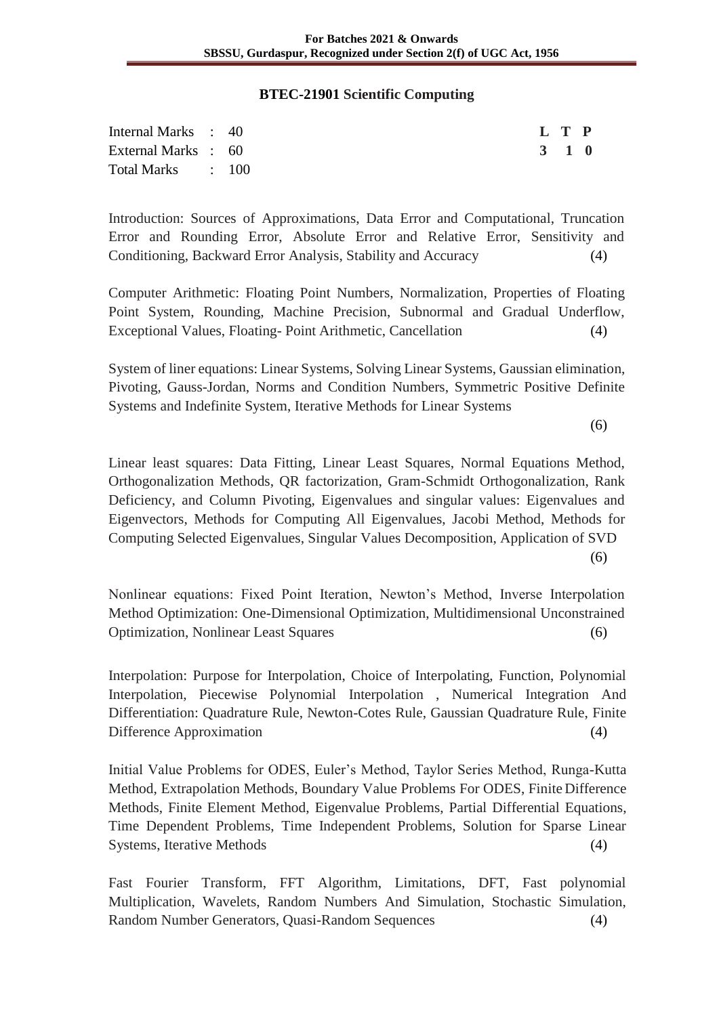#### **BTEC-21901 Scientific Computing**

| Internal Marks : 40 |  |  | L T P |  |
|---------------------|--|--|-------|--|
| External Marks : 60 |  |  | 3 1 0 |  |
| Total Marks : 100   |  |  |       |  |

Introduction: Sources of Approximations, Data Error and Computational, Truncation Error and Rounding Error, Absolute Error and Relative Error, Sensitivity and Conditioning, Backward Error Analysis, Stability and Accuracy (4)

Computer Arithmetic: Floating Point Numbers, Normalization, Properties of Floating Point System, Rounding, Machine Precision, Subnormal and Gradual Underflow, Exceptional Values, Floating- Point Arithmetic, Cancellation (4)

System of liner equations: Linear Systems, Solving Linear Systems, Gaussian elimination, Pivoting, Gauss-Jordan, Norms and Condition Numbers, Symmetric Positive Definite Systems and Indefinite System, Iterative Methods for Linear Systems

(6)

Linear least squares: Data Fitting, Linear Least Squares, Normal Equations Method, Orthogonalization Methods, QR factorization, Gram-Schmidt Orthogonalization, Rank Deficiency, and Column Pivoting, Eigenvalues and singular values: Eigenvalues and Eigenvectors, Methods for Computing All Eigenvalues, Jacobi Method, Methods for Computing Selected Eigenvalues, Singular Values Decomposition, Application of SVD (6)

Nonlinear equations: Fixed Point Iteration, Newton's Method, Inverse Interpolation Method Optimization: One-Dimensional Optimization, Multidimensional Unconstrained Optimization, Nonlinear Least Squares (6)

Interpolation: Purpose for Interpolation, Choice of Interpolating, Function, Polynomial Interpolation, Piecewise Polynomial Interpolation , Numerical Integration And Differentiation: Quadrature Rule, Newton-Cotes Rule, Gaussian Quadrature Rule, Finite Difference Approximation (4)

Initial Value Problems for ODES, Euler's Method, Taylor Series Method, Runga-Kutta Method, Extrapolation Methods, Boundary Value Problems For ODES, Finite Difference Methods, Finite Element Method, Eigenvalue Problems, Partial Differential Equations, Time Dependent Problems, Time Independent Problems, Solution for Sparse Linear Systems, Iterative Methods (4)

Fast Fourier Transform, FFT Algorithm, Limitations, DFT, Fast polynomial Multiplication, Wavelets, Random Numbers And Simulation, Stochastic Simulation, Random Number Generators, Quasi-Random Sequences (4)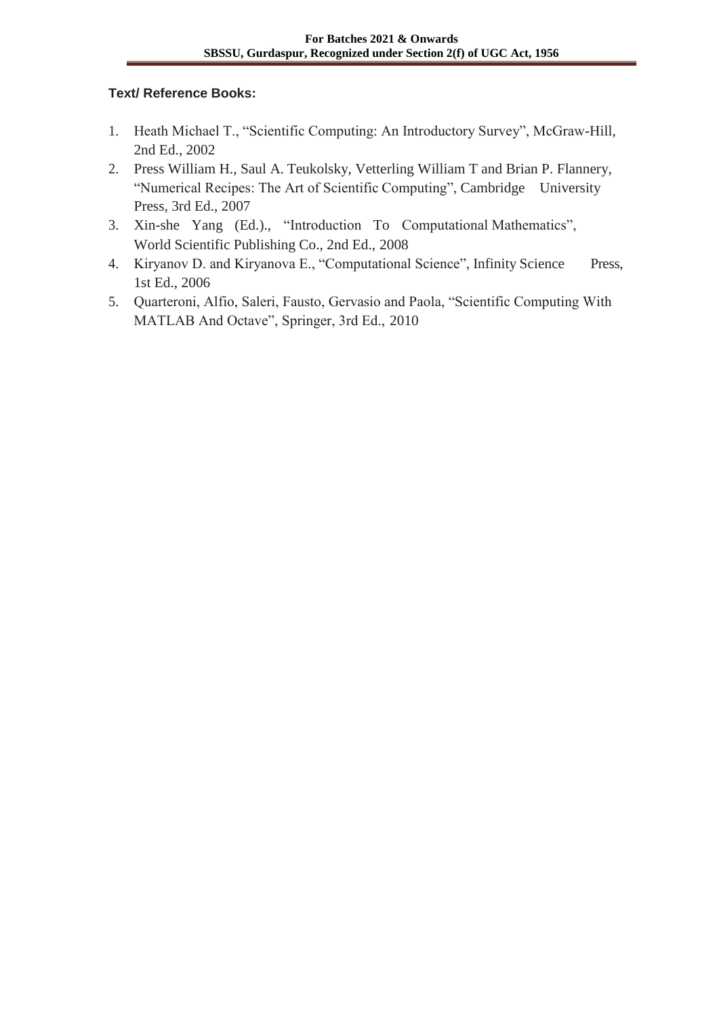- 1. Heath Michael T., "Scientific Computing: An Introductory Survey", McGraw-Hill, 2nd Ed., 2002
- 2. Press William H., Saul A. Teukolsky, Vetterling William T and Brian P. Flannery, "Numerical Recipes: The Art of Scientific Computing", Cambridge University Press, 3rd Ed., 2007
- 3. Xin-she Yang (Ed.)., "Introduction To Computational Mathematics", World Scientific Publishing Co., 2nd Ed., 2008
- 4. Kiryanov D. and Kiryanova E., "Computational Science", Infinity Science Press, 1st Ed., 2006
- 5. Quarteroni, Alfio, Saleri, Fausto, Gervasio and Paola, "Scientific Computing With MATLAB And Octave", Springer, 3rd Ed., 2010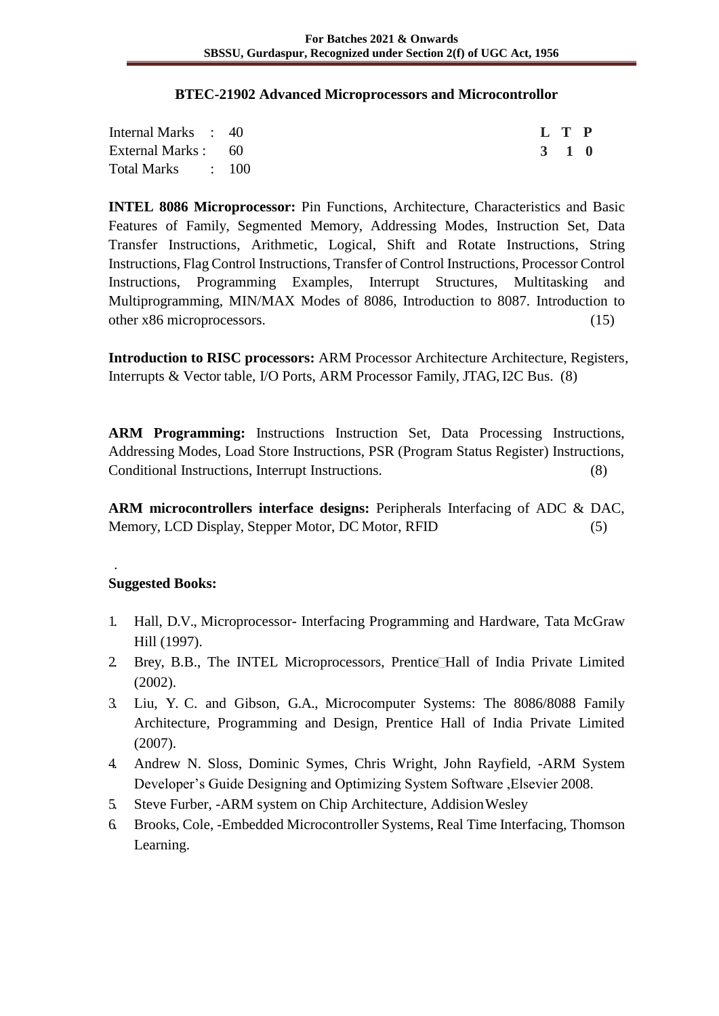#### **BTEC-21902 Advanced Microprocessors and Microcontrollor**

| Internal Marks : 40 |  |  |  | L T P |  |
|---------------------|--|--|--|-------|--|
| External Marks : 60 |  |  |  | 3 1 0 |  |
| Total Marks : 100   |  |  |  |       |  |

**INTEL 8086 Microprocessor:** Pin Functions, Architecture, Characteristics and Basic Features of Family, Segmented Memory, Addressing Modes, Instruction Set, Data Transfer Instructions, Arithmetic, Logical, Shift and Rotate Instructions, String Instructions, Flag Control Instructions, Transfer of Control Instructions, Processor Control Instructions, Programming Examples, Interrupt Structures, Multitasking and Multiprogramming, MIN/MAX Modes of 8086, Introduction to 8087. Introduction to other x86 microprocessors. (15)

**Introduction to RISC processors:** ARM Processor Architecture Architecture, Registers, Interrupts & Vector table, I/O Ports, ARM Processor Family, JTAG, I2C Bus. (8)

**ARM Programming:** Instructions Instruction Set, Data Processing Instructions, Addressing Modes, Load Store Instructions, PSR (Program Status Register) Instructions, Conditional Instructions, Interrupt Instructions. (8)

**ARM microcontrollers interface designs:** Peripherals Interfacing of ADC & DAC, Memory, LCD Display, Stepper Motor, DC Motor, RFID (5)

### **Suggested Books:**

.

- 1. Hall, D.V., Microprocessor- Interfacing Programming and Hardware, Tata McGraw Hill (1997).
- 2 Brey, B.B., The INTEL Microprocessors, Prentice Hall of India Private Limited (2002).
- 3. Liu, Y. C. and Gibson, G.A., Microcomputer Systems: The 8086/8088 Family Architecture, Programming and Design, Prentice Hall of India Private Limited (2007).
- 4. Andrew N. Sloss, Dominic Symes, Chris Wright, John Rayfield, -ARM System Developer's Guide Designing and Optimizing System Software ,Elsevier 2008.
- 5. Steve Furber, -ARM system on Chip Architecture, AddisionWesley
- 6. Brooks, Cole, -Embedded Microcontroller Systems, Real Time Interfacing, Thomson Learning.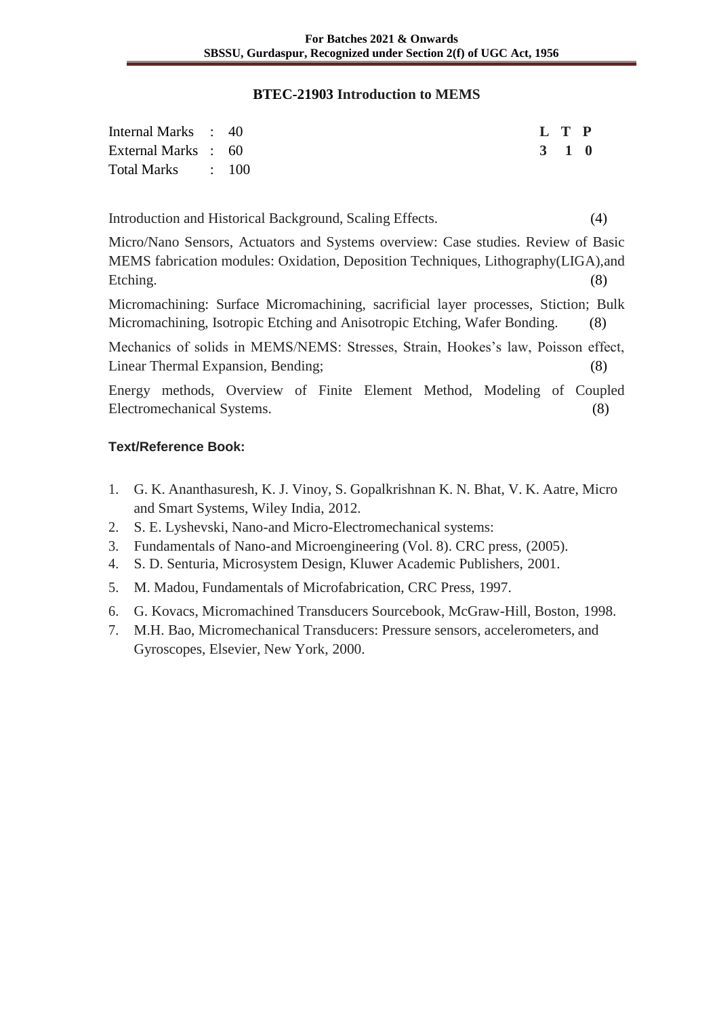#### **BTEC-21903 Introduction to MEMS**

| Internal Marks : 40 |  |  | L T P |  |
|---------------------|--|--|-------|--|
| External Marks : 60 |  |  | 3 1 0 |  |
| Total Marks : 100   |  |  |       |  |

Introduction and Historical Background, Scaling Effects. (4)

Micro/Nano Sensors, Actuators and Systems overview: Case studies. Review of Basic MEMS fabrication modules: Oxidation, Deposition Techniques, Lithography(LIGA),and Etching. (8)

Micromachining: Surface Micromachining, sacrificial layer processes, Stiction; Bulk Micromachining, Isotropic Etching and Anisotropic Etching, Wafer Bonding. (8)

Mechanics of solids in MEMS/NEMS: Stresses, Strain, Hookes's law, Poisson effect, Linear Thermal Expansion, Bending; (8)

Energy methods, Overview of Finite Element Method, Modeling of Coupled Electromechanical Systems. (8)

- 1. G. K. Ananthasuresh, K. J. Vinoy, S. Gopalkrishnan K. N. Bhat, V. K. Aatre, Micro and Smart Systems, Wiley India, 2012.
- 2. S. E. Lyshevski, Nano-and Micro-Electromechanical systems:
- 3. Fundamentals of Nano-and Microengineering (Vol. 8). CRC press, (2005).
- 4. S. D. Senturia, Microsystem Design, Kluwer Academic Publishers, 2001.
- 5. M. Madou, Fundamentals of Microfabrication, CRC Press, 1997.
- 6. G. Kovacs, Micromachined Transducers Sourcebook, McGraw-Hill, Boston, 1998.
- 7. M.H. Bao, Micromechanical Transducers: Pressure sensors, accelerometers, and Gyroscopes, Elsevier, New York, 2000.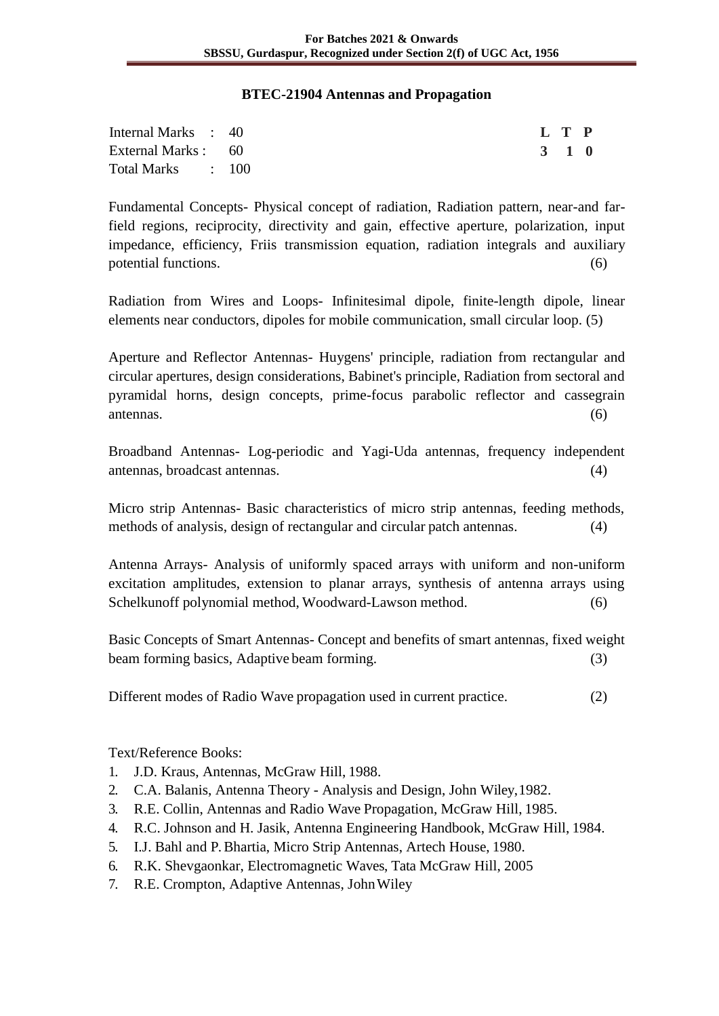#### **BTEC-21904 Antennas and Propagation**

| Internal Marks : 40 |  |  | L T P |  |
|---------------------|--|--|-------|--|
| External Marks : 60 |  |  | 3 1 0 |  |
| Total Marks : 100   |  |  |       |  |

Fundamental Concepts- Physical concept of radiation, Radiation pattern, near-and farfield regions, reciprocity, directivity and gain, effective aperture, polarization, input impedance, efficiency, Friis transmission equation, radiation integrals and auxiliary potential functions. (6)

Radiation from Wires and Loops- Infinitesimal dipole, finite-length dipole, linear elements near conductors, dipoles for mobile communication, small circular loop. (5)

Aperture and Reflector Antennas- Huygens' principle, radiation from rectangular and circular apertures, design considerations, Babinet's principle, Radiation from sectoral and pyramidal horns, design concepts, prime-focus parabolic reflector and cassegrain antennas. (6)

Broadband Antennas- Log-periodic and Yagi-Uda antennas, frequency independent antennas, broadcast antennas. (4)

Micro strip Antennas- Basic characteristics of micro strip antennas, feeding methods, methods of analysis, design of rectangular and circular patch antennas. (4)

Antenna Arrays- Analysis of uniformly spaced arrays with uniform and non-uniform excitation amplitudes, extension to planar arrays, synthesis of antenna arrays using Schelkunoff polynomial method, Woodward-Lawson method. (6)

Basic Concepts of Smart Antennas- Concept and benefits of smart antennas, fixed weight beam forming basics, Adaptive beam forming. (3)

Different modes of Radio Wave propagation used in current practice. (2)

- 1. J.D. Kraus, Antennas, McGraw Hill, 1988.
- 2. C.A. Balanis, Antenna Theory Analysis and Design, John Wiley,1982.
- 3. R.E. Collin, Antennas and Radio Wave Propagation, McGraw Hill, 1985.
- 4. R.C. Johnson and H. Jasik, Antenna Engineering Handbook, McGraw Hill, 1984.
- 5. I.J. Bahl and P. Bhartia, Micro Strip Antennas, Artech House, 1980.
- 6. R.K. Shevgaonkar, Electromagnetic Waves, Tata McGraw Hill, 2005
- 7. R.E. Crompton, Adaptive Antennas, JohnWiley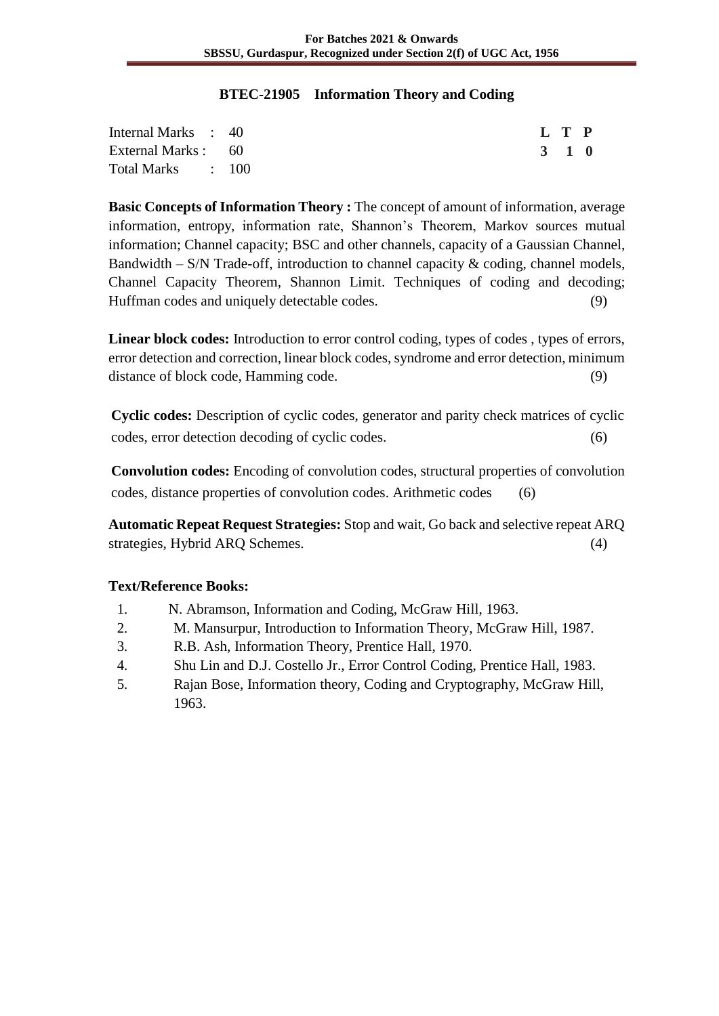#### **BTEC-21905 Information Theory and Coding**

| Internal Marks : 40 |  |  | L T P |  |
|---------------------|--|--|-------|--|
| External Marks : 60 |  |  | 3 1 0 |  |
| Total Marks : 100   |  |  |       |  |

**Basic Concepts of Information Theory :** The concept of amount of information, average information, entropy, information rate, Shannon's Theorem, Markov sources mutual information; Channel capacity; BSC and other channels, capacity of a Gaussian Channel, Bandwidth – S/N Trade-off, introduction to channel capacity  $\&$  coding, channel models, Channel Capacity Theorem, Shannon Limit. Techniques of coding and decoding; Huffman codes and uniquely detectable codes. (9)

**Linear block codes:** Introduction to error control coding, types of codes , types of errors, error detection and correction, linear block codes, syndrome and error detection, minimum distance of block code, Hamming code. (9)

**Cyclic codes:** Description of cyclic codes, generator and parity check matrices of cyclic codes, error detection decoding of cyclic codes. (6)

**Convolution codes:** Encoding of convolution codes, structural properties of convolution codes, distance properties of convolution codes. Arithmetic codes (6)

**Automatic Repeat Request Strategies:** Stop and wait, Go back and selective repeat ARQ strategies, Hybrid ARQ Schemes. (4)

- 1. N. Abramson, Information and Coding, McGraw Hill, 1963.
- 2. M. Mansurpur, Introduction to Information Theory, McGraw Hill, 1987.
- 3. R.B. Ash, Information Theory, Prentice Hall, 1970.
- 4. Shu Lin and D.J. Costello Jr., Error Control Coding, Prentice Hall, 1983.
- 5. Rajan Bose, Information theory, Coding and Cryptography, McGraw Hill, 1963.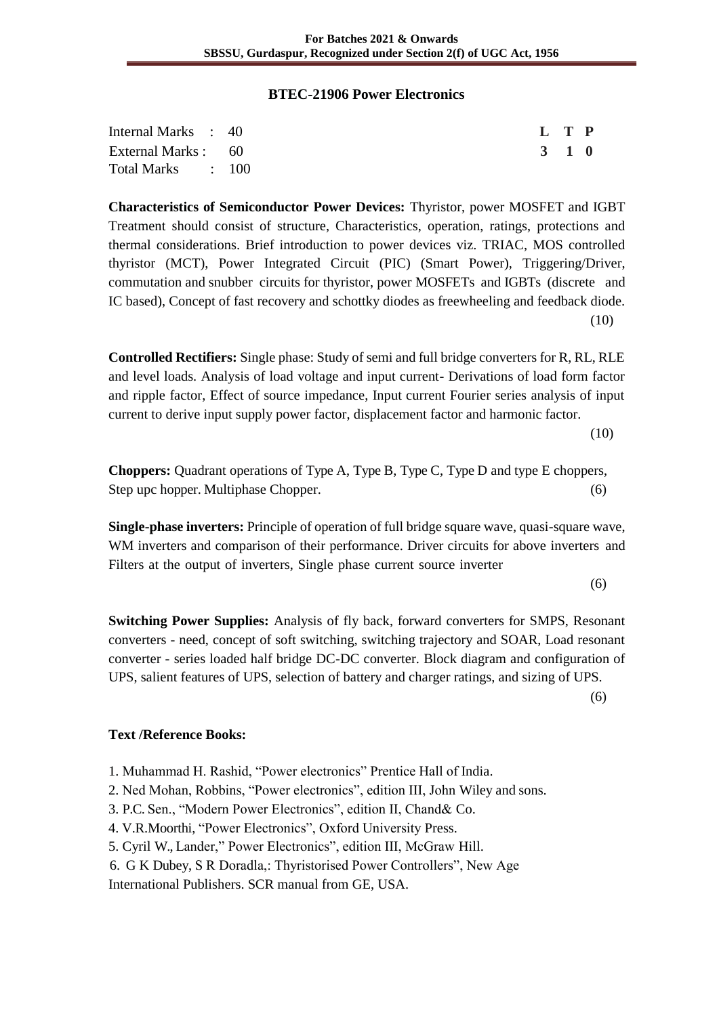#### **BTEC-21906 Power Electronics**

| Internal Marks : 40 |  | L T P |  |
|---------------------|--|-------|--|
| External Marks : 60 |  | 3 1 0 |  |
| Total Marks : 100   |  |       |  |

**Characteristics of Semiconductor Power Devices:** Thyristor, power MOSFET and IGBT Treatment should consist of structure, Characteristics, operation, ratings, protections and thermal considerations. Brief introduction to power devices viz. TRIAC, MOS controlled thyristor (MCT), Power Integrated Circuit (PIC) (Smart Power), Triggering/Driver, commutation and snubber circuits for thyristor, power MOSFETs and IGBTs (discrete and IC based), Concept of fast recovery and schottky diodes as freewheeling and feedback diode. (10)

**Controlled Rectifiers:** Single phase: Study of semi and full bridge converters for R, RL, RLE and level loads. Analysis of load voltage and input current- Derivations of load form factor and ripple factor, Effect of source impedance, Input current Fourier series analysis of input current to derive input supply power factor, displacement factor and harmonic factor.

(10)

**Choppers:** Quadrant operations of Type A, Type B, Type C, Type D and type E choppers, Step upc hopper. Multiphase Chopper. (6)

**Single-phase inverters:** Principle of operation of full bridge square wave, quasi-square wave, WM inverters and comparison of their performance. Driver circuits for above inverters and Filters at the output of inverters, Single phase current source inverter

(6)

**Switching Power Supplies:** Analysis of fly back, forward converters for SMPS, Resonant converters - need, concept of soft switching, switching trajectory and SOAR, Load resonant converter - series loaded half bridge DC-DC converter. Block diagram and configuration of UPS, salient features of UPS, selection of battery and charger ratings, and sizing of UPS.

(6)

# **Text /Reference Books:**

- 1. Muhammad H. Rashid, "Power electronics" Prentice Hall of India.
- 2. Ned Mohan, Robbins, "Power electronics", edition III, John Wiley and sons.
- 3. P.C. Sen., "Modern Power Electronics", edition II, Chand& Co.
- 4. V.R.Moorthi, "Power Electronics", Oxford University Press.
- 5. Cyril W., Lander," Power Electronics", edition III, McGraw Hill.
- 6. G K Dubey, S R Doradla,: Thyristorised Power Controllers", New Age

International Publishers. SCR manual from GE, USA.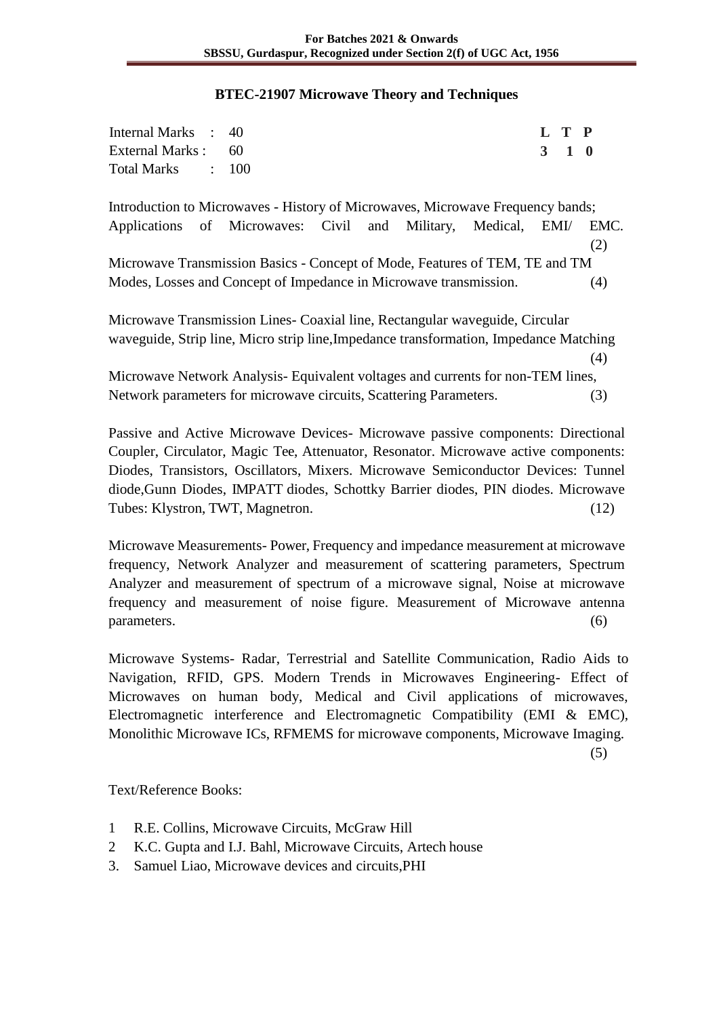#### **BTEC-21907 Microwave Theory and Techniques**

| Internal Marks : 40 |  | L T P |  |
|---------------------|--|-------|--|
| External Marks : 60 |  | 3 1 0 |  |
| Total Marks : 100   |  |       |  |

Introduction to Microwaves - History of Microwaves, Microwave Frequency bands; Applications of Microwaves: Civil and Military, Medical, EMI/ EMC. (2) Microwave Transmission Basics - Concept of Mode, Features of TEM, TE and TM Modes, Losses and Concept of Impedance in Microwave transmission. (4)

Microwave Transmission Lines- Coaxial line, Rectangular waveguide, Circular waveguide, Strip line, Micro strip line,Impedance transformation, Impedance Matching (4)

Microwave Network Analysis- Equivalent voltages and currents for non-TEM lines, Network parameters for microwave circuits, Scattering Parameters. (3)

Passive and Active Microwave Devices- Microwave passive components: Directional Coupler, Circulator, Magic Tee, Attenuator, Resonator. Microwave active components: Diodes, Transistors, Oscillators, Mixers. Microwave Semiconductor Devices: Tunnel diode,Gunn Diodes, IMPATT diodes, Schottky Barrier diodes, PIN diodes. Microwave Tubes: Klystron, TWT, Magnetron. (12)

Microwave Measurements- Power, Frequency and impedance measurement at microwave frequency, Network Analyzer and measurement of scattering parameters, Spectrum Analyzer and measurement of spectrum of a microwave signal, Noise at microwave frequency and measurement of noise figure. Measurement of Microwave antenna  $parameters.$  (6)

Microwave Systems- Radar, Terrestrial and Satellite Communication, Radio Aids to Navigation, RFID, GPS. Modern Trends in Microwaves Engineering- Effect of Microwaves on human body, Medical and Civil applications of microwaves, Electromagnetic interference and Electromagnetic Compatibility (EMI & EMC), Monolithic Microwave ICs, RFMEMS for microwave components, Microwave Imaging.

(5)

- 1 R.E. Collins, Microwave Circuits, McGraw Hill
- 2 K.C. Gupta and I.J. Bahl, Microwave Circuits, Artech house
- 3. Samuel Liao, Microwave devices and circuits,PHI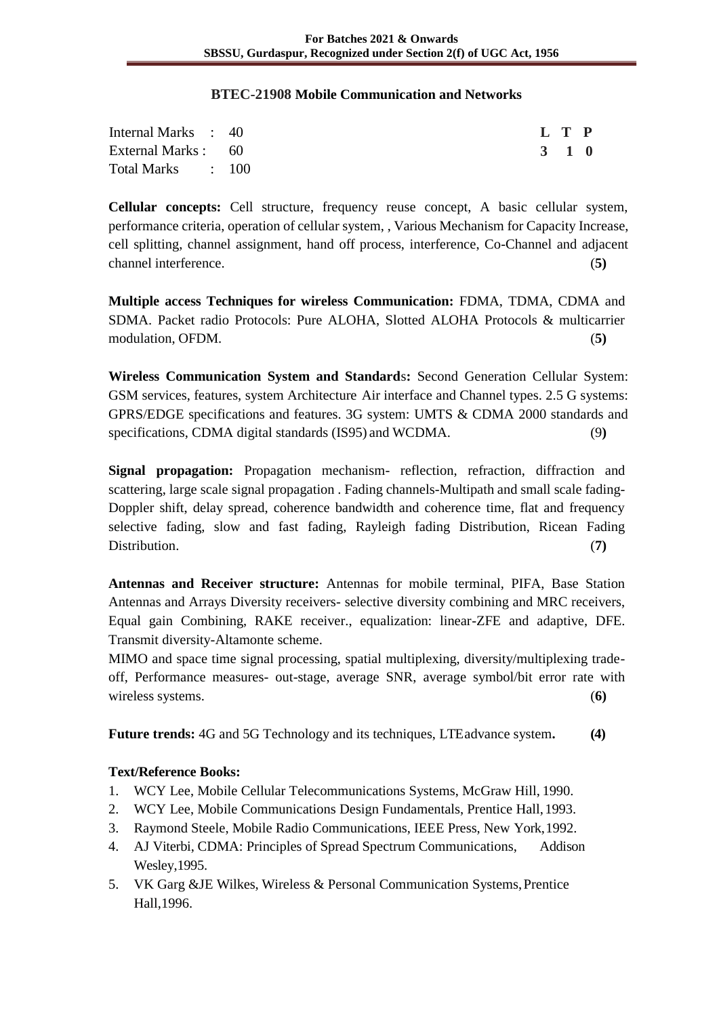#### **BTEC-21908 Mobile Communication and Networks**

| Internal Marks : 40 |  |  | L T P |  |
|---------------------|--|--|-------|--|
| External Marks : 60 |  |  | 3 1 0 |  |
| Total Marks : 100   |  |  |       |  |

**Cellular concepts:** Cell structure, frequency reuse concept, A basic cellular system, performance criteria, operation of cellular system, , Various Mechanism for Capacity Increase, cell splitting, channel assignment, hand off process, interference, Co-Channel and adjacent channel interference. (**5)**

**Multiple access Techniques for wireless Communication:** FDMA, TDMA, CDMA and SDMA. Packet radio Protocols: Pure ALOHA, Slotted ALOHA Protocols & multicarrier modulation, OFDM. (**5)**

**Wireless Communication System and Standard**s**:** Second Generation Cellular System: GSM services, features, system Architecture Air interface and Channel types. 2.5 G systems: GPRS/EDGE specifications and features. 3G system: UMTS & CDMA 2000 standards and specifications, CDMA digital standards (IS95) and WCDMA. (9**)**

**Signal propagation:** Propagation mechanism- reflection, refraction, diffraction and scattering, large scale signal propagation . Fading channels-Multipath and small scale fading-Doppler shift, delay spread, coherence bandwidth and coherence time, flat and frequency selective fading, slow and fast fading, Rayleigh fading Distribution, Ricean Fading Distribution. **(7)** (7)

**Antennas and Receiver structure:** Antennas for mobile terminal, PIFA, Base Station Antennas and Arrays Diversity receivers- selective diversity combining and MRC receivers, Equal gain Combining, RAKE receiver., equalization: linear-ZFE and adaptive, DFE. Transmit diversity-Altamonte scheme.

MIMO and space time signal processing, spatial multiplexing, diversity/multiplexing tradeoff, Performance measures- out-stage, average SNR, average symbol/bit error rate with wireless systems. (**6)**

**Future trends:** 4G and 5G Technology and its techniques, LTEadvance system**. (4)** 

- 1. WCY Lee, Mobile Cellular Telecommunications Systems, McGraw Hill, 1990.
- 2. WCY Lee, Mobile Communications Design Fundamentals, Prentice Hall,1993.
- 3. Raymond Steele, Mobile Radio Communications, IEEE Press, New York,1992.
- 4. AJ Viterbi, CDMA: Principles of Spread Spectrum Communications, Addison Wesley,1995.
- 5. VK Garg &JE Wilkes, Wireless & Personal Communication Systems,Prentice Hall,1996.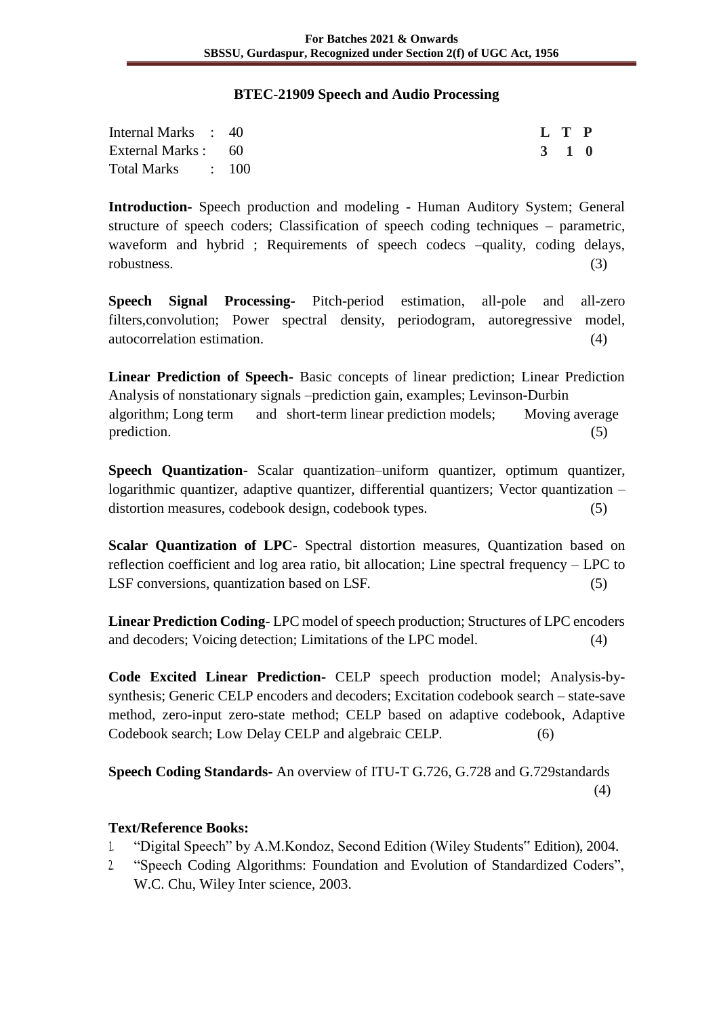#### **BTEC-21909 Speech and Audio Processing**

| Internal Marks : 40 |  | L T P |  |
|---------------------|--|-------|--|
| External Marks : 60 |  | 3 1 0 |  |
| Total Marks : 100   |  |       |  |

**Introduction-** Speech production and modeling - Human Auditory System; General structure of speech coders; Classification of speech coding techniques – parametric, waveform and hybrid ; Requirements of speech codecs  $-\frac{1}{2}$  equality, coding delays, robustness. (3)

**Speech Signal Processing-** Pitch-period estimation, all-pole and all-zero filters,convolution; Power spectral density, periodogram, autoregressive model, autocorrelation estimation. (4)

**Linear Prediction of Speech-** Basic concepts of linear prediction; Linear Prediction Analysis of nonstationary signals –prediction gain, examples; Levinson-Durbin algorithm; Long term and short-term linear prediction models; Moving average prediction. (5)

**Speech Quantization-** Scalar quantization–uniform quantizer, optimum quantizer, logarithmic quantizer, adaptive quantizer, differential quantizers; Vector quantization – distortion measures, codebook design, codebook types. (5)

**Scalar Quantization of LPC-** Spectral distortion measures, Quantization based on reflection coefficient and log area ratio, bit allocation; Line spectral frequency – LPC to LSF conversions, quantization based on LSF. (5)

**Linear Prediction Coding-** LPC model of speech production; Structures of LPC encoders and decoders; Voicing detection; Limitations of the LPC model. (4)

**Code Excited Linear Prediction-** CELP speech production model; Analysis-bysynthesis; Generic CELP encoders and decoders; Excitation codebook search – state-save method, zero-input zero-state method; CELP based on adaptive codebook, Adaptive Codebook search; Low Delay CELP and algebraic CELP. (6)

**Speech Coding Standards-** An overview of ITU-T G.726, G.728 and G.729standards (4)

- 1. "Digital Speech" by A.M.Kondoz, Second Edition (Wiley Students" Edition), 2004.
- 2. "Speech Coding Algorithms: Foundation and Evolution of Standardized Coders", W.C. Chu, Wiley Inter science, 2003.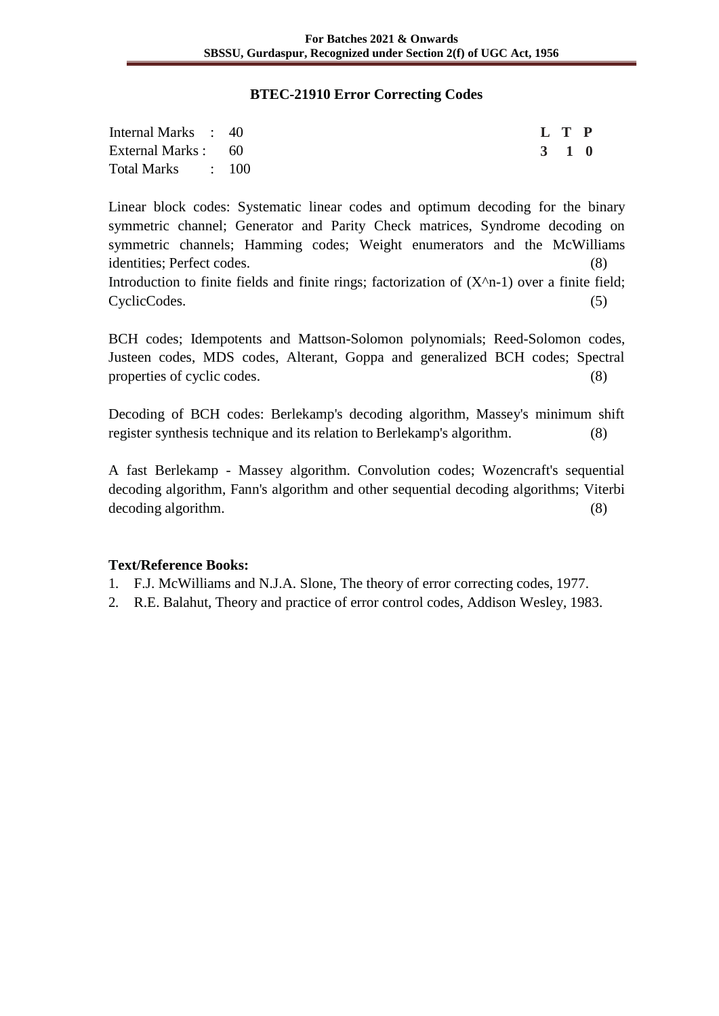#### **BTEC-21910 Error Correcting Codes**

| Internal Marks : 40 |  | L T P |  |
|---------------------|--|-------|--|
| External Marks : 60 |  | 3 1 0 |  |
| Total Marks : 100   |  |       |  |

Linear block codes: Systematic linear codes and optimum decoding for the binary symmetric channel; Generator and Parity Check matrices, Syndrome decoding on symmetric channels; Hamming codes; Weight enumerators and the McWilliams identities; Perfect codes. (8)

Introduction to finite fields and finite rings; factorization of  $(X<sup>2</sup>n-1)$  over a finite field; CyclicCodes. (5)

BCH codes; Idempotents and Mattson-Solomon polynomials; Reed-Solomon codes, Justeen codes, MDS codes, Alterant, Goppa and generalized BCH codes; Spectral properties of cyclic codes. (8)

Decoding of BCH codes: Berlekamp's decoding algorithm, Massey's minimum shift register synthesis technique and its relation to Berlekamp's algorithm. (8)

A fast Berlekamp - Massey algorithm. Convolution codes; Wozencraft's sequential decoding algorithm, Fann's algorithm and other sequential decoding algorithms; Viterbi decoding algorithm. (8)

- 1. F.J. McWilliams and N.J.A. Slone, The theory of error correcting codes, 1977.
- 2. R.E. Balahut, Theory and practice of error control codes, Addison Wesley, 1983.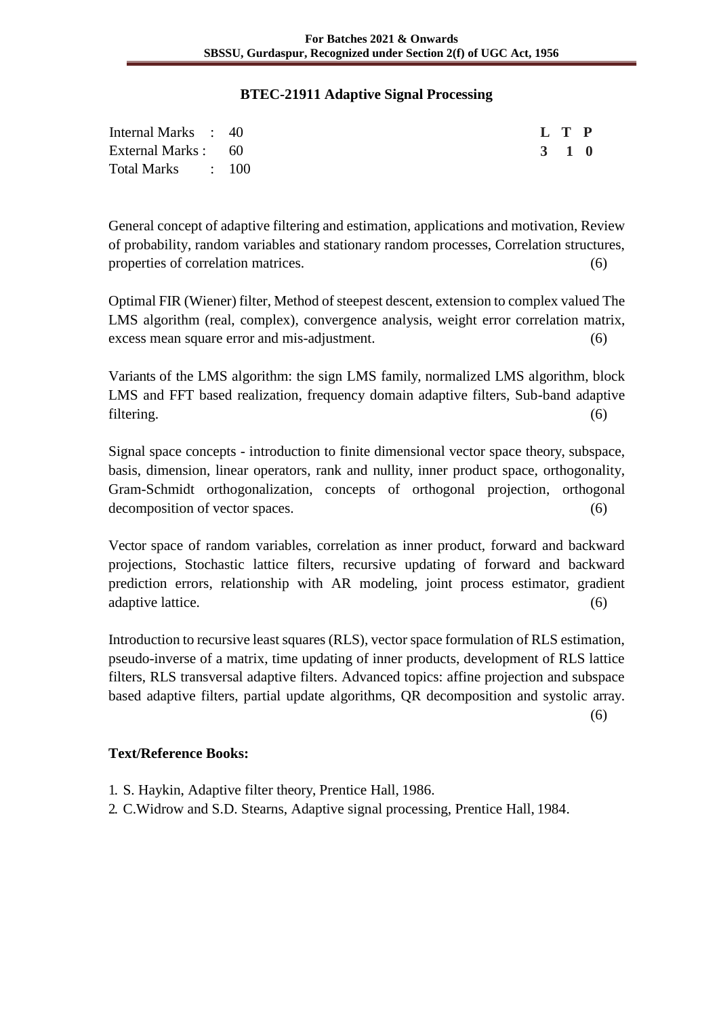#### **BTEC-21911 Adaptive Signal Processing**

| Internal Marks : 40 |  |  | L T P |  |
|---------------------|--|--|-------|--|
| External Marks : 60 |  |  | 3 1 0 |  |
| Total Marks : 100   |  |  |       |  |

General concept of adaptive filtering and estimation, applications and motivation, Review of probability, random variables and stationary random processes, Correlation structures, properties of correlation matrices. (6)

Optimal FIR (Wiener) filter, Method of steepest descent, extension to complex valued The LMS algorithm (real, complex), convergence analysis, weight error correlation matrix, excess mean square error and mis-adjustment. (6)

Variants of the LMS algorithm: the sign LMS family, normalized LMS algorithm, block LMS and FFT based realization, frequency domain adaptive filters, Sub-band adaptive filtering. (6)

Signal space concepts - introduction to finite dimensional vector space theory, subspace, basis, dimension, linear operators, rank and nullity, inner product space, orthogonality, Gram-Schmidt orthogonalization, concepts of orthogonal projection, orthogonal decomposition of vector spaces. (6)

Vector space of random variables, correlation as inner product, forward and backward projections, Stochastic lattice filters, recursive updating of forward and backward prediction errors, relationship with AR modeling, joint process estimator, gradient adaptive lattice. (6)

Introduction to recursive least squares (RLS), vector space formulation of RLS estimation, pseudo-inverse of a matrix, time updating of inner products, development of RLS lattice filters, RLS transversal adaptive filters. Advanced topics: affine projection and subspace based adaptive filters, partial update algorithms, QR decomposition and systolic array.

(6)

- 1. S. Haykin, Adaptive filter theory, Prentice Hall, 1986.
- 2. C.Widrow and S.D. Stearns, Adaptive signal processing, Prentice Hall, 1984.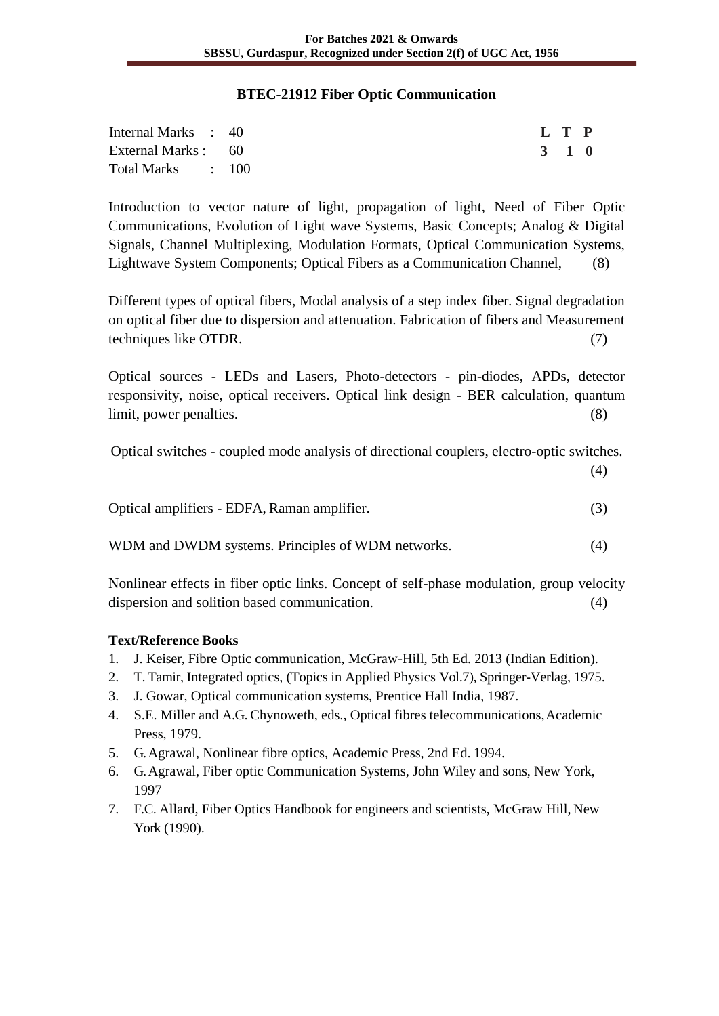#### **BTEC-21912 Fiber Optic Communication**

| Internal Marks : 40 |  | L T P |  |
|---------------------|--|-------|--|
| External Marks : 60 |  | 3 1 0 |  |
| Total Marks : 100   |  |       |  |

Introduction to vector nature of light, propagation of light, Need of Fiber Optic Communications, Evolution of Light wave Systems, Basic Concepts; Analog & Digital Signals, Channel Multiplexing, Modulation Formats, Optical Communication Systems, Lightwave System Components; Optical Fibers as a Communication Channel, (8)

Different types of optical fibers, Modal analysis of a step index fiber. Signal degradation on optical fiber due to dispersion and attenuation. Fabrication of fibers and Measurement techniques like OTDR. (7)

Optical sources - LEDs and Lasers, Photo-detectors - pin-diodes, APDs, detector responsivity, noise, optical receivers. Optical link design - BER calculation, quantum limit, power penalties. (8)

Optical switches - coupled mode analysis of directional couplers, electro-optic switches.

(4)

Optical amplifiers - EDFA, Raman amplifier. (3)

WDM and DWDM systems. Principles of WDM networks. (4)

Nonlinear effects in fiber optic links. Concept of self-phase modulation, group velocity dispersion and solition based communication. (4)

- 1. J. Keiser, Fibre Optic communication, McGraw-Hill, 5th Ed. 2013 (Indian Edition).
- 2. T. Tamir, Integrated optics, (Topics in Applied Physics Vol.7), Springer-Verlag, 1975.
- 3. J. Gowar, Optical communication systems, Prentice Hall India, 1987.
- 4. S.E. Miller and A.G. Chynoweth, eds., Optical fibres telecommunications,Academic Press, 1979.
- 5. G. Agrawal, Nonlinear fibre optics, Academic Press, 2nd Ed. 1994.
- 6. G. Agrawal, Fiber optic Communication Systems, John Wiley and sons, New York, 1997
- 7. F.C. Allard, Fiber Optics Handbook for engineers and scientists, McGraw Hill, New York (1990).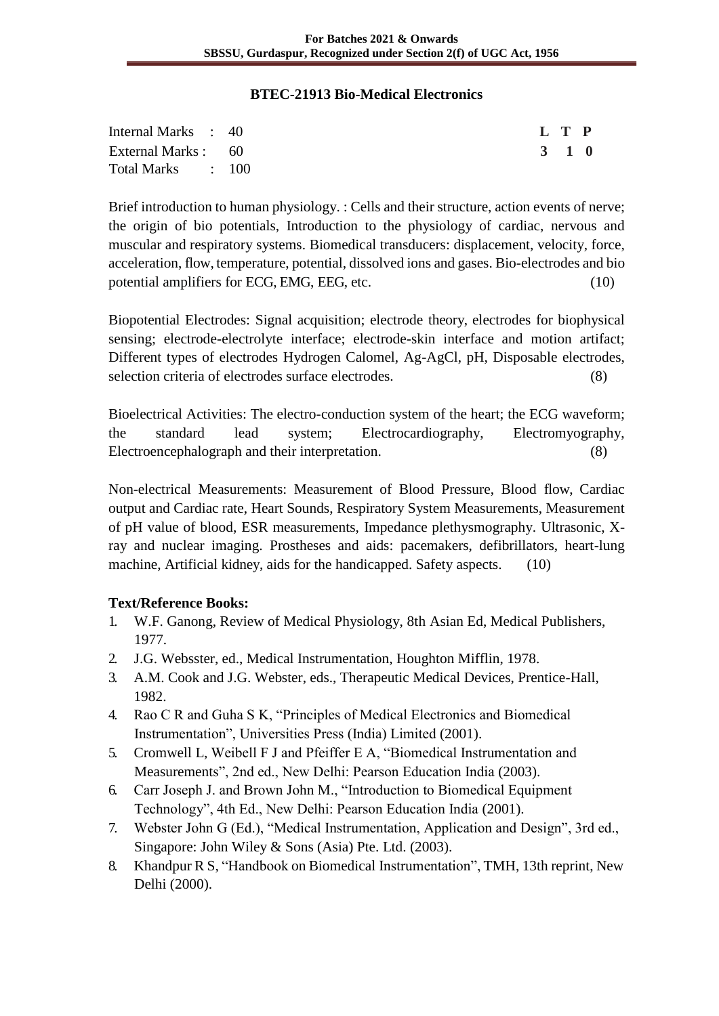#### **BTEC-21913 Bio-Medical Electronics**

| Internal Marks : 40 |  | L T P |  |
|---------------------|--|-------|--|
| External Marks : 60 |  | 3 1 0 |  |
| Total Marks : 100   |  |       |  |

Brief introduction to human physiology. : Cells and their structure, action events of nerve; the origin of bio potentials, Introduction to the physiology of cardiac, nervous and muscular and respiratory systems. Biomedical transducers: displacement, velocity, force, acceleration, flow, temperature, potential, dissolved ions and gases. Bio-electrodes and bio potential amplifiers for ECG, EMG, EEG, etc.  $(10)$ 

Biopotential Electrodes: Signal acquisition; electrode theory, electrodes for biophysical sensing; electrode-electrolyte interface; electrode-skin interface and motion artifact; Different types of electrodes Hydrogen Calomel, Ag-AgCl, pH, Disposable electrodes, selection criteria of electrodes surface electrodes. (8)

Bioelectrical Activities: The electro-conduction system of the heart; the ECG waveform; the standard lead system; Electrocardiography, Electromyography, Electroencephalograph and their interpretation. (8)

Non-electrical Measurements: Measurement of Blood Pressure, Blood flow, Cardiac output and Cardiac rate, Heart Sounds, Respiratory System Measurements, Measurement of pH value of blood, ESR measurements, Impedance plethysmography. Ultrasonic, Xray and nuclear imaging. Prostheses and aids: pacemakers, defibrillators, heart-lung machine, Artificial kidney, aids for the handicapped. Safety aspects. (10)

- 1. W.F. Ganong, Review of Medical Physiology, 8th Asian Ed, Medical Publishers, 1977.
- 2. J.G. Websster, ed., Medical Instrumentation, Houghton Mifflin, 1978.
- 3. A.M. Cook and J.G. Webster, eds., Therapeutic Medical Devices, Prentice-Hall, 1982.
- 4. Rao C R and Guha S K, "Principles of Medical Electronics and Biomedical Instrumentation", Universities Press (India) Limited (2001).
- 5. Cromwell L, Weibell F J and Pfeiffer E A, "Biomedical Instrumentation and Measurements", 2nd ed., New Delhi: Pearson Education India (2003).
- 6. Carr Joseph J. and Brown John M., "Introduction to Biomedical Equipment Technology", 4th Ed., New Delhi: Pearson Education India (2001).
- 7. Webster John G (Ed.), "Medical Instrumentation, Application and Design", 3rd ed., Singapore: John Wiley & Sons (Asia) Pte. Ltd. (2003).
- 8. Khandpur R S, "Handbook on Biomedical Instrumentation", TMH, 13th reprint, New Delhi (2000).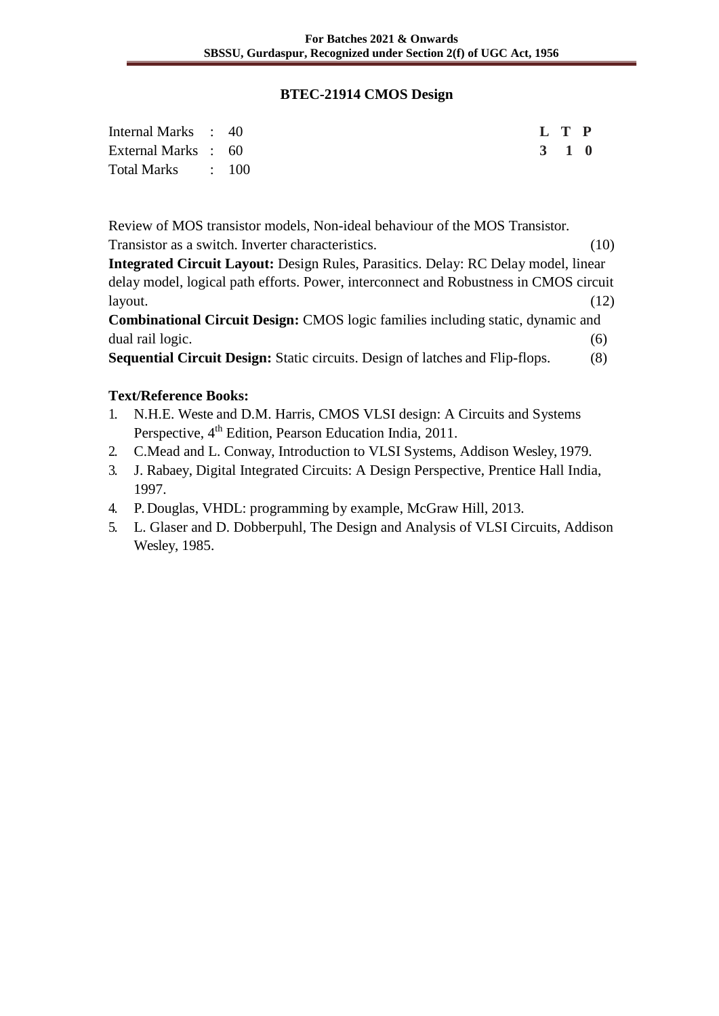### **BTEC-21914 CMOS Design**

| Internal Marks : 40 |  |  |  |  | L T P |  |
|---------------------|--|--|--|--|-------|--|
| External Marks : 60 |  |  |  |  | 3 1 0 |  |
| Total Marks : 100   |  |  |  |  |       |  |

Review of MOS transistor models, Non-ideal behaviour of the MOS Transistor. Transistor as a switch. Inverter characteristics. (10)

**Integrated Circuit Layout:** Design Rules, Parasitics. Delay: RC Delay model, linear delay model, logical path efforts. Power, interconnect and Robustness in CMOS circuit layout. (12)

**Combinational Circuit Design:** CMOS logic families including static, dynamic and dual rail logic. (6)

**Sequential Circuit Design:** Static circuits. Design of latches and Flip-flops. (8)

- 1. N.H.E. Weste and D.M. Harris, CMOS VLSI design: A Circuits and Systems Perspective, 4<sup>th</sup> Edition, Pearson Education India, 2011.
- 2. C.Mead and L. Conway, Introduction to VLSI Systems, Addison Wesley, 1979.
- 3. J. Rabaey, Digital Integrated Circuits: A Design Perspective, Prentice Hall India, 1997.
- 4. P. Douglas, VHDL: programming by example, McGraw Hill, 2013.
- 5. L. Glaser and D. Dobberpuhl, The Design and Analysis of VLSI Circuits, Addison Wesley, 1985.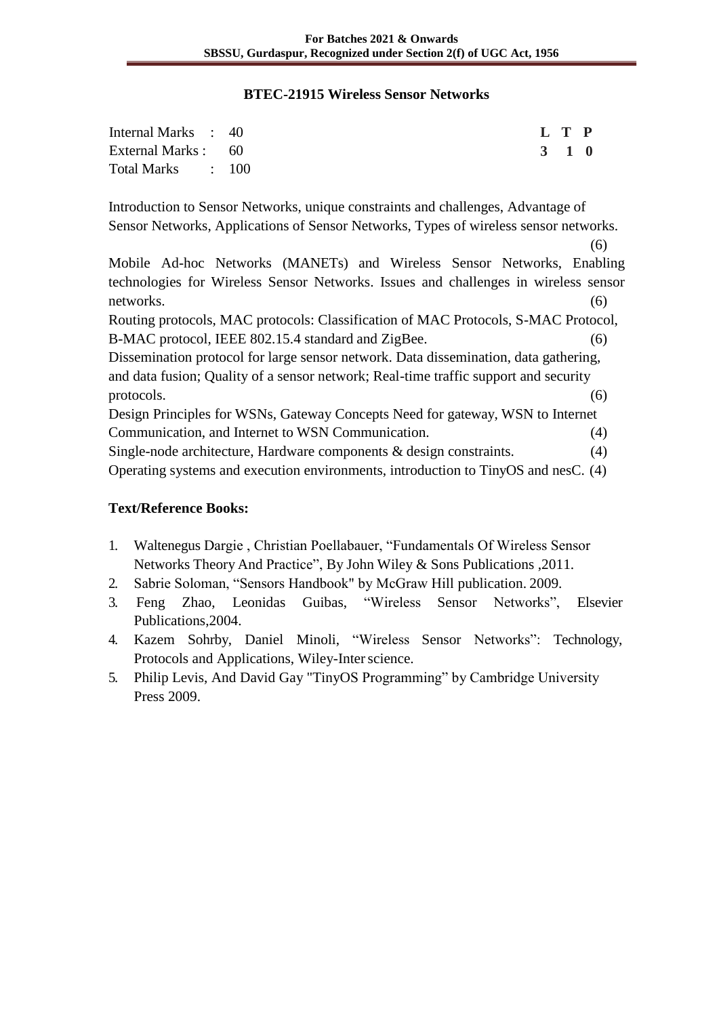### **BTEC-21915 Wireless Sensor Networks**

| Internal Marks : 40 |  | L T P |  |
|---------------------|--|-------|--|
| External Marks : 60 |  | 3 1 0 |  |
| Total Marks : 100   |  |       |  |

Introduction to Sensor Networks, unique constraints and challenges, Advantage of Sensor Networks, Applications of Sensor Networks, Types of wireless sensor networks.

(6) Mobile Ad-hoc Networks (MANETs) and Wireless Sensor Networks, Enabling technologies for Wireless Sensor Networks. Issues and challenges in wireless sensor networks. (6)

Routing protocols, MAC protocols: Classification of MAC Protocols, S-MAC Protocol, B-MAC protocol, IEEE 802.15.4 standard and ZigBee. (6)

Dissemination protocol for large sensor network. Data dissemination, data gathering, and data fusion; Quality of a sensor network; Real-time traffic support and security protocols. (6)

Design Principles for WSNs, Gateway Concepts Need for gateway, WSN to Internet Communication, and Internet to WSN Communication. (4) Single-node architecture, Hardware components & design constraints. (4)

Operating systems and execution environments, introduction to TinyOS and nesC. (4)

- 1. Waltenegus Dargie , Christian Poellabauer, "Fundamentals Of Wireless Sensor Networks Theory And Practice", By John Wiley & Sons Publications ,2011.
- 2. Sabrie Soloman, "Sensors Handbook" by McGraw Hill publication. 2009.
- 3. Feng Zhao, Leonidas Guibas, "Wireless Sensor Networks", Elsevier Publications,2004.
- 4. Kazem Sohrby, Daniel Minoli, "Wireless Sensor Networks": Technology, Protocols and Applications, Wiley-Interscience.
- 5. Philip Levis, And David Gay "TinyOS Programming" by Cambridge University Press 2009.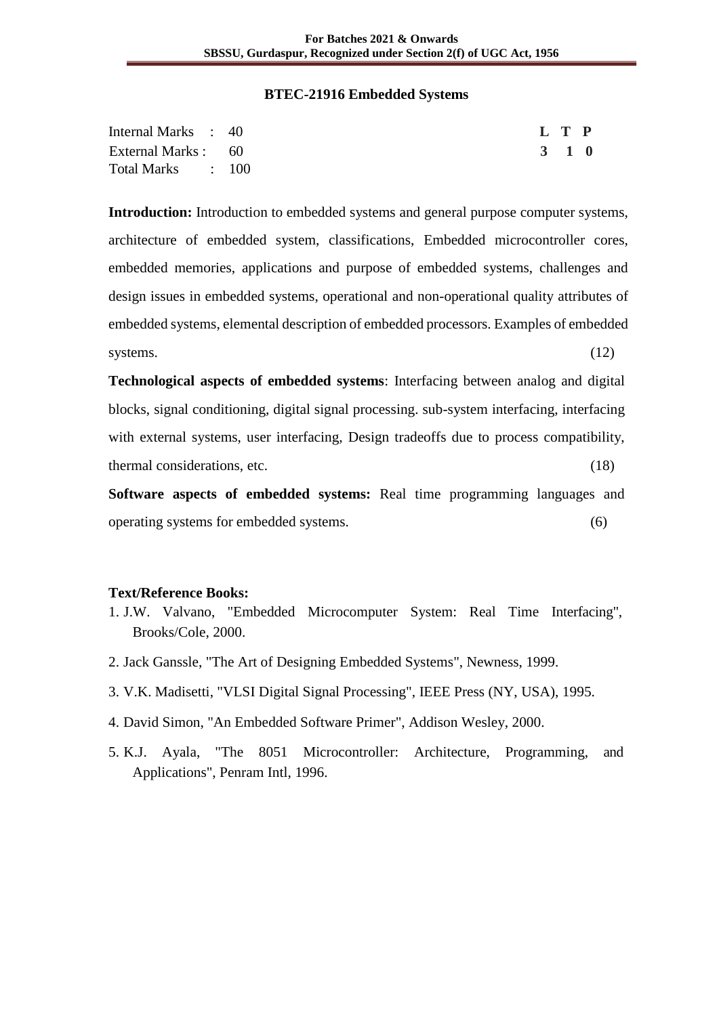#### **BTEC-21916 Embedded Systems**

| Internal Marks : 40 | L T P |  |
|---------------------|-------|--|
| External Marks : 60 | 3 1 0 |  |
| Total Marks : 100   |       |  |

**Introduction:** Introduction to embedded systems and general purpose computer systems, architecture of embedded system, classifications, Embedded microcontroller cores, embedded memories, applications and purpose of embedded systems, challenges and design issues in embedded systems, operational and non-operational quality attributes of embedded systems, elemental description of embedded processors. Examples of embedded systems. (12)

**Technological aspects of embedded systems**: Interfacing between analog and digital blocks, signal conditioning, digital signal processing. sub-system interfacing, interfacing with external systems, user interfacing, Design tradeoffs due to process compatibility, thermal considerations, etc. (18)

**Software aspects of embedded systems:** Real time programming languages and operating systems for embedded systems. (6)

- 1. J.W. Valvano, "Embedded Microcomputer System: Real Time Interfacing", Brooks/Cole, 2000.
- 2. Jack Ganssle, "The Art of Designing Embedded Systems", Newness, 1999.
- 3. V.K. Madisetti, "VLSI Digital Signal Processing", IEEE Press (NY, USA), 1995.
- 4. David Simon, "An Embedded Software Primer", Addison Wesley, 2000.
- 5. K.J. Ayala, "The 8051 Microcontroller: Architecture, Programming, and Applications", Penram Intl, 1996.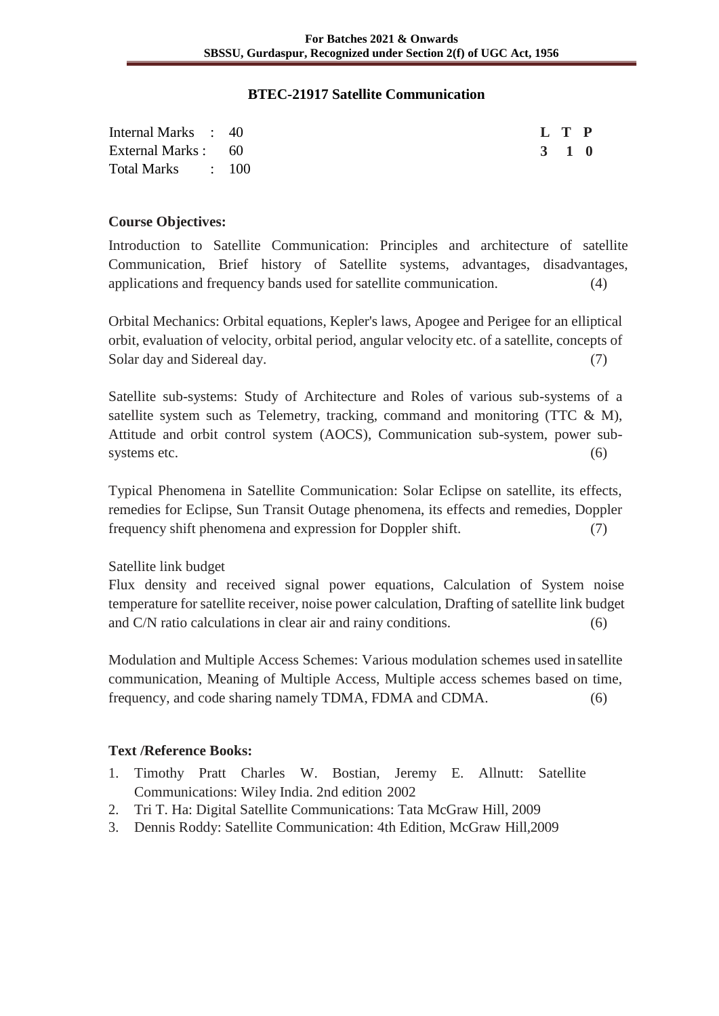#### **BTEC-21917 Satellite Communication**

| Internal Marks : 40 |  | L T P |  |
|---------------------|--|-------|--|
| External Marks : 60 |  | 3 1 0 |  |
| Total Marks : 100   |  |       |  |

#### **Course Objectives:**

Introduction to Satellite Communication: Principles and architecture of satellite Communication, Brief history of Satellite systems, advantages, disadvantages, applications and frequency bands used for satellite communication. (4)

Orbital Mechanics: Orbital equations, Kepler's laws, Apogee and Perigee for an elliptical orbit, evaluation of velocity, orbital period, angular velocity etc. of a satellite, concepts of Solar day and Sidereal day. (7)

Satellite sub-systems: Study of Architecture and Roles of various sub-systems of a satellite system such as Telemetry, tracking, command and monitoring (TTC & M), Attitude and orbit control system (AOCS), Communication sub-system, power subsystems etc.  $(6)$ 

Typical Phenomena in Satellite Communication: Solar Eclipse on satellite, its effects, remedies for Eclipse, Sun Transit Outage phenomena, its effects and remedies, Doppler frequency shift phenomena and expression for Doppler shift. (7)

Satellite link budget

Flux density and received signal power equations, Calculation of System noise temperature for satellite receiver, noise power calculation, Drafting of satellite link budget and C/N ratio calculations in clear air and rainy conditions. (6)

Modulation and Multiple Access Schemes: Various modulation schemes used insatellite communication, Meaning of Multiple Access, Multiple access schemes based on time, frequency, and code sharing namely TDMA, FDMA and CDMA. (6)

- 1. Timothy Pratt Charles W. Bostian, Jeremy E. Allnutt: Satellite Communications: Wiley India. 2nd edition 2002
- 2. Tri T. Ha: Digital Satellite Communications: Tata McGraw Hill, 2009
- 3. Dennis Roddy: Satellite Communication: 4th Edition, McGraw Hill,2009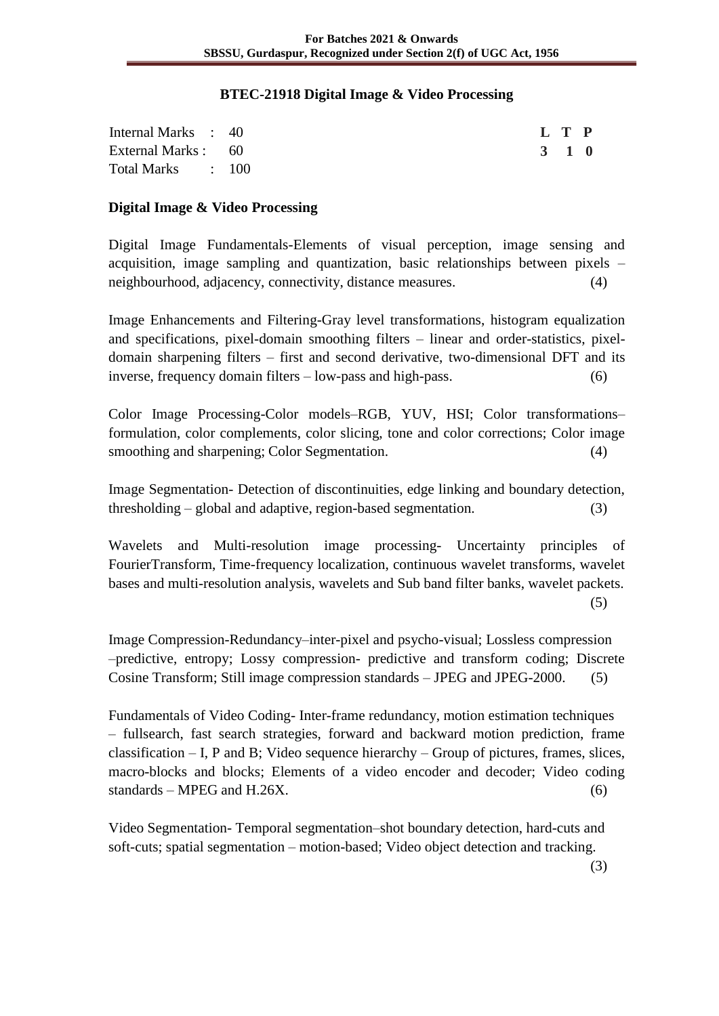### **BTEC-21918 Digital Image & Video Processing**

| Internal Marks : 40 |  |  | L T P |  |
|---------------------|--|--|-------|--|
| External Marks : 60 |  |  | 3 1 0 |  |
| Total Marks : 100   |  |  |       |  |

### **Digital Image & Video Processing**

Digital Image Fundamentals-Elements of visual perception, image sensing and acquisition, image sampling and quantization, basic relationships between pixels – neighbourhood, adjacency, connectivity, distance measures. (4)

Image Enhancements and Filtering-Gray level transformations, histogram equalization and specifications, pixel-domain smoothing filters – linear and order-statistics, pixeldomain sharpening filters – first and second derivative, two-dimensional DFT and its inverse, frequency domain filters – low-pass and high-pass. (6)

Color Image Processing-Color models–RGB, YUV, HSI; Color transformations– formulation, color complements, color slicing, tone and color corrections; Color image smoothing and sharpening; Color Segmentation. (4)

Image Segmentation- Detection of discontinuities, edge linking and boundary detection, thresholding – global and adaptive, region-based segmentation. (3)

Wavelets and Multi-resolution image processing- Uncertainty principles of FourierTransform, Time-frequency localization, continuous wavelet transforms, wavelet bases and multi-resolution analysis, wavelets and Sub band filter banks, wavelet packets. (5)

Image Compression-Redundancy–inter-pixel and psycho-visual; Lossless compression –predictive, entropy; Lossy compression- predictive and transform coding; Discrete Cosine Transform; Still image compression standards – JPEG and JPEG-2000. (5)

Fundamentals of Video Coding- Inter-frame redundancy, motion estimation techniques – fullsearch, fast search strategies, forward and backward motion prediction, frame classification – I, P and B; Video sequence hierarchy – Group of pictures, frames, slices, macro-blocks and blocks; Elements of a video encoder and decoder; Video coding  $standards - MPEG and H.26X.$  (6)

Video Segmentation- Temporal segmentation–shot boundary detection, hard-cuts and soft-cuts; spatial segmentation – motion-based; Video object detection and tracking.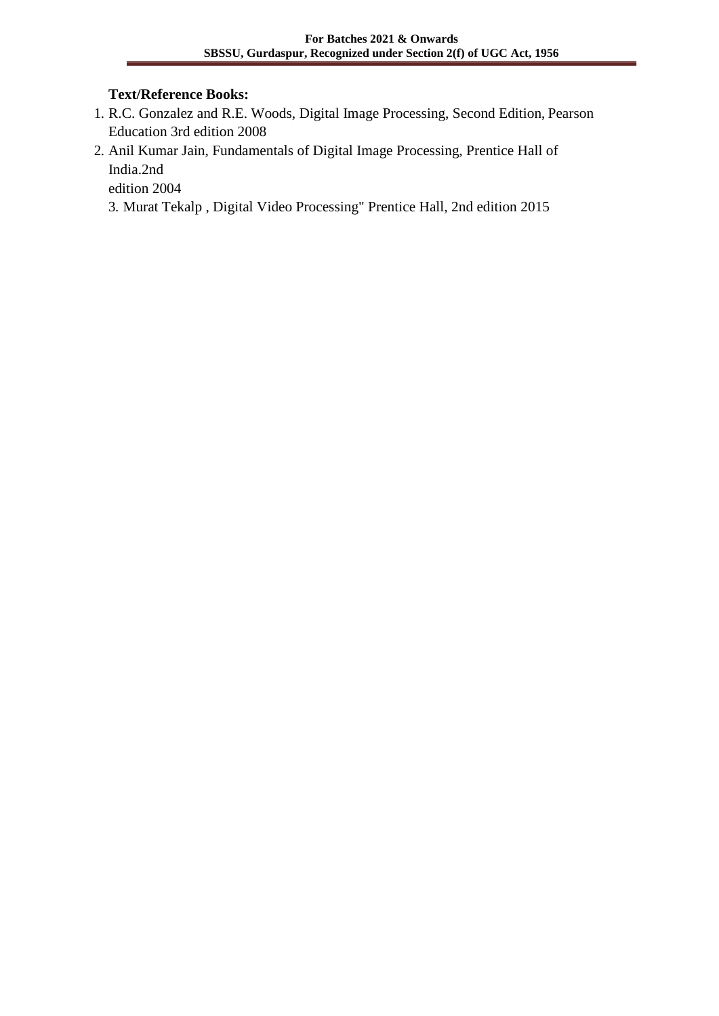### **Text/Reference Books:**

- 1. R.C. Gonzalez and R.E. Woods, Digital Image Processing, Second Edition, Pearson Education 3rd edition 2008
- 2. Anil Kumar Jain, Fundamentals of Digital Image Processing, Prentice Hall of India.2nd

edition 2004

3. Murat Tekalp , Digital Video Processing" Prentice Hall, 2nd edition 2015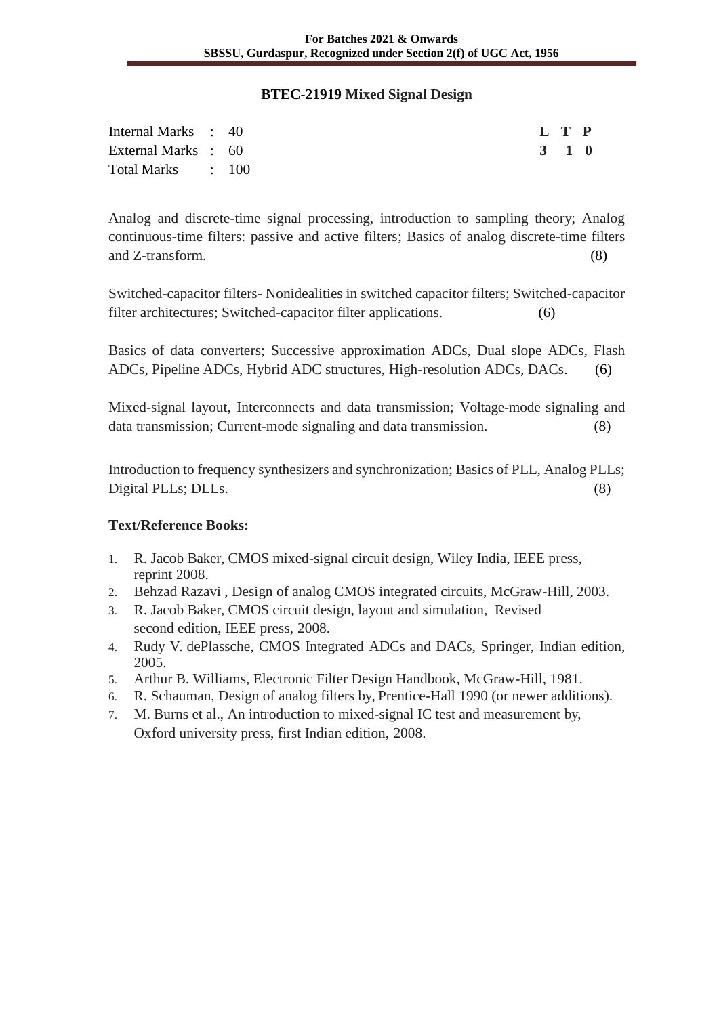#### **BTEC-21919 Mixed Signal Design**

| Internal Marks : 40 |  |  |  | L T P |  |
|---------------------|--|--|--|-------|--|
| External Marks : 60 |  |  |  | 3 1 0 |  |
| Total Marks : 100   |  |  |  |       |  |

Analog and discrete-time signal processing, introduction to sampling theory; Analog continuous-time filters: passive and active filters; Basics of analog discrete-time filters and Z-transform. (8)

Switched-capacitor filters- Nonidealities in switched capacitor filters; Switched-capacitor filter architectures; Switched-capacitor filter applications. (6)

Basics of data converters; Successive approximation ADCs, Dual slope ADCs, Flash ADCs, Pipeline ADCs, Hybrid ADC structures, High-resolution ADCs, DACs. (6)

Mixed-signal layout, Interconnects and data transmission; Voltage-mode signaling and data transmission; Current-mode signaling and data transmission. (8)

Introduction to frequency synthesizers and synchronization; Basics of PLL, Analog PLLs; Digital PLLs; DLLs. (8)

- 1. R. Jacob Baker, CMOS mixed-signal circuit design, Wiley India, IEEE press, reprint 2008.
- 2. Behzad Razavi , Design of analog CMOS integrated circuits, McGraw-Hill, 2003.
- 3. R. Jacob Baker, CMOS circuit design, layout and simulation, Revised second edition, IEEE press, 2008.
- 4. Rudy V. dePlassche, CMOS Integrated ADCs and DACs, Springer, Indian edition, 2005.
- 5. Arthur B. Williams, Electronic Filter Design Handbook, McGraw-Hill, 1981.
- 6. R. Schauman, Design of analog filters by, Prentice-Hall 1990 (or newer additions).
- 7. M. Burns et al., An introduction to mixed-signal IC test and measurement by, Oxford university press, first Indian edition, 2008.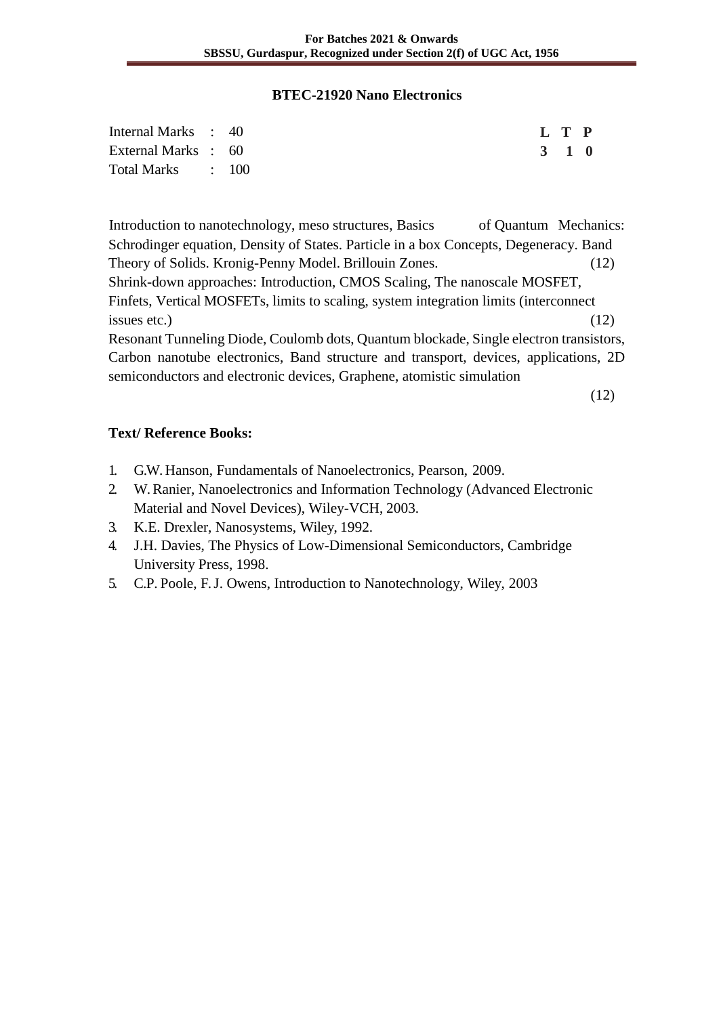#### **BTEC-21920 Nano Electronics**

| Internal Marks : 40 |  | L T P |  |
|---------------------|--|-------|--|
| External Marks : 60 |  | 3 1 0 |  |
| Total Marks : 100   |  |       |  |

Introduction to nanotechnology, meso structures, Basics of Quantum Mechanics: Schrodinger equation, Density of States. Particle in a box Concepts, Degeneracy. Band Theory of Solids. Kronig-Penny Model. Brillouin Zones. (12) Shrink-down approaches: Introduction, CMOS Scaling, The nanoscale MOSFET, Finfets, Vertical MOSFETs, limits to scaling, system integration limits (interconnect issues etc.)  $(12)$ Resonant Tunneling Diode, Coulomb dots, Quantum blockade, Single electron transistors, Carbon nanotube electronics, Band structure and transport, devices, applications, 2D

semiconductors and electronic devices, Graphene, atomistic simulation

(12)

- 1. G.W. Hanson, Fundamentals of Nanoelectronics, Pearson, 2009.
- 2. W. Ranier, Nanoelectronics and Information Technology (Advanced Electronic Material and Novel Devices), Wiley-VCH, 2003.
- 3. K.E. Drexler, Nanosystems, Wiley, 1992.
- 4. J.H. Davies, The Physics of Low-Dimensional Semiconductors, Cambridge University Press, 1998.
- 5. C.P. Poole, F. J. Owens, Introduction to Nanotechnology, Wiley, 2003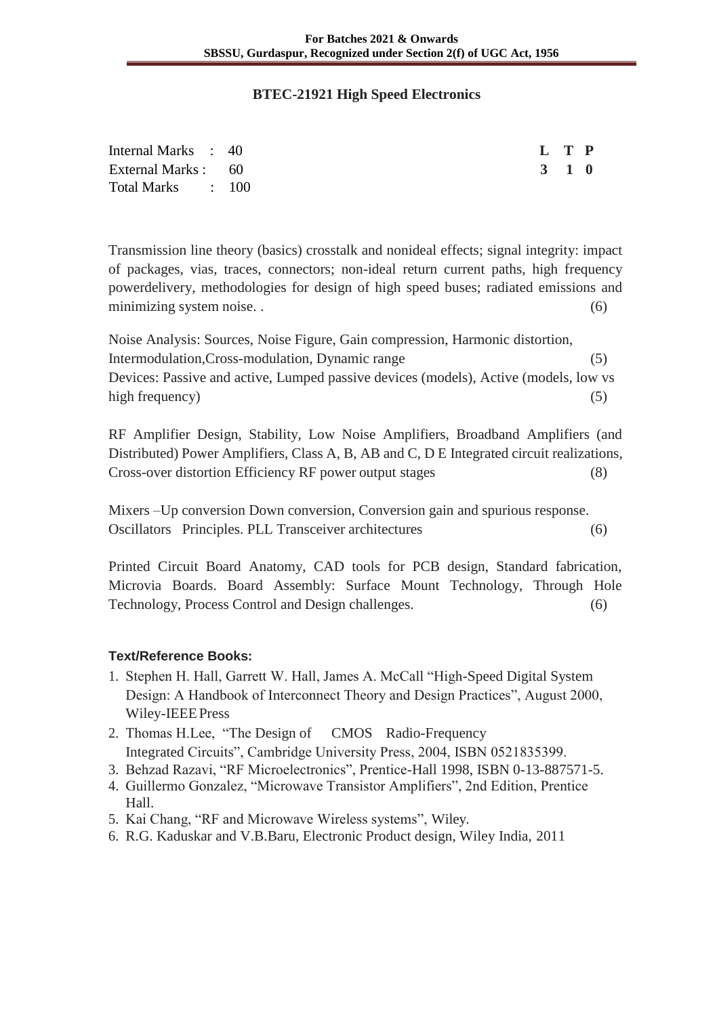#### **BTEC-21921 High Speed Electronics**

| Internal Marks : 40 | L T P |  |
|---------------------|-------|--|
| External Marks : 60 | 3 1 0 |  |
| Total Marks : 100   |       |  |

Transmission line theory (basics) crosstalk and nonideal effects; signal integrity: impact of packages, vias, traces, connectors; non-ideal return current paths, high frequency powerdelivery, methodologies for design of high speed buses; radiated emissions and minimizing system noise. . (6)

Noise Analysis: Sources, Noise Figure, Gain compression, Harmonic distortion, Intermodulation,Cross-modulation, Dynamic range (5) Devices: Passive and active, Lumped passive devices (models), Active (models, low vs high frequency) (5)

RF Amplifier Design, Stability, Low Noise Amplifiers, Broadband Amplifiers (and Distributed) Power Amplifiers, Class A, B, AB and C, D E Integrated circuit realizations, Cross-over distortion Efficiency RF power output stages (8)

Mixers –Up conversion Down conversion, Conversion gain and spurious response. Oscillators Principles. PLL Transceiver architectures (6)

Printed Circuit Board Anatomy, CAD tools for PCB design, Standard fabrication, Microvia Boards. Board Assembly: Surface Mount Technology, Through Hole Technology, Process Control and Design challenges. (6)

- 1. Stephen H. Hall, Garrett W. Hall, James A. McCall "High-Speed Digital System Design: A Handbook of Interconnect Theory and Design Practices", August 2000, Wiley-IEEEPress
- 2. Thomas H.Lee, "The Design of CMOS Radio-Frequency Integrated Circuits", Cambridge University Press, 2004, ISBN 0521835399.
- 3. Behzad Razavi, "RF Microelectronics", Prentice-Hall 1998, ISBN 0-13-887571-5.
- 4. Guillermo Gonzalez, "Microwave Transistor Amplifiers", 2nd Edition, Prentice Hall.
- 5. Kai Chang, "RF and Microwave Wireless systems", Wiley.
- 6. R.G. Kaduskar and V.B.Baru, Electronic Product design, Wiley India, 2011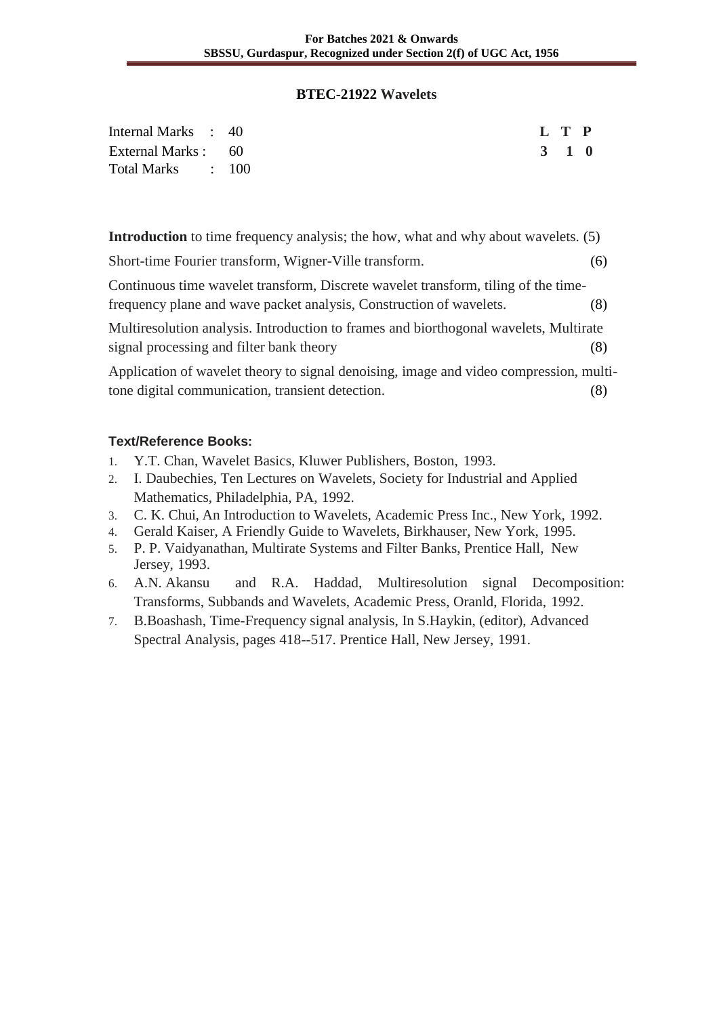#### **BTEC-21922 Wavelets**

| Internal Marks : 40 | L T P |  |
|---------------------|-------|--|
| External Marks : 60 | 3 1 0 |  |
| Total Marks : 100   |       |  |

**Introduction** to time frequency analysis; the how, what and why about wavelets. (5)

| Short-time Fourier transform, Wigner-Ville transform.                                  | (6) |
|----------------------------------------------------------------------------------------|-----|
| Continuous time wavelet transform, Discrete wavelet transform, tiling of the time-     |     |
| frequency plane and wave packet analysis, Construction of wavelets.                    | (8) |
| Multiresolution analysis. Introduction to frames and biorthogonal wavelets, Multirate  |     |
| signal processing and filter bank theory                                               | (8) |
| Application of wavelet theory to signal denoising, image and video compression, multi- |     |
| tone digital communication, transient detection.                                       | (Ծ) |

- 1. Y.T. Chan, Wavelet Basics, Kluwer Publishers, Boston, 1993.
- 2. I. Daubechies, Ten Lectures on Wavelets, Society for Industrial and Applied Mathematics, Philadelphia, PA, 1992.
- 3. C. K. Chui, An Introduction to Wavelets, Academic Press Inc., New York, 1992.
- 4. Gerald Kaiser, A Friendly Guide to Wavelets, Birkhauser, New York, 1995.
- 5. P. P. Vaidyanathan, Multirate Systems and Filter Banks, Prentice Hall, New Jersey, 1993.
- 6. A.N. Akansu and R.A. Haddad, Multiresolution signal Decomposition: Transforms, Subbands and Wavelets, Academic Press, Oranld, Florida, 1992.
- 7. B.Boashash, Time-Frequency signal analysis, In S.Haykin, (editor), Advanced Spectral Analysis, pages 418--517. Prentice Hall, New Jersey, 1991.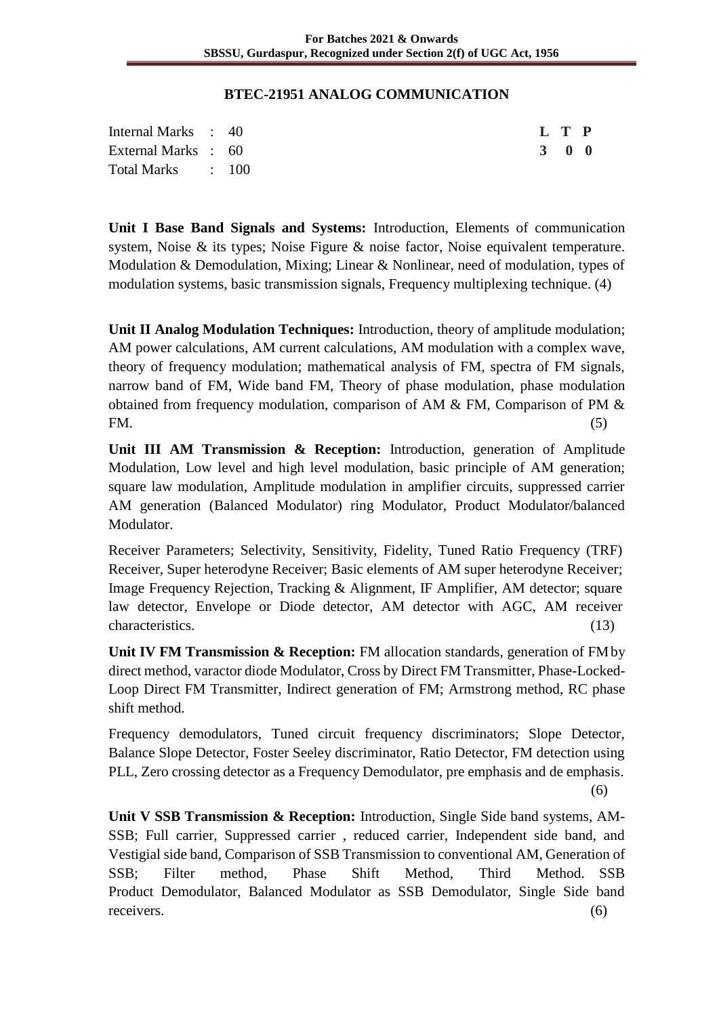#### **BTEC-21951 ANALOG COMMUNICATION**

| Internal Marks : 40 |  | L T P |  |
|---------------------|--|-------|--|
| External Marks : 60 |  | 3 0 0 |  |
| Total Marks : 100   |  |       |  |

**Unit I Base Band Signals and Systems:** Introduction, Elements of communication system, Noise & its types; Noise Figure & noise factor, Noise equivalent temperature. Modulation & Demodulation, Mixing; Linear & Nonlinear, need of modulation, types of modulation systems, basic transmission signals, Frequency multiplexing technique. (4)

**Unit II Analog Modulation Techniques:** Introduction, theory of amplitude modulation; AM power calculations, AM current calculations, AM modulation with a complex wave, theory of frequency modulation; mathematical analysis of FM, spectra of FM signals, narrow band of FM, Wide band FM, Theory of phase modulation, phase modulation obtained from frequency modulation, comparison of AM & FM, Comparison of PM & FM.  $(5)$ 

**Unit III AM Transmission & Reception:** Introduction, generation of Amplitude Modulation, Low level and high level modulation, basic principle of AM generation; square law modulation, Amplitude modulation in amplifier circuits, suppressed carrier AM generation (Balanced Modulator) ring Modulator, Product Modulator/balanced Modulator.

Receiver Parameters; Selectivity, Sensitivity, Fidelity, Tuned Ratio Frequency (TRF) Receiver, Super heterodyne Receiver; Basic elements of AM super heterodyne Receiver; Image Frequency Rejection, Tracking & Alignment, IF Amplifier, AM detector; square law detector, Envelope or Diode detector, AM detector with AGC, AM receiver characteristics. (13)

**Unit IV FM Transmission & Reception:** FM allocation standards, generation of FM by direct method, varactor diode Modulator, Cross by Direct FM Transmitter, Phase-Locked-Loop Direct FM Transmitter, Indirect generation of FM; Armstrong method, RC phase shift method.

Frequency demodulators, Tuned circuit frequency discriminators; Slope Detector, Balance Slope Detector, Foster Seeley discriminator, Ratio Detector, FM detection using PLL, Zero crossing detector as a Frequency Demodulator, pre emphasis and de emphasis.

(6)

**Unit V SSB Transmission & Reception:** Introduction, Single Side band systems, AM-SSB; Full carrier, Suppressed carrier , reduced carrier, Independent side band, and Vestigial side band, Comparison of SSB Transmission to conventional AM, Generation of SSB; Filter method, Phase Shift Method, Third Method. SSB Product Demodulator, Balanced Modulator as SSB Demodulator, Single Side band receivers. (6)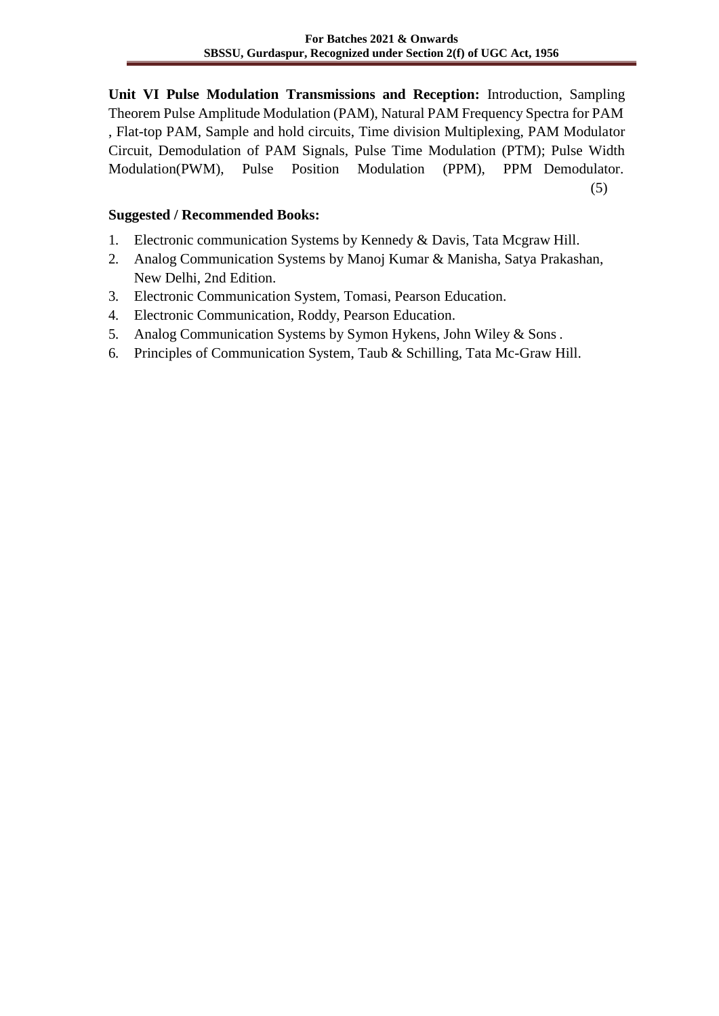**Unit VI Pulse Modulation Transmissions and Reception:** Introduction, Sampling Theorem Pulse Amplitude Modulation (PAM), Natural PAM Frequency Spectra for PAM , Flat-top PAM, Sample and hold circuits, Time division Multiplexing, PAM Modulator Circuit, Demodulation of PAM Signals, Pulse Time Modulation (PTM); Pulse Width Modulation(PWM), Pulse Position Modulation (PPM), PPM Demodulator.

(5)

### **Suggested / Recommended Books:**

- 1. Electronic communication Systems by Kennedy & Davis, Tata Mcgraw Hill.
- 2. Analog Communication Systems by Manoj Kumar & Manisha, Satya Prakashan, New Delhi, 2nd Edition.
- 3. Electronic Communication System, Tomasi, Pearson Education.
- 4. Electronic Communication, Roddy, Pearson Education.
- 5. Analog Communication Systems by Symon Hykens, John Wiley & Sons .
- 6. Principles of Communication System, Taub & Schilling, Tata Mc-Graw Hill.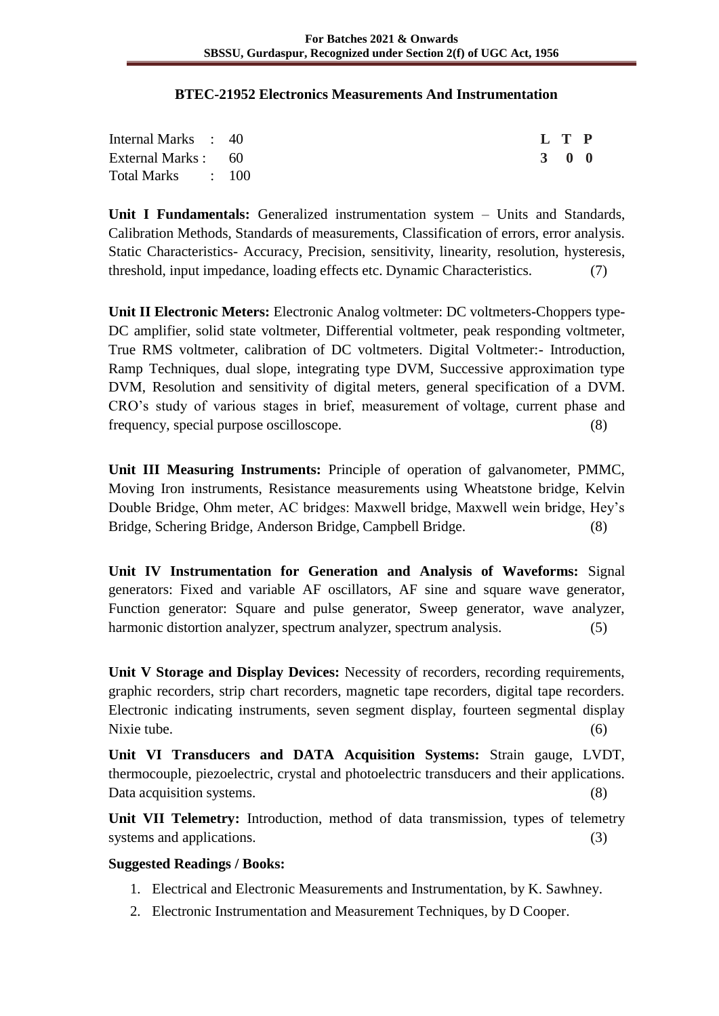#### **BTEC-21952 Electronics Measurements And Instrumentation**

| Internal Marks : 40 | L T P |  |
|---------------------|-------|--|
| External Marks : 60 | 3 0 0 |  |
| Total Marks : 100   |       |  |

Unit I Fundamentals: Generalized instrumentation system – Units and Standards, Calibration Methods, Standards of measurements, Classification of errors, error analysis. Static Characteristics- Accuracy, Precision, sensitivity, linearity, resolution, hysteresis, threshold, input impedance, loading effects etc. Dynamic Characteristics. (7)

**Unit II Electronic Meters:** Electronic Analog voltmeter: DC voltmeters-Choppers type-DC amplifier, solid state voltmeter, Differential voltmeter, peak responding voltmeter, True RMS voltmeter, calibration of DC voltmeters. Digital Voltmeter:- Introduction, Ramp Techniques, dual slope, integrating type DVM, Successive approximation type DVM, Resolution and sensitivity of digital meters, general specification of a DVM. CRO's study of various stages in brief, measurement of voltage, current phase and frequency, special purpose oscilloscope. (8)

**Unit III Measuring Instruments:** Principle of operation of galvanometer, PMMC, Moving Iron instruments, Resistance measurements using Wheatstone bridge, Kelvin Double Bridge, Ohm meter, AC bridges: Maxwell bridge, Maxwell wein bridge, Hey's Bridge, Schering Bridge, Anderson Bridge, Campbell Bridge. (8)

**Unit IV Instrumentation for Generation and Analysis of Waveforms:** Signal generators: Fixed and variable AF oscillators, AF sine and square wave generator, Function generator: Square and pulse generator, Sweep generator, wave analyzer, harmonic distortion analyzer, spectrum analyzer, spectrum analysis. (5)

**Unit V Storage and Display Devices:** Necessity of recorders, recording requirements, graphic recorders, strip chart recorders, magnetic tape recorders, digital tape recorders. Electronic indicating instruments, seven segment display, fourteen segmental display Nixie tube. (6)

**Unit VI Transducers and DATA Acquisition Systems:** Strain gauge, LVDT, thermocouple, piezoelectric, crystal and photoelectric transducers and their applications. Data acquisition systems. (8)

**Unit VII Telemetry:** Introduction, method of data transmission, types of telemetry systems and applications. (3)

### **Suggested Readings / Books:**

- 1. Electrical and Electronic Measurements and Instrumentation, by K. Sawhney.
- 2. Electronic Instrumentation and Measurement Techniques, by D Cooper.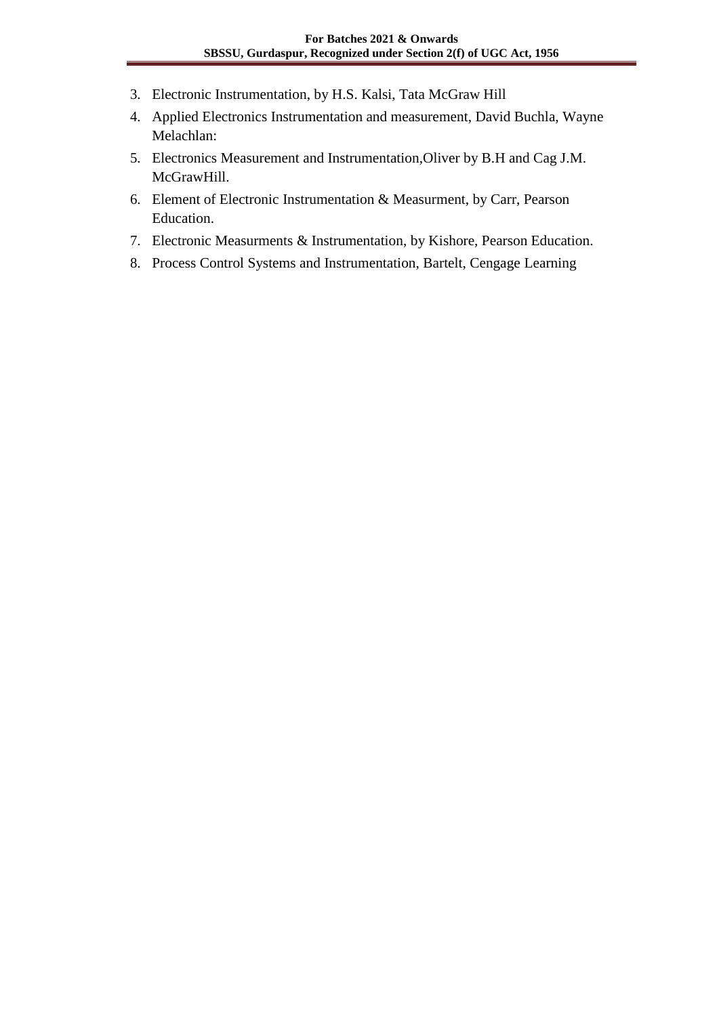- 3. Electronic Instrumentation, by H.S. Kalsi, Tata McGraw Hill
- 4. Applied Electronics Instrumentation and measurement, David Buchla, Wayne Melachlan:
- 5. Electronics Measurement and Instrumentation,Oliver by B.H and Cag J.M. McGrawHill.
- 6. Element of Electronic Instrumentation & Measurment, by Carr, Pearson Education.
- 7. Electronic Measurments & Instrumentation, by Kishore, Pearson Education.
- 8. Process Control Systems and Instrumentation, Bartelt, Cengage Learning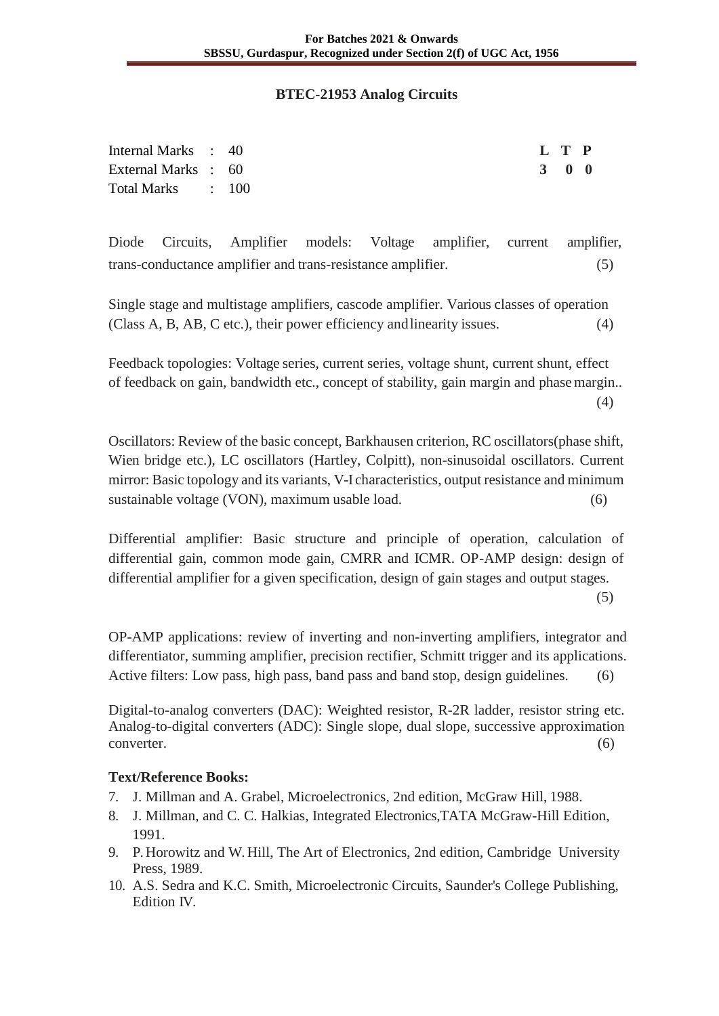#### **BTEC-21953 Analog Circuits**

| Internal Marks : 40 |  | L T P |  |
|---------------------|--|-------|--|
| External Marks : 60 |  | 3 0 0 |  |
| Total Marks : 100   |  |       |  |

Diode Circuits, Amplifier models: Voltage amplifier, current amplifier, trans-conductance amplifier and trans-resistance amplifier. (5)

Single stage and multistage amplifiers, cascode amplifier. Various classes of operation (Class A, B, AB, C etc.), their power efficiency andlinearity issues. (4)

Feedback topologies: Voltage series, current series, voltage shunt, current shunt, effect of feedback on gain, bandwidth etc., concept of stability, gain margin and phase margin.. (4)

Oscillators: Review of the basic concept, Barkhausen criterion, RC oscillators(phase shift, Wien bridge etc.), LC oscillators (Hartley, Colpitt), non-sinusoidal oscillators. Current mirror: Basic topology and its variants, V-I characteristics, output resistance and minimum sustainable voltage (VON), maximum usable load. (6)

Differential amplifier: Basic structure and principle of operation, calculation of differential gain, common mode gain, CMRR and ICMR. OP-AMP design: design of differential amplifier for a given specification, design of gain stages and output stages.

(5)

OP-AMP applications: review of inverting and non-inverting amplifiers, integrator and differentiator, summing amplifier, precision rectifier, Schmitt trigger and its applications. Active filters: Low pass, high pass, band pass and band stop, design guidelines. (6)

Digital-to-analog converters (DAC): Weighted resistor, R-2R ladder, resistor string etc. Analog-to-digital converters (ADC): Single slope, dual slope, successive approximation converter. (6)

- 7. J. Millman and A. Grabel, Microelectronics, 2nd edition, McGraw Hill, 1988.
- 8. J. Millman, and C. C. Halkias, Integrated Electronics,TATA McGraw-Hill Edition, 1991.
- 9. P. Horowitz and W. Hill, The Art of Electronics, 2nd edition, Cambridge University Press, 1989.
- 10. A.S. Sedra and K.C. Smith, Microelectronic Circuits, Saunder's College Publishing, Edition IV.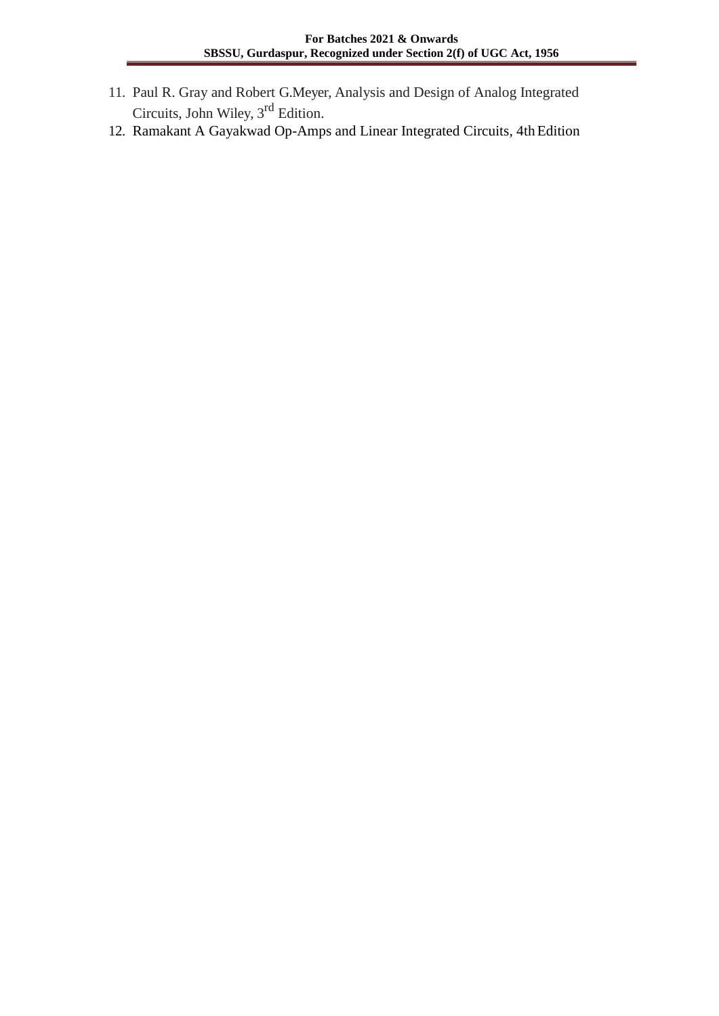- 11. Paul R. Gray and Robert G.Meyer, Analysis and Design of Analog Integrated Circuits, John Wiley, 3<sup>rd</sup> Edition.
- 12. Ramakant A Gayakwad Op-Amps and Linear Integrated Circuits, 4th Edition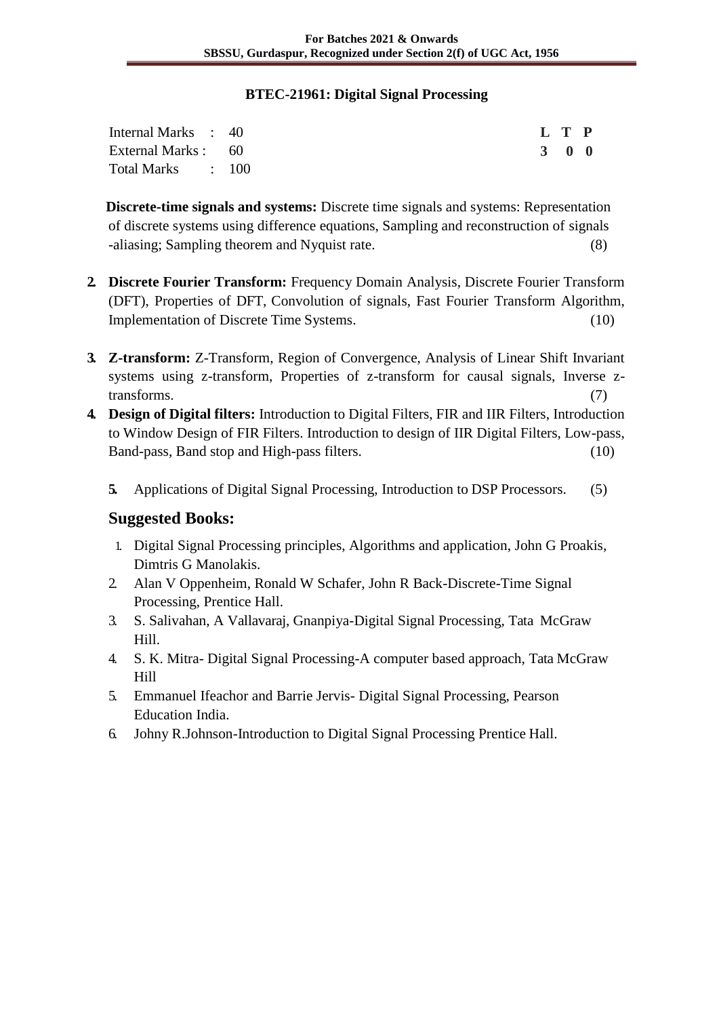### **BTEC-21961: Digital Signal Processing**

| Internal Marks : 40 |  | L T P |  |
|---------------------|--|-------|--|
| External Marks : 60 |  | 3 0 0 |  |
| Total Marks : 100   |  |       |  |

**Discrete-time signals and systems:** Discrete time signals and systems: Representation of discrete systems using difference equations, Sampling and reconstruction of signals -aliasing; Sampling theorem and Nyquist rate. (8)

- **2. Discrete Fourier Transform:** Frequency Domain Analysis, Discrete Fourier Transform (DFT), Properties of DFT, Convolution of signals, Fast Fourier Transform Algorithm, Implementation of Discrete Time Systems. (10)
- **3. Z-transform:** Z-Transform, Region of Convergence, Analysis of Linear Shift Invariant systems using z-transform, Properties of z-transform for causal signals, Inverse ztransforms. (7)
- **4. Design of Digital filters:** Introduction to Digital Filters, FIR and IIR Filters, Introduction to Window Design of FIR Filters. Introduction to design of IIR Digital Filters, Low-pass, Band-pass, Band stop and High-pass filters. (10)
	- **5.** Applications of Digital Signal Processing, Introduction to DSP Processors. (5)

# **Suggested Books:**

- 1. Digital Signal Processing principles, Algorithms and application, John G Proakis, Dimtris G Manolakis.
- 2. Alan V Oppenheim, Ronald W Schafer, John R Back-Discrete-Time Signal Processing, Prentice Hall.
- 3. S. Salivahan, A Vallavaraj, Gnanpiya-Digital Signal Processing, Tata McGraw Hill.
- 4. S. K. Mitra- Digital Signal Processing-A computer based approach, Tata McGraw Hill
- 5. Emmanuel Ifeachor and Barrie Jervis- Digital Signal Processing, Pearson Education India.
- 6. Johny R.Johnson-Introduction to Digital Signal Processing Prentice Hall.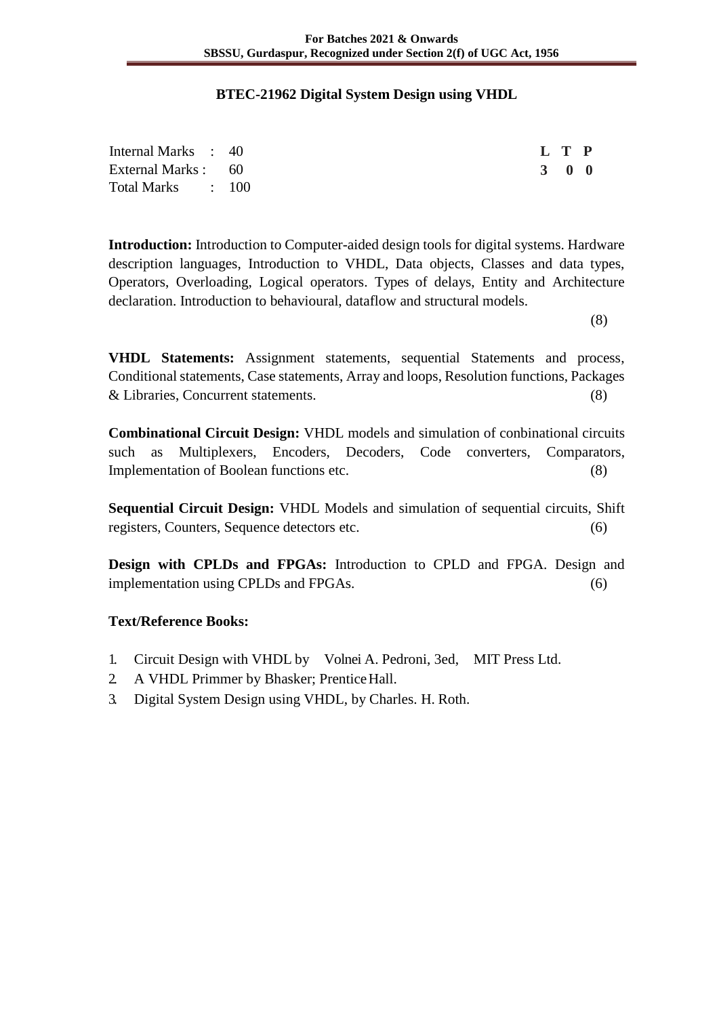### **BTEC-21962 Digital System Design using VHDL**

| Internal Marks : 40 | L T P |  |
|---------------------|-------|--|
| External Marks : 60 | 3 0 0 |  |
| Total Marks : 100   |       |  |

**Introduction:** Introduction to Computer-aided design tools for digital systems. Hardware description languages, Introduction to VHDL, Data objects, Classes and data types, Operators, Overloading, Logical operators. Types of delays, Entity and Architecture declaration. Introduction to behavioural, dataflow and structural models.

(8)

**VHDL Statements:** Assignment statements, sequential Statements and process, Conditional statements, Case statements, Array and loops, Resolution functions, Packages & Libraries, Concurrent statements. (8)

**Combinational Circuit Design:** VHDL models and simulation of conbinational circuits such as Multiplexers, Encoders, Decoders, Code converters, Comparators, Implementation of Boolean functions etc. (8)

**Sequential Circuit Design:** VHDL Models and simulation of sequential circuits, Shift registers, Counters, Sequence detectors etc. (6)

**Design with CPLDs and FPGAs:** Introduction to CPLD and FPGA. Design and implementation using CPLDs and FPGAs. (6)

### **Text/Reference Books:**

- 1. Circuit Design with VHDL by Volnei A. Pedroni, 3ed, MIT Press Ltd.
- 2. A VHDL Primmer by Bhasker; PrenticeHall.
- 3. Digital System Design using VHDL, by Charles. H. Roth.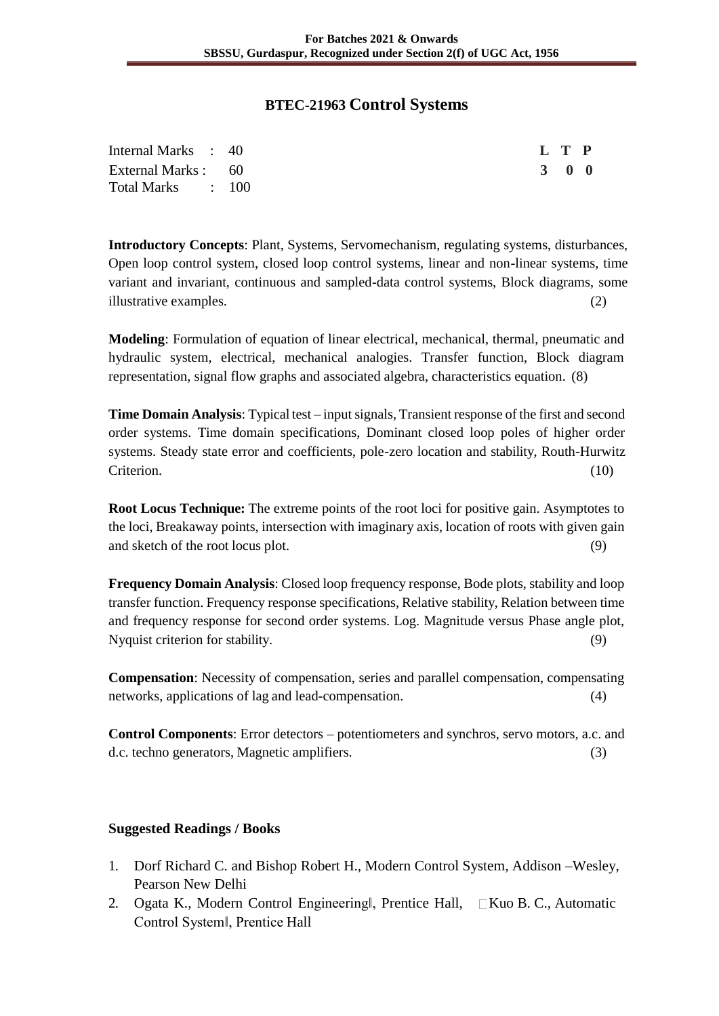## **BTEC-21963 Control Systems**

| Internal Marks : 40 | L T P |  |
|---------------------|-------|--|
| External Marks : 60 | 3 0 0 |  |
| Total Marks : 100   |       |  |

**Introductory Concepts**: Plant, Systems, Servomechanism, regulating systems, disturbances, Open loop control system, closed loop control systems, linear and non-linear systems, time variant and invariant, continuous and sampled-data control systems, Block diagrams, some illustrative examples. (2)

**Modeling**: Formulation of equation of linear electrical, mechanical, thermal, pneumatic and hydraulic system, electrical, mechanical analogies. Transfer function, Block diagram representation, signal flow graphs and associated algebra, characteristics equation. (8)

**Time Domain Analysis**: Typical test – input signals, Transient response of the first and second order systems. Time domain specifications, Dominant closed loop poles of higher order systems. Steady state error and coefficients, pole-zero location and stability, Routh-Hurwitz Criterion. (10)

**Root Locus Technique:** The extreme points of the root loci for positive gain. Asymptotes to the loci, Breakaway points, intersection with imaginary axis, location of roots with given gain and sketch of the root locus plot. (9)

**Frequency Domain Analysis**: Closed loop frequency response, Bode plots, stability and loop transfer function. Frequency response specifications, Relative stability, Relation between time and frequency response for second order systems. Log. Magnitude versus Phase angle plot, Nyquist criterion for stability. (9)

**Compensation**: Necessity of compensation, series and parallel compensation, compensating networks, applications of lag and lead-compensation. (4)

**Control Components**: Error detectors – potentiometers and synchros, servo motors, a.c. and d.c. techno generators, Magnetic amplifiers. (3)

### **Suggested Readings / Books**

- 1. Dorf Richard C. and Bishop Robert H., Modern Control System, Addison –Wesley, Pearson New Delhi
- 2. Ogata K., Modern Control Engineering∥, Prentice Hall, □Kuo B. C., Automatic Control System‖, Prentice Hall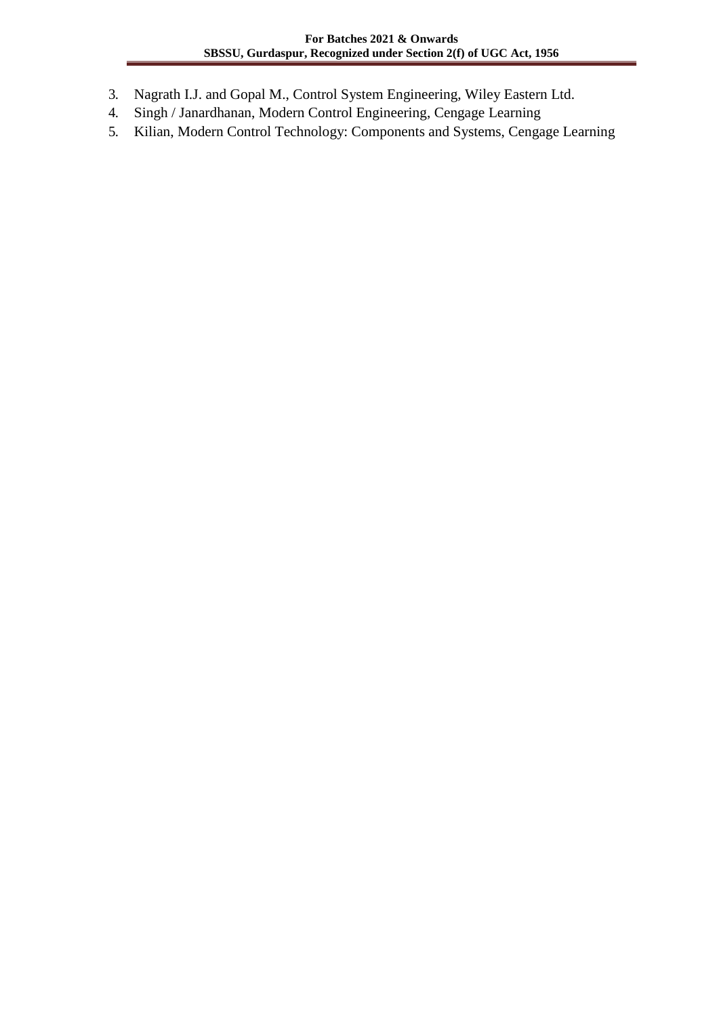- 3. Nagrath I.J. and Gopal M., Control System Engineering, Wiley Eastern Ltd.
- 4. Singh / Janardhanan, Modern Control Engineering, Cengage Learning
- 5. Kilian, Modern Control Technology: Components and Systems, Cengage Learning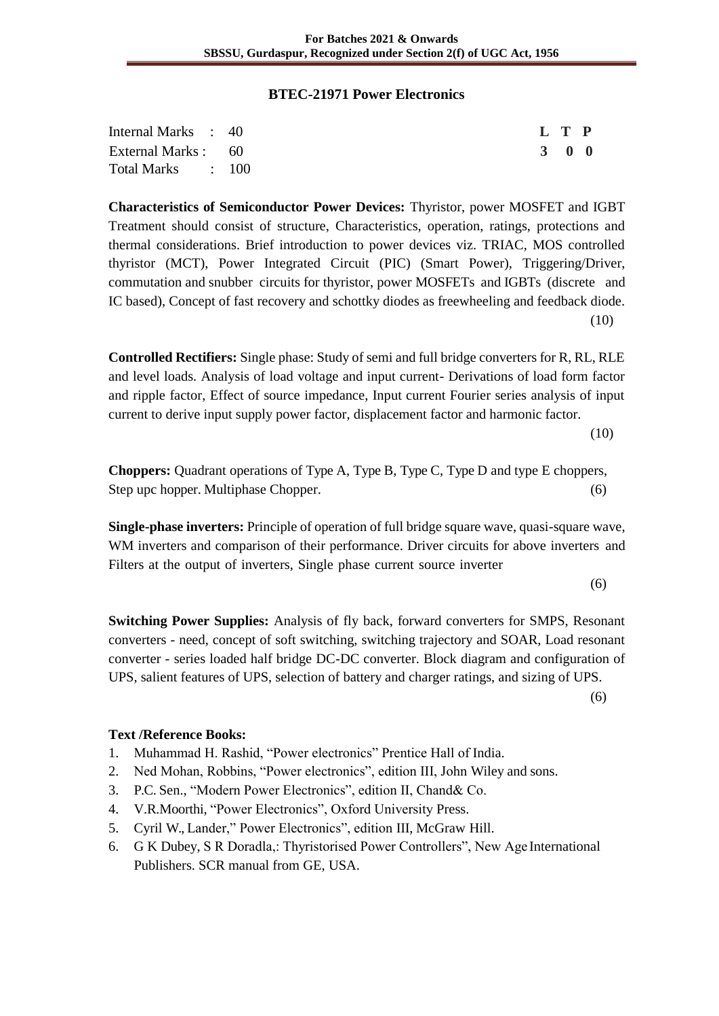#### **BTEC-21971 Power Electronics**

| Internal Marks : 40 |  | L T P |  |
|---------------------|--|-------|--|
| External Marks : 60 |  | 3 0 0 |  |
| Total Marks : 100   |  |       |  |

**Characteristics of Semiconductor Power Devices:** Thyristor, power MOSFET and IGBT Treatment should consist of structure, Characteristics, operation, ratings, protections and thermal considerations. Brief introduction to power devices viz. TRIAC, MOS controlled thyristor (MCT), Power Integrated Circuit (PIC) (Smart Power), Triggering/Driver, commutation and snubber circuits for thyristor, power MOSFETs and IGBTs (discrete and IC based), Concept of fast recovery and schottky diodes as freewheeling and feedback diode. (10)

**Controlled Rectifiers:** Single phase: Study of semi and full bridge converters for R, RL, RLE and level loads. Analysis of load voltage and input current- Derivations of load form factor and ripple factor, Effect of source impedance, Input current Fourier series analysis of input current to derive input supply power factor, displacement factor and harmonic factor.

(10)

**Choppers:** Quadrant operations of Type A, Type B, Type C, Type D and type E choppers, Step upc hopper. Multiphase Chopper. (6)

**Single-phase inverters:** Principle of operation of full bridge square wave, quasi-square wave, WM inverters and comparison of their performance. Driver circuits for above inverters and Filters at the output of inverters, Single phase current source inverter

(6)

**Switching Power Supplies:** Analysis of fly back, forward converters for SMPS, Resonant converters - need, concept of soft switching, switching trajectory and SOAR, Load resonant converter - series loaded half bridge DC-DC converter. Block diagram and configuration of UPS, salient features of UPS, selection of battery and charger ratings, and sizing of UPS.

(6)

# **Text /Reference Books:**

- 1. Muhammad H. Rashid, "Power electronics" Prentice Hall of India.
- 2. Ned Mohan, Robbins, "Power electronics", edition III, John Wiley and sons.
- 3. P.C. Sen., "Modern Power Electronics", edition II, Chand& Co.
- 4. V.R.Moorthi, "Power Electronics", Oxford University Press.
- 5. Cyril W., Lander," Power Electronics", edition III, McGraw Hill.
- 6. G K Dubey, S R Doradla,: Thyristorised Power Controllers", New Age International Publishers. SCR manual from GE, USA.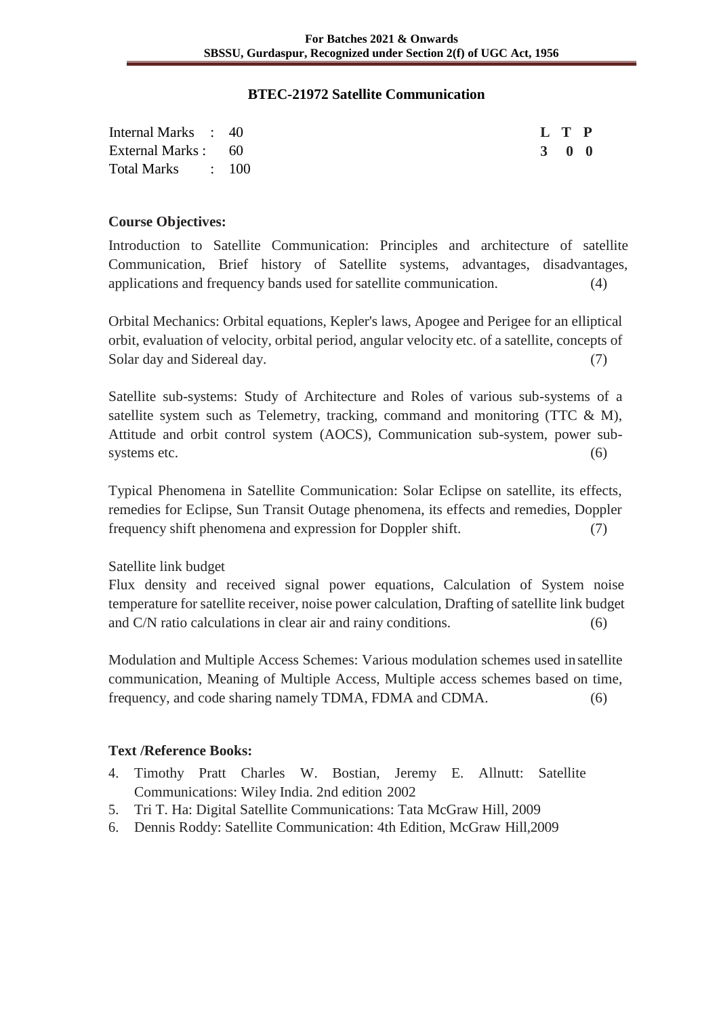#### **BTEC-21972 Satellite Communication**

| Internal Marks : 40 |  |  | L T P |  |
|---------------------|--|--|-------|--|
| External Marks : 60 |  |  | 3 0 0 |  |
| Total Marks : 100   |  |  |       |  |

#### **Course Objectives:**

Introduction to Satellite Communication: Principles and architecture of satellite Communication, Brief history of Satellite systems, advantages, disadvantages, applications and frequency bands used for satellite communication. (4)

Orbital Mechanics: Orbital equations, Kepler's laws, Apogee and Perigee for an elliptical orbit, evaluation of velocity, orbital period, angular velocity etc. of a satellite, concepts of Solar day and Sidereal day. (7)

Satellite sub-systems: Study of Architecture and Roles of various sub-systems of a satellite system such as Telemetry, tracking, command and monitoring (TTC & M), Attitude and orbit control system (AOCS), Communication sub-system, power subsystems etc.  $(6)$ 

Typical Phenomena in Satellite Communication: Solar Eclipse on satellite, its effects, remedies for Eclipse, Sun Transit Outage phenomena, its effects and remedies, Doppler frequency shift phenomena and expression for Doppler shift. (7)

Satellite link budget

Flux density and received signal power equations, Calculation of System noise temperature for satellite receiver, noise power calculation, Drafting of satellite link budget and C/N ratio calculations in clear air and rainy conditions. (6)

Modulation and Multiple Access Schemes: Various modulation schemes used insatellite communication, Meaning of Multiple Access, Multiple access schemes based on time, frequency, and code sharing namely TDMA, FDMA and CDMA. (6)

### **Text /Reference Books:**

- 4. Timothy Pratt Charles W. Bostian, Jeremy E. Allnutt: Satellite Communications: Wiley India. 2nd edition 2002
- 5. Tri T. Ha: Digital Satellite Communications: Tata McGraw Hill, 2009
- 6. Dennis Roddy: Satellite Communication: 4th Edition, McGraw Hill,2009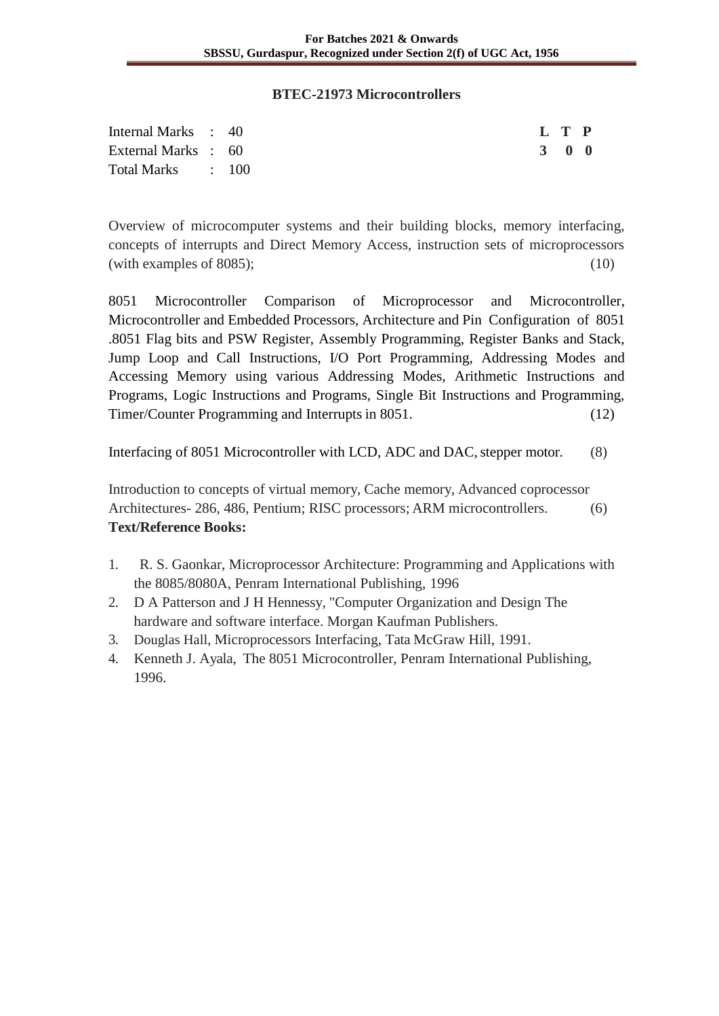#### **BTEC-21973 Microcontrollers**

| Internal Marks : 40 |  |  | L T P |  |
|---------------------|--|--|-------|--|
| External Marks : 60 |  |  | 3 0 0 |  |
| Total Marks : 100   |  |  |       |  |

Overview of microcomputer systems and their building blocks, memory interfacing, concepts of interrupts and Direct Memory Access, instruction sets of microprocessors (with examples of 8085);  $(10)$ 

8051 Microcontroller Comparison of Microprocessor and Microcontroller, Microcontroller and Embedded Processors, Architecture and Pin Configuration of 8051 .8051 Flag bits and PSW Register, Assembly Programming, Register Banks and Stack, Jump Loop and Call Instructions, I/O Port Programming, Addressing Modes and Accessing Memory using various Addressing Modes, Arithmetic Instructions and Programs, Logic Instructions and Programs, Single Bit Instructions and Programming, Timer/Counter Programming and Interrupts in 8051. (12)

Interfacing of 8051 Microcontroller with LCD, ADC and DAC, stepper motor. (8)

Introduction to concepts of virtual memory, Cache memory, Advanced coprocessor Architectures- 286, 486, Pentium; RISC processors; ARM microcontrollers. (6) **Text/Reference Books:**

- 1. R. S. Gaonkar, Microprocessor Architecture: Programming and Applications with the 8085/8080A, Penram International Publishing, 1996
- 2. D A Patterson and J H Hennessy, "Computer Organization and Design The hardware and software interface. Morgan Kaufman Publishers.
- 3. Douglas Hall, Microprocessors Interfacing, Tata McGraw Hill, 1991.
- 4. Kenneth J. Ayala, The 8051 Microcontroller, Penram International Publishing, 1996.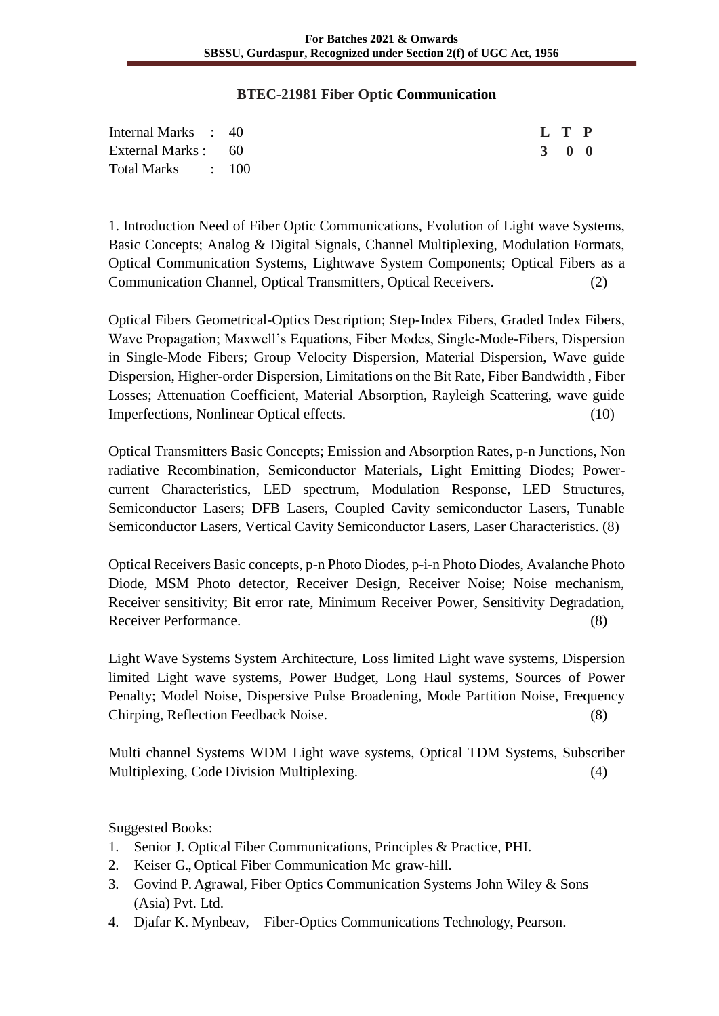### **BTEC-21981 Fiber Optic Communication**

| Internal Marks : 40 |  |  |  |  | L T P |  |
|---------------------|--|--|--|--|-------|--|
| External Marks : 60 |  |  |  |  | 3 0 0 |  |
| Total Marks : 100   |  |  |  |  |       |  |

1. Introduction Need of Fiber Optic Communications, Evolution of Light wave Systems, Basic Concepts; Analog & Digital Signals, Channel Multiplexing, Modulation Formats, Optical Communication Systems, Lightwave System Components; Optical Fibers as a Communication Channel, Optical Transmitters, Optical Receivers. (2)

Optical Fibers Geometrical-Optics Description; Step-Index Fibers, Graded Index Fibers, Wave Propagation; Maxwell's Equations, Fiber Modes, Single-Mode-Fibers, Dispersion in Single-Mode Fibers; Group Velocity Dispersion, Material Dispersion, Wave guide Dispersion, Higher-order Dispersion, Limitations on the Bit Rate, Fiber Bandwidth , Fiber Losses; Attenuation Coefficient, Material Absorption, Rayleigh Scattering, wave guide Imperfections, Nonlinear Optical effects. (10)

Optical Transmitters Basic Concepts; Emission and Absorption Rates, p-n Junctions, Non radiative Recombination, Semiconductor Materials, Light Emitting Diodes; Powercurrent Characteristics, LED spectrum, Modulation Response, LED Structures, Semiconductor Lasers; DFB Lasers, Coupled Cavity semiconductor Lasers, Tunable Semiconductor Lasers, Vertical Cavity Semiconductor Lasers, Laser Characteristics. (8)

Optical Receivers Basic concepts, p-n Photo Diodes, p-i-n Photo Diodes, Avalanche Photo Diode, MSM Photo detector, Receiver Design, Receiver Noise; Noise mechanism, Receiver sensitivity; Bit error rate, Minimum Receiver Power, Sensitivity Degradation, Receiver Performance. (8)

Light Wave Systems System Architecture, Loss limited Light wave systems, Dispersion limited Light wave systems, Power Budget, Long Haul systems, Sources of Power Penalty; Model Noise, Dispersive Pulse Broadening, Mode Partition Noise, Frequency Chirping, Reflection Feedback Noise. (8)

Multi channel Systems WDM Light wave systems, Optical TDM Systems, Subscriber Multiplexing, Code Division Multiplexing. (4)

Suggested Books:

- 1. Senior J. Optical Fiber Communications, Principles & Practice, PHI.
- 2. Keiser G., Optical Fiber Communication Mc graw-hill.
- 3. Govind P. Agrawal, Fiber Optics Communication Systems John Wiley & Sons (Asia) Pvt. Ltd.
- 4. Djafar K. Mynbeav, Fiber-Optics Communications Technology, Pearson.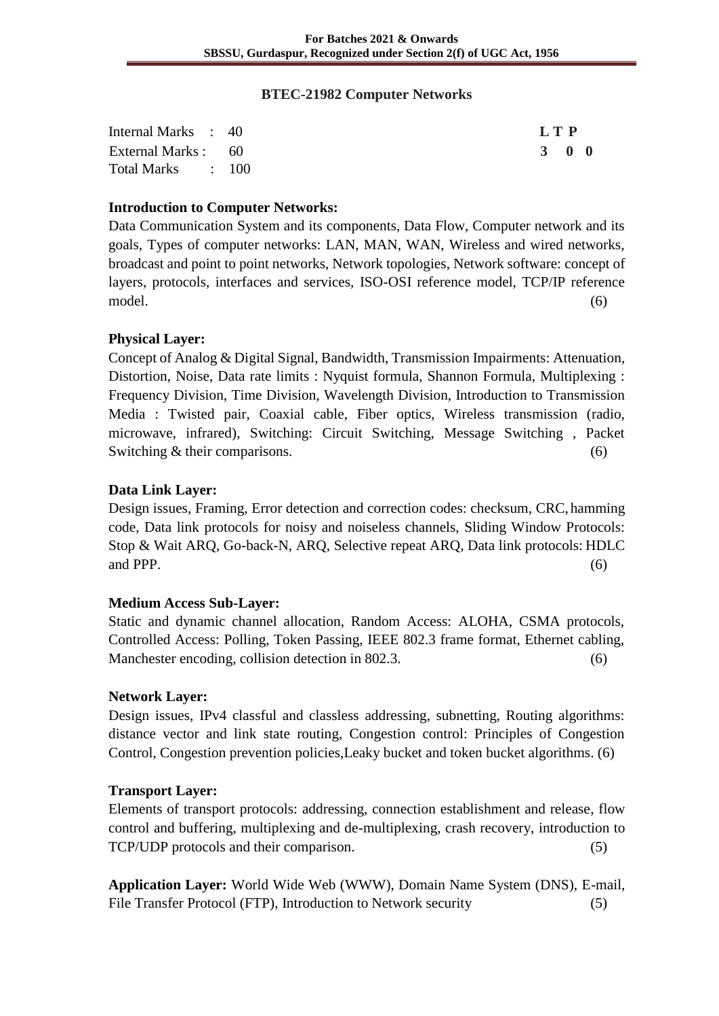#### **BTEC-21982 Computer Networks**

| Internal Marks : 40 | L T P |  |
|---------------------|-------|--|
| External Marks : 60 | 3 0 0 |  |
| Total Marks : 100   |       |  |

## **Introduction to Computer Networks:**

Data Communication System and its components, Data Flow, Computer network and its goals, Types of computer networks: LAN, MAN, WAN, Wireless and wired networks, broadcast and point to point networks, Network topologies, Network software: concept of layers, protocols, interfaces and services, ISO-OSI reference model, TCP/IP reference model. (6)

## **Physical Layer:**

Concept of Analog & Digital Signal, Bandwidth, Transmission Impairments: Attenuation, Distortion, Noise, Data rate limits : Nyquist formula, Shannon Formula, Multiplexing : Frequency Division, Time Division, Wavelength Division, Introduction to Transmission Media : Twisted pair, Coaxial cable, Fiber optics, Wireless transmission (radio, microwave, infrared), Switching: Circuit Switching, Message Switching , Packet Switching & their comparisons. (6)

### **Data Link Layer:**

Design issues, Framing, Error detection and correction codes: checksum, CRC, hamming code, Data link protocols for noisy and noiseless channels, Sliding Window Protocols: Stop & Wait ARQ, Go-back-N, ARQ, Selective repeat ARQ, Data link protocols: HDLC and PPP.  $(6)$ 

### **Medium Access Sub-Layer:**

Static and dynamic channel allocation, Random Access: ALOHA, CSMA protocols, Controlled Access: Polling, Token Passing, IEEE 802.3 frame format, Ethernet cabling, Manchester encoding, collision detection in 802.3. (6)

### **Network Layer:**

Design issues, IPv4 classful and classless addressing, subnetting, Routing algorithms: distance vector and link state routing, Congestion control: Principles of Congestion Control, Congestion prevention policies,Leaky bucket and token bucket algorithms. (6)

### **Transport Layer:**

Elements of transport protocols: addressing, connection establishment and release, flow control and buffering, multiplexing and de-multiplexing, crash recovery, introduction to TCP/UDP protocols and their comparison. (5)

**Application Layer:** World Wide Web (WWW), Domain Name System (DNS), E-mail, File Transfer Protocol (FTP), Introduction to Network security (5)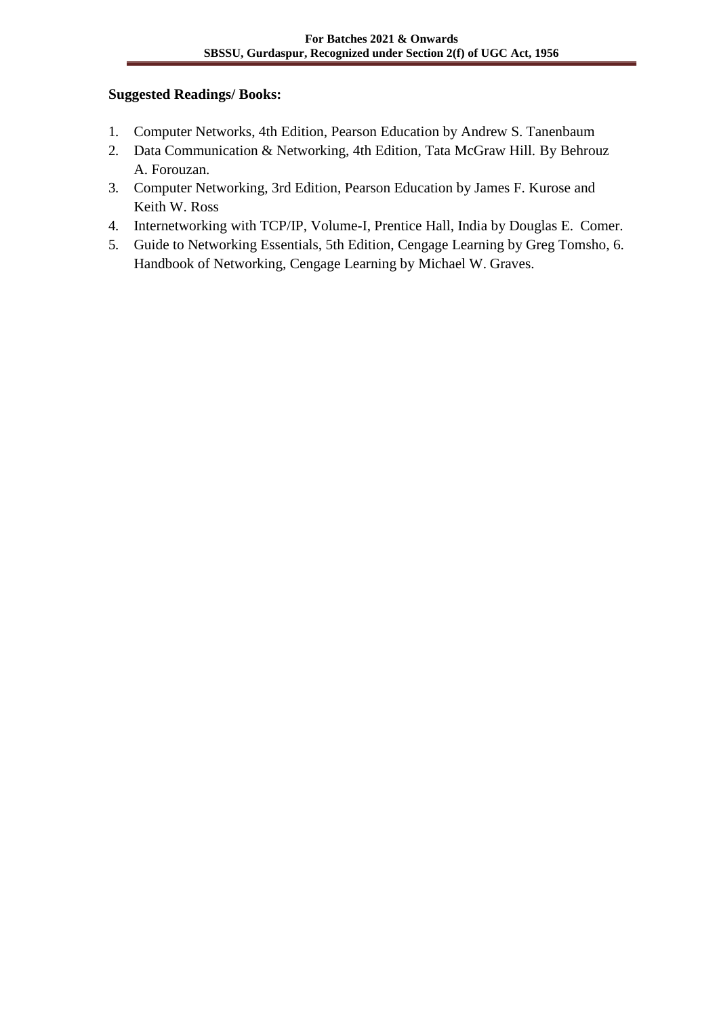## **Suggested Readings/ Books:**

- 1. Computer Networks, 4th Edition, Pearson Education by Andrew S. Tanenbaum
- 2. Data Communication & Networking, 4th Edition, Tata McGraw Hill. By Behrouz A. Forouzan.
- 3. Computer Networking, 3rd Edition, Pearson Education by James F. Kurose and Keith W. Ross
- 4. Internetworking with TCP/IP, Volume-I, Prentice Hall, India by Douglas E. Comer.
- 5. Guide to Networking Essentials, 5th Edition, Cengage Learning by Greg Tomsho, 6. Handbook of Networking, Cengage Learning by Michael W. Graves.